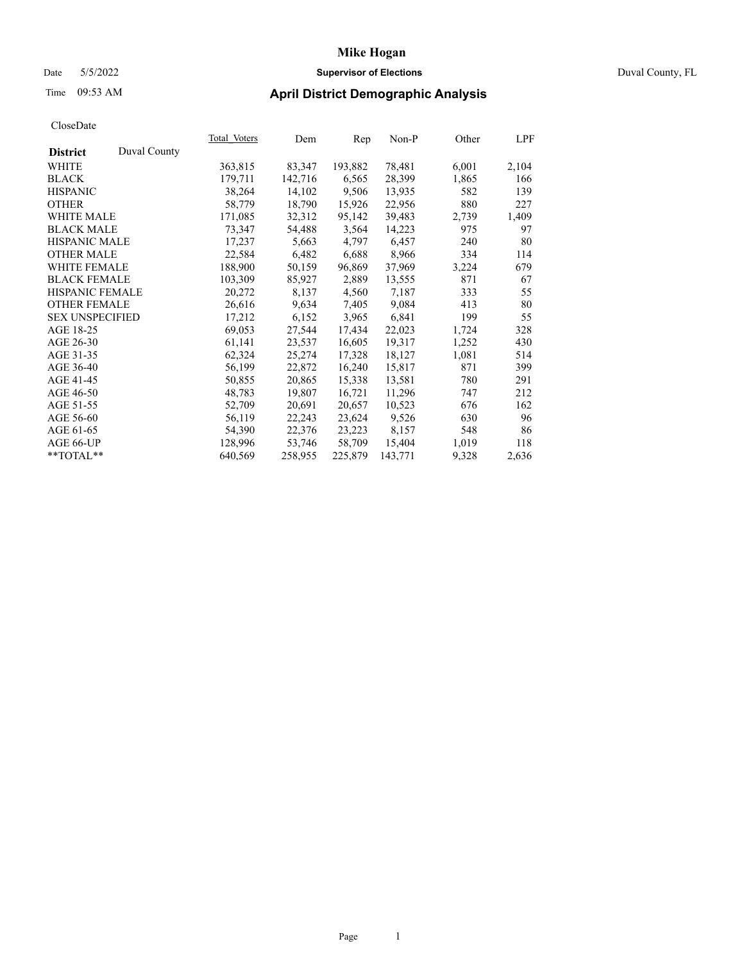# Date 5/5/2022 **Supervisor of Elections** Duval County, FL

# Time 09:53 AM **April District Demographic Analysis**

|                        |              | Total Voters | Dem     | Rep     | Non-P   | Other | LPF   |
|------------------------|--------------|--------------|---------|---------|---------|-------|-------|
| <b>District</b>        | Duval County |              |         |         |         |       |       |
| WHITE                  |              | 363,815      | 83,347  | 193,882 | 78,481  | 6,001 | 2,104 |
| <b>BLACK</b>           |              | 179,711      | 142,716 | 6,565   | 28,399  | 1,865 | 166   |
| <b>HISPANIC</b>        |              | 38,264       | 14,102  | 9,506   | 13,935  | 582   | 139   |
| <b>OTHER</b>           |              | 58,779       | 18,790  | 15,926  | 22,956  | 880   | 227   |
| <b>WHITE MALE</b>      |              | 171,085      | 32,312  | 95,142  | 39,483  | 2,739 | 1,409 |
| <b>BLACK MALE</b>      |              | 73,347       | 54,488  | 3,564   | 14,223  | 975   | 97    |
| <b>HISPANIC MALE</b>   |              | 17,237       | 5,663   | 4,797   | 6,457   | 240   | 80    |
| <b>OTHER MALE</b>      |              | 22,584       | 6,482   | 6,688   | 8,966   | 334   | 114   |
| <b>WHITE FEMALE</b>    |              | 188,900      | 50,159  | 96,869  | 37,969  | 3,224 | 679   |
| <b>BLACK FEMALE</b>    |              | 103,309      | 85,927  | 2,889   | 13,555  | 871   | 67    |
| <b>HISPANIC FEMALE</b> |              | 20,272       | 8,137   | 4,560   | 7,187   | 333   | 55    |
| <b>OTHER FEMALE</b>    |              | 26,616       | 9,634   | 7,405   | 9,084   | 413   | 80    |
| <b>SEX UNSPECIFIED</b> |              | 17,212       | 6,152   | 3,965   | 6,841   | 199   | 55    |
| AGE 18-25              |              | 69,053       | 27,544  | 17,434  | 22,023  | 1,724 | 328   |
| AGE 26-30              |              | 61,141       | 23,537  | 16,605  | 19,317  | 1,252 | 430   |
| AGE 31-35              |              | 62,324       | 25,274  | 17,328  | 18,127  | 1,081 | 514   |
| AGE 36-40              |              | 56,199       | 22,872  | 16,240  | 15,817  | 871   | 399   |
| AGE 41-45              |              | 50,855       | 20,865  | 15,338  | 13,581  | 780   | 291   |
| AGE 46-50              |              | 48,783       | 19,807  | 16,721  | 11,296  | 747   | 212   |
| AGE 51-55              |              | 52,709       | 20,691  | 20,657  | 10,523  | 676   | 162   |
| AGE 56-60              |              | 56,119       | 22,243  | 23,624  | 9,526   | 630   | 96    |
| AGE 61-65              |              | 54,390       | 22,376  | 23,223  | 8,157   | 548   | 86    |
| AGE 66-UP              |              | 128,996      | 53,746  | 58,709  | 15,404  | 1,019 | 118   |
| $*$ TOTAL $*$          |              | 640,569      | 258,955 | 225,879 | 143,771 | 9,328 | 2,636 |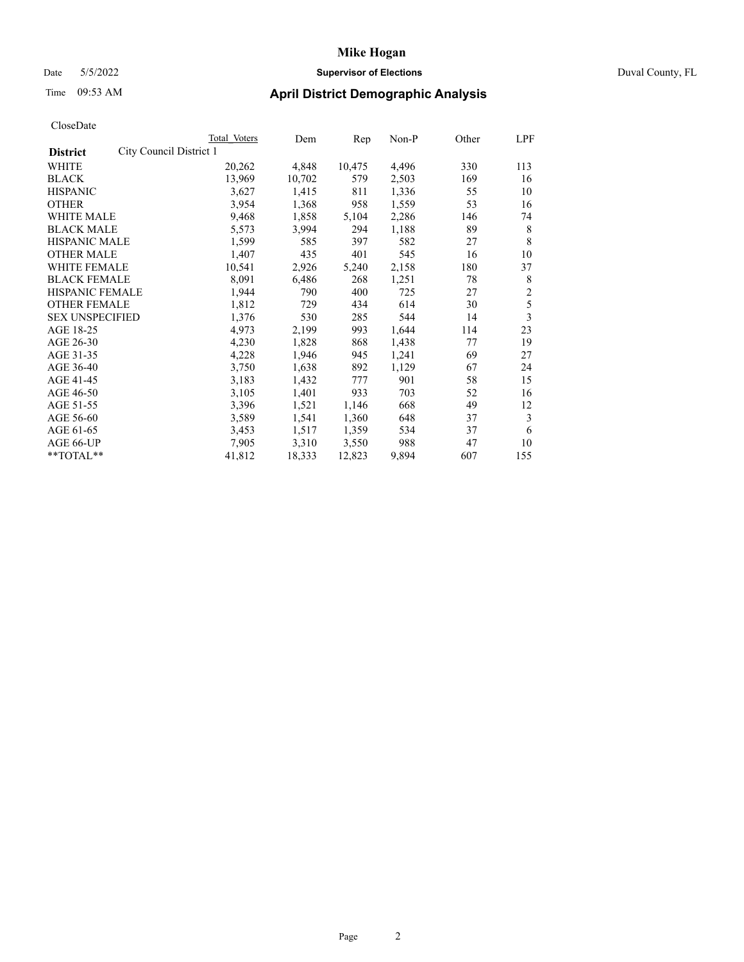### Date 5/5/2022 **Supervisor of Elections** Duval County, FL

# Time 09:53 AM **April District Demographic Analysis**

| Total Voters            | Dem    | Rep    | $Non-P$ | Other | LPF            |
|-------------------------|--------|--------|---------|-------|----------------|
| City Council District 1 |        |        |         |       |                |
| 20,262                  | 4,848  | 10,475 | 4,496   | 330   | 113            |
| 13,969                  | 10,702 | 579    | 2,503   | 169   | 16             |
| 3,627                   | 1,415  | 811    | 1,336   | 55    | 10             |
| 3,954                   | 1,368  | 958    | 1,559   | 53    | 16             |
| 9,468                   | 1,858  | 5,104  | 2,286   | 146   | 74             |
| 5,573                   | 3,994  | 294    | 1,188   | 89    | 8              |
| 1,599                   | 585    | 397    | 582     | 27    | 8              |
| 1,407                   | 435    | 401    | 545     | 16    | 10             |
| 10,541                  | 2,926  | 5,240  | 2,158   | 180   | 37             |
| 8,091                   | 6,486  | 268    | 1,251   | 78    | 8              |
| 1,944                   | 790    | 400    | 725     | 27    | $\overline{2}$ |
| 1,812                   | 729    | 434    | 614     | 30    | 5              |
| 1,376                   | 530    | 285    | 544     | 14    | 3              |
| 4,973                   | 2,199  | 993    | 1,644   | 114   | 23             |
| 4,230                   | 1,828  | 868    | 1,438   | 77    | 19             |
| 4,228                   | 1,946  | 945    | 1,241   | 69    | 27             |
| 3,750                   | 1,638  | 892    | 1,129   | 67    | 24             |
| 3,183                   | 1,432  | 777    | 901     | 58    | 15             |
| 3,105                   | 1,401  | 933    | 703     | 52    | 16             |
| 3,396                   | 1,521  | 1,146  | 668     | 49    | 12             |
| 3,589                   | 1,541  | 1,360  | 648     | 37    | 3              |
| 3,453                   | 1,517  | 1,359  | 534     | 37    | 6              |
| 7,905                   | 3,310  | 3,550  | 988     | 47    | 10             |
| 41,812                  | 18,333 | 12,823 | 9,894   | 607   | 155            |
|                         |        |        |         |       |                |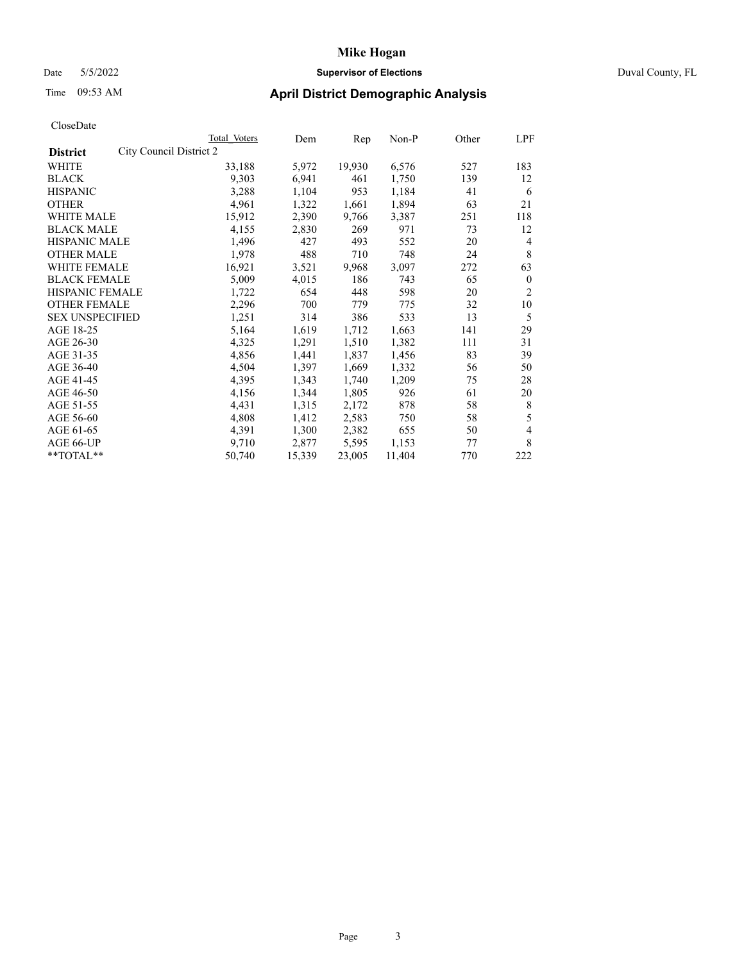### Date 5/5/2022 **Supervisor of Elections** Duval County, FL

# Time 09:53 AM **April District Demographic Analysis**

|                                            | <b>Total Voters</b> | Dem    | Rep    | $Non-P$ | Other | LPF            |
|--------------------------------------------|---------------------|--------|--------|---------|-------|----------------|
| City Council District 2<br><b>District</b> |                     |        |        |         |       |                |
| WHITE                                      | 33,188              | 5,972  | 19,930 | 6,576   | 527   | 183            |
| <b>BLACK</b>                               | 9,303               | 6,941  | 461    | 1,750   | 139   | 12             |
| <b>HISPANIC</b>                            | 3,288               | 1,104  | 953    | 1,184   | 41    | 6              |
| <b>OTHER</b>                               | 4,961               | 1,322  | 1,661  | 1,894   | 63    | 21             |
| <b>WHITE MALE</b>                          | 15,912              | 2,390  | 9,766  | 3,387   | 251   | 118            |
| <b>BLACK MALE</b>                          | 4,155               | 2,830  | 269    | 971     | 73    | 12             |
| <b>HISPANIC MALE</b>                       | 1,496               | 427    | 493    | 552     | 20    | 4              |
| <b>OTHER MALE</b>                          | 1,978               | 488    | 710    | 748     | 24    | 8              |
| WHITE FEMALE                               | 16,921              | 3,521  | 9,968  | 3,097   | 272   | 63             |
| <b>BLACK FEMALE</b>                        | 5,009               | 4,015  | 186    | 743     | 65    | $\mathbf{0}$   |
| <b>HISPANIC FEMALE</b>                     | 1,722               | 654    | 448    | 598     | 20    | $\overline{2}$ |
| <b>OTHER FEMALE</b>                        | 2,296               | 700    | 779    | 775     | 32    | 10             |
| <b>SEX UNSPECIFIED</b>                     | 1,251               | 314    | 386    | 533     | 13    | 5              |
| AGE 18-25                                  | 5,164               | 1,619  | 1,712  | 1,663   | 141   | 29             |
| AGE 26-30                                  | 4,325               | 1,291  | 1,510  | 1,382   | 111   | 31             |
| AGE 31-35                                  | 4,856               | 1,441  | 1,837  | 1,456   | 83    | 39             |
| AGE 36-40                                  | 4,504               | 1,397  | 1,669  | 1,332   | 56    | 50             |
| AGE 41-45                                  | 4,395               | 1,343  | 1,740  | 1,209   | 75    | 28             |
| AGE 46-50                                  | 4,156               | 1,344  | 1,805  | 926     | 61    | 20             |
| AGE 51-55                                  | 4,431               | 1,315  | 2,172  | 878     | 58    | 8              |
| AGE 56-60                                  | 4,808               | 1,412  | 2,583  | 750     | 58    | 5              |
| AGE 61-65                                  | 4,391               | 1,300  | 2,382  | 655     | 50    | 4              |
| AGE 66-UP                                  | 9,710               | 2,877  | 5,595  | 1,153   | 77    | 8              |
| $*$ $TOTAL**$                              | 50,740              | 15,339 | 23,005 | 11,404  | 770   | 222            |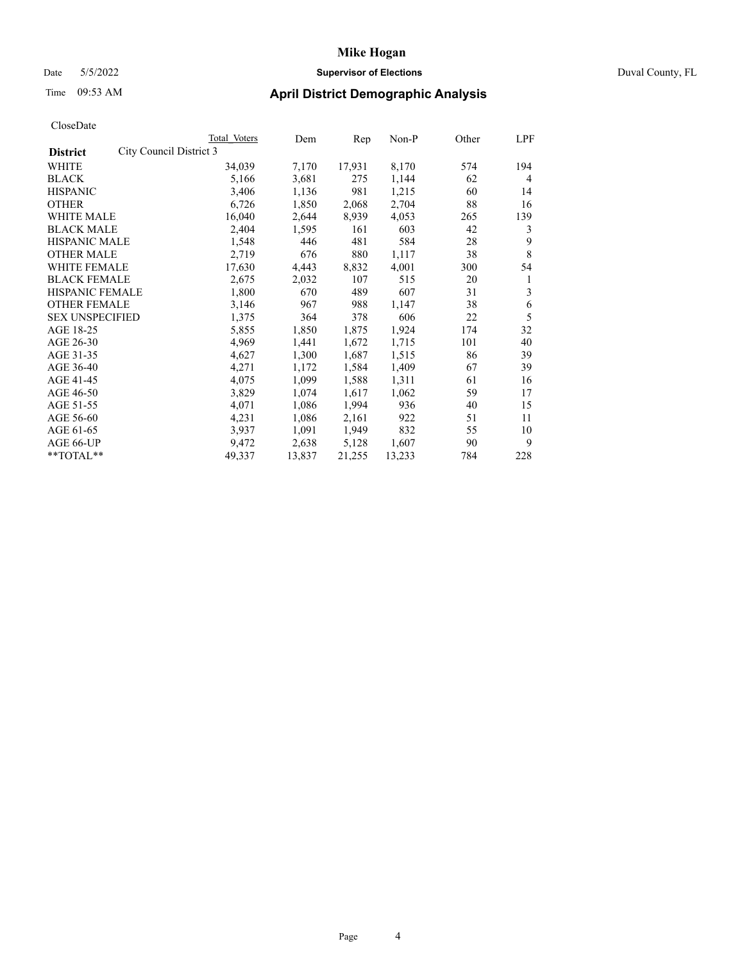# Date 5/5/2022 **Supervisor of Elections** Duval County, FL

# Time 09:53 AM **April District Demographic Analysis**

|                                            | Total Voters | Dem    | Rep    | Non-P  | Other | LPF |
|--------------------------------------------|--------------|--------|--------|--------|-------|-----|
| City Council District 3<br><b>District</b> |              |        |        |        |       |     |
| WHITE                                      | 34,039       | 7,170  | 17,931 | 8,170  | 574   | 194 |
| <b>BLACK</b>                               | 5,166        | 3,681  | 275    | 1,144  | 62    | 4   |
| <b>HISPANIC</b>                            | 3,406        | 1,136  | 981    | 1,215  | 60    | 14  |
| <b>OTHER</b>                               | 6,726        | 1,850  | 2,068  | 2,704  | 88    | 16  |
| WHITE MALE                                 | 16,040       | 2,644  | 8,939  | 4,053  | 265   | 139 |
| <b>BLACK MALE</b>                          | 2,404        | 1,595  | 161    | 603    | 42    | 3   |
| <b>HISPANIC MALE</b>                       | 1,548        | 446    | 481    | 584    | 28    | 9   |
| <b>OTHER MALE</b>                          | 2,719        | 676    | 880    | 1,117  | 38    | 8   |
| WHITE FEMALE                               | 17,630       | 4,443  | 8,832  | 4,001  | 300   | 54  |
| <b>BLACK FEMALE</b>                        | 2,675        | 2,032  | 107    | 515    | 20    | 1   |
| <b>HISPANIC FEMALE</b>                     | 1,800        | 670    | 489    | 607    | 31    | 3   |
| <b>OTHER FEMALE</b>                        | 3,146        | 967    | 988    | 1,147  | 38    | 6   |
| <b>SEX UNSPECIFIED</b>                     | 1,375        | 364    | 378    | 606    | 22    | 5   |
| AGE 18-25                                  | 5,855        | 1,850  | 1,875  | 1,924  | 174   | 32  |
| AGE 26-30                                  | 4,969        | 1,441  | 1,672  | 1,715  | 101   | 40  |
| AGE 31-35                                  | 4,627        | 1,300  | 1,687  | 1,515  | 86    | 39  |
| AGE 36-40                                  | 4,271        | 1,172  | 1,584  | 1,409  | 67    | 39  |
| AGE 41-45                                  | 4,075        | 1,099  | 1,588  | 1,311  | 61    | 16  |
| AGE 46-50                                  | 3,829        | 1,074  | 1,617  | 1,062  | 59    | 17  |
| AGE 51-55                                  | 4,071        | 1,086  | 1,994  | 936    | 40    | 15  |
| AGE 56-60                                  | 4,231        | 1,086  | 2,161  | 922    | 51    | 11  |
| AGE 61-65                                  | 3,937        | 1,091  | 1,949  | 832    | 55    | 10  |
| AGE 66-UP                                  | 9,472        | 2,638  | 5,128  | 1,607  | 90    | 9   |
| **TOTAL**                                  | 49,337       | 13,837 | 21,255 | 13,233 | 784   | 228 |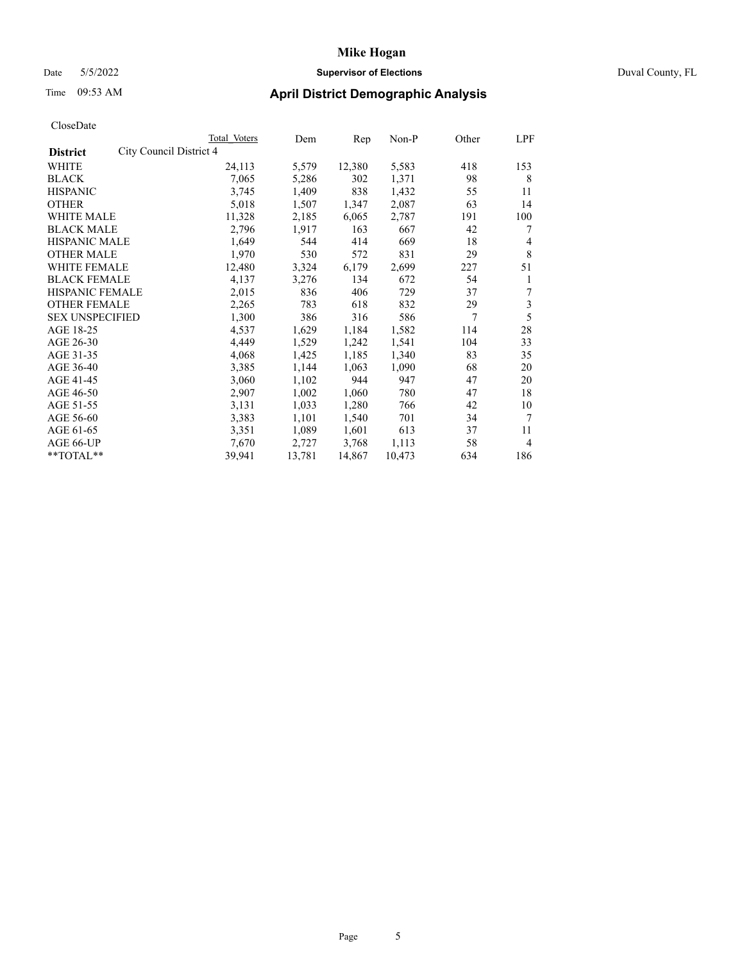### Date 5/5/2022 **Supervisor of Elections** Duval County, FL

# Time 09:53 AM **April District Demographic Analysis**

| Total Voters            | Dem    | Rep    | $Non-P$ | Other | LPF            |
|-------------------------|--------|--------|---------|-------|----------------|
| City Council District 4 |        |        |         |       |                |
| 24,113                  | 5,579  | 12,380 | 5,583   | 418   | 153            |
| 7,065                   | 5,286  | 302    | 1,371   | 98    | 8              |
| 3,745                   | 1,409  | 838    | 1,432   | 55    | 11             |
| 5,018                   | 1,507  | 1,347  | 2,087   | 63    | 14             |
| 11,328                  | 2,185  | 6,065  | 2,787   | 191   | 100            |
| 2,796                   | 1,917  | 163    | 667     | 42    | 7              |
| 1,649                   | 544    | 414    | 669     | 18    | 4              |
| 1,970                   | 530    | 572    | 831     | 29    | 8              |
| 12,480                  | 3,324  | 6,179  | 2,699   | 227   | 51             |
| 4,137                   | 3,276  | 134    | 672     | 54    | 1              |
| 2,015                   | 836    | 406    | 729     | 37    | 7              |
| 2,265                   | 783    | 618    | 832     | 29    | 3              |
| 1,300                   | 386    | 316    | 586     | 7     | 5              |
| 4,537                   | 1,629  | 1,184  | 1,582   | 114   | 28             |
| 4,449                   | 1,529  | 1,242  | 1,541   | 104   | 33             |
| 4,068                   | 1,425  | 1,185  | 1,340   | 83    | 35             |
| 3,385                   | 1,144  | 1,063  | 1,090   | 68    | 20             |
| 3,060                   | 1,102  | 944    | 947     | 47    | 20             |
| 2,907                   | 1,002  | 1,060  | 780     | 47    | 18             |
| 3,131                   | 1,033  | 1,280  | 766     | 42    | 10             |
| 3,383                   | 1,101  | 1,540  | 701     | 34    | 7              |
| 3,351                   | 1,089  | 1,601  | 613     | 37    | 11             |
| 7,670                   | 2,727  | 3,768  | 1,113   | 58    | $\overline{4}$ |
| 39,941                  | 13,781 | 14,867 | 10,473  | 634   | 186            |
|                         |        |        |         |       |                |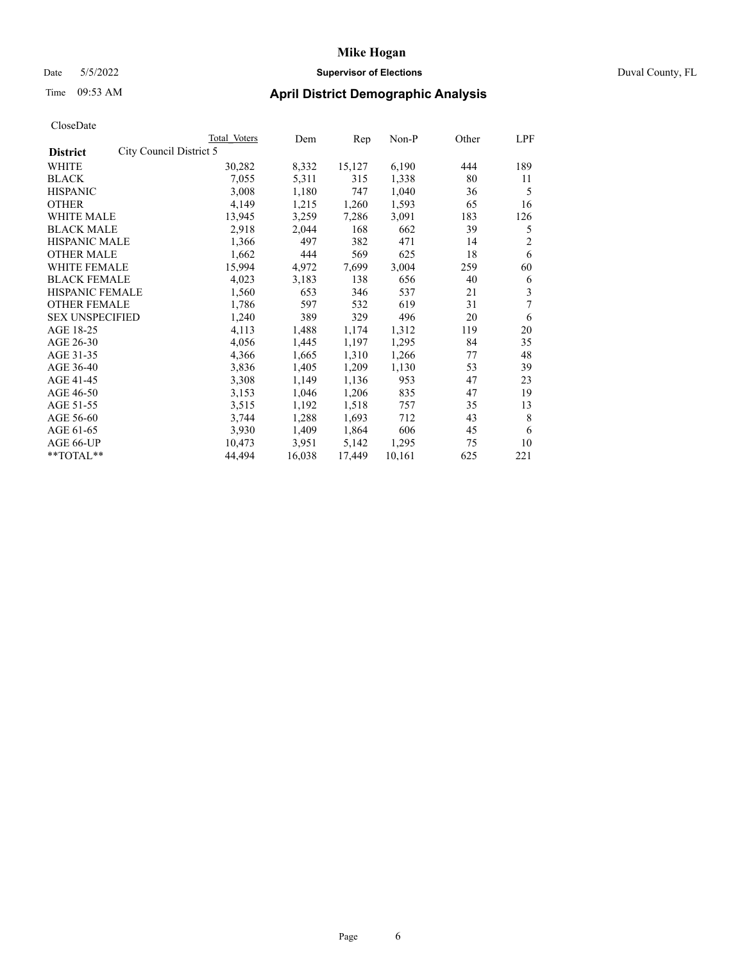### Date 5/5/2022 **Supervisor of Elections** Duval County, FL

# Time 09:53 AM **April District Demographic Analysis**

| Total Voters | Dem                     | Rep    | $Non-P$ | Other | LPF            |
|--------------|-------------------------|--------|---------|-------|----------------|
|              |                         |        |         |       |                |
| 30,282       | 8,332                   | 15,127 | 6,190   | 444   | 189            |
| 7,055        | 5,311                   | 315    | 1,338   | 80    | 11             |
| 3,008        | 1,180                   | 747    | 1,040   | 36    | 5              |
| 4,149        | 1,215                   | 1,260  | 1,593   | 65    | 16             |
| 13,945       | 3,259                   | 7,286  | 3,091   | 183   | 126            |
| 2,918        | 2,044                   | 168    | 662     | 39    | 5              |
| 1,366        | 497                     | 382    | 471     | 14    | $\overline{c}$ |
| 1,662        | 444                     | 569    | 625     | 18    | 6              |
| 15,994       | 4,972                   | 7,699  | 3,004   | 259   | 60             |
| 4,023        | 3,183                   | 138    | 656     | 40    | 6              |
| 1,560        | 653                     | 346    | 537     | 21    | 3              |
| 1,786        | 597                     | 532    | 619     | 31    | 7              |
| 1,240        | 389                     | 329    | 496     | 20    | 6              |
| 4,113        | 1,488                   | 1,174  | 1,312   | 119   | 20             |
| 4,056        | 1,445                   | 1,197  | 1,295   | 84    | 35             |
| 4,366        | 1,665                   | 1,310  | 1,266   | 77    | 48             |
| 3,836        | 1,405                   | 1,209  | 1,130   | 53    | 39             |
| 3,308        | 1,149                   | 1,136  | 953     | 47    | 23             |
| 3,153        | 1,046                   | 1,206  | 835     | 47    | 19             |
| 3,515        | 1,192                   | 1,518  | 757     | 35    | 13             |
| 3,744        | 1,288                   | 1,693  | 712     | 43    | 8              |
| 3,930        | 1,409                   | 1,864  | 606     | 45    | 6              |
| 10,473       | 3,951                   | 5,142  | 1,295   | 75    | 10             |
| 44,494       | 16,038                  | 17,449 | 10,161  | 625   | 221            |
|              | City Council District 5 |        |         |       |                |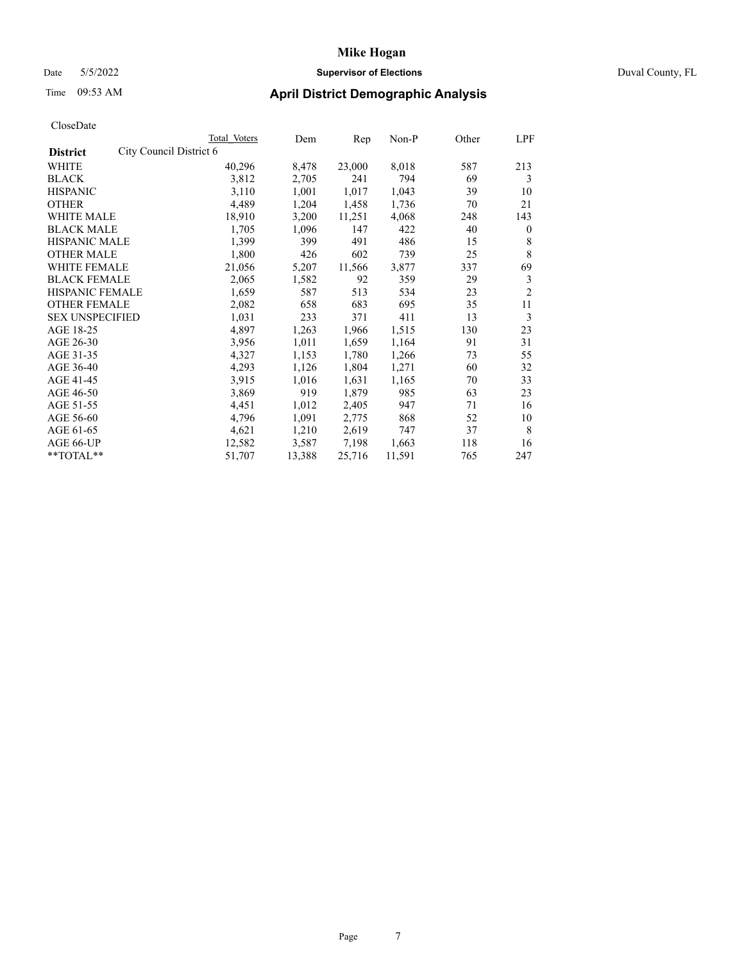## Date 5/5/2022 **Supervisor of Elections** Duval County, FL

# Time 09:53 AM **April District Demographic Analysis**

| Total Voters            | Dem    | Rep    | $Non-P$ | Other | LPF            |
|-------------------------|--------|--------|---------|-------|----------------|
| City Council District 6 |        |        |         |       |                |
| 40,296                  | 8,478  | 23,000 | 8,018   | 587   | 213            |
| 3,812                   | 2,705  | 241    | 794     | 69    | 3              |
| 3,110                   | 1,001  | 1,017  | 1,043   | 39    | 10             |
| 4,489                   | 1,204  | 1,458  | 1,736   | 70    | 21             |
| 18,910                  | 3,200  | 11,251 | 4,068   | 248   | 143            |
| 1,705                   | 1,096  | 147    | 422     | 40    | $\mathbf{0}$   |
| 1,399                   | 399    | 491    | 486     | 15    | 8              |
| 1,800                   | 426    | 602    | 739     | 25    | 8              |
| 21,056                  | 5,207  | 11,566 | 3,877   | 337   | 69             |
| 2,065                   | 1,582  | 92     | 359     | 29    | 3              |
| 1,659                   | 587    | 513    | 534     | 23    | $\overline{2}$ |
| 2,082                   | 658    | 683    | 695     | 35    | 11             |
| 1,031                   | 233    | 371    | 411     | 13    | 3              |
| 4,897                   | 1,263  | 1,966  | 1,515   | 130   | 23             |
| 3,956                   | 1,011  | 1,659  | 1,164   | 91    | 31             |
| 4,327                   | 1,153  | 1,780  | 1,266   | 73    | 55             |
| 4,293                   | 1,126  | 1,804  | 1,271   | 60    | 32             |
| 3,915                   | 1,016  | 1,631  | 1,165   | 70    | 33             |
| 3,869                   | 919    | 1,879  | 985     | 63    | 23             |
| 4,451                   | 1,012  | 2,405  | 947     | 71    | 16             |
| 4,796                   | 1,091  | 2,775  | 868     | 52    | 10             |
| 4,621                   | 1,210  | 2,619  | 747     | 37    | 8              |
| 12,582                  | 3,587  | 7,198  | 1,663   | 118   | 16             |
| 51,707                  | 13,388 | 25,716 | 11,591  | 765   | 247            |
|                         |        |        |         |       |                |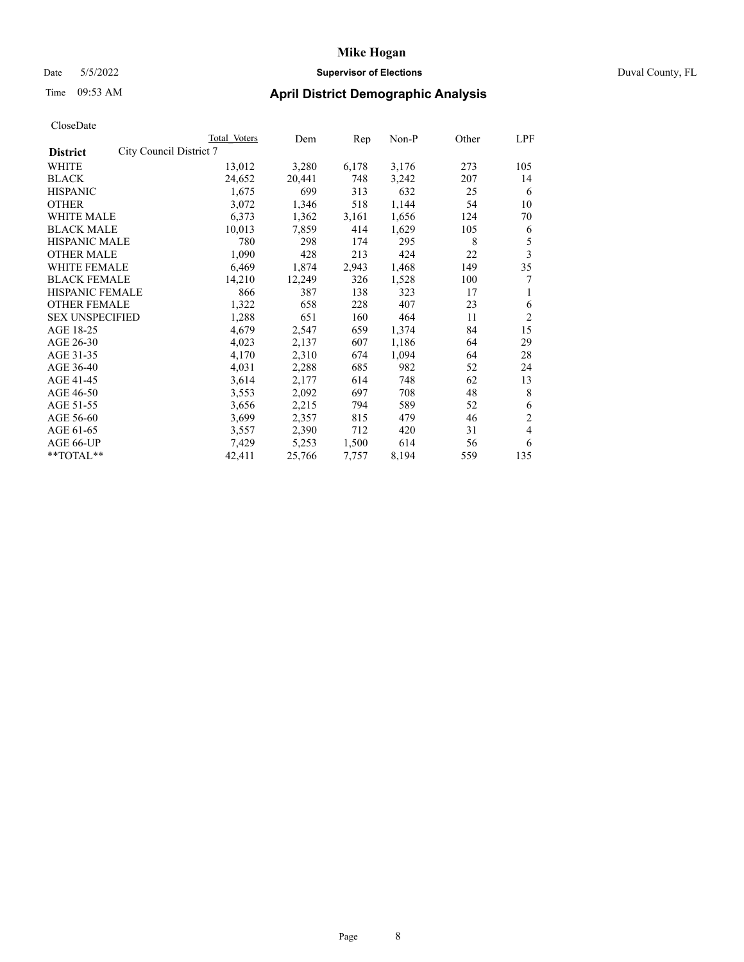### Date 5/5/2022 **Supervisor of Elections** Duval County, FL

| CloseDate |
|-----------|
|-----------|

|                                            | Total Voters | Dem    | Rep   | Non-P | Other | LPF            |
|--------------------------------------------|--------------|--------|-------|-------|-------|----------------|
| City Council District 7<br><b>District</b> |              |        |       |       |       |                |
| WHITE                                      | 13,012       | 3,280  | 6,178 | 3,176 | 273   | 105            |
| <b>BLACK</b>                               | 24,652       | 20,441 | 748   | 3,242 | 207   | 14             |
| <b>HISPANIC</b>                            | 1,675        | 699    | 313   | 632   | 25    | 6              |
| <b>OTHER</b>                               | 3,072        | 1,346  | 518   | 1,144 | 54    | 10             |
| <b>WHITE MALE</b>                          | 6,373        | 1,362  | 3,161 | 1,656 | 124   | 70             |
| <b>BLACK MALE</b>                          | 10,013       | 7,859  | 414   | 1,629 | 105   | 6              |
| <b>HISPANIC MALE</b>                       | 780          | 298    | 174   | 295   | 8     | 5              |
| <b>OTHER MALE</b>                          | 1,090        | 428    | 213   | 424   | 22    | 3              |
| WHITE FEMALE                               | 6,469        | 1,874  | 2,943 | 1,468 | 149   | 35             |
| <b>BLACK FEMALE</b>                        | 14,210       | 12,249 | 326   | 1,528 | 100   | 7              |
| <b>HISPANIC FEMALE</b>                     | 866          | 387    | 138   | 323   | 17    | 1              |
| <b>OTHER FEMALE</b>                        | 1,322        | 658    | 228   | 407   | 23    | 6              |
| <b>SEX UNSPECIFIED</b>                     | 1,288        | 651    | 160   | 464   | 11    | 2              |
| AGE 18-25                                  | 4,679        | 2,547  | 659   | 1,374 | 84    | 15             |
| AGE 26-30                                  | 4,023        | 2,137  | 607   | 1,186 | 64    | 29             |
| AGE 31-35                                  | 4,170        | 2,310  | 674   | 1,094 | 64    | 28             |
| AGE 36-40                                  | 4,031        | 2,288  | 685   | 982   | 52    | 24             |
| AGE 41-45                                  | 3,614        | 2,177  | 614   | 748   | 62    | 13             |
| AGE 46-50                                  | 3,553        | 2,092  | 697   | 708   | 48    | 8              |
| AGE 51-55                                  | 3,656        | 2,215  | 794   | 589   | 52    | 6              |
| AGE 56-60                                  | 3,699        | 2,357  | 815   | 479   | 46    | 2              |
| AGE 61-65                                  | 3,557        | 2,390  | 712   | 420   | 31    | $\overline{4}$ |
| AGE 66-UP                                  | 7,429        | 5,253  | 1,500 | 614   | 56    | 6              |
| **TOTAL**                                  | 42,411       | 25,766 | 7,757 | 8,194 | 559   | 135            |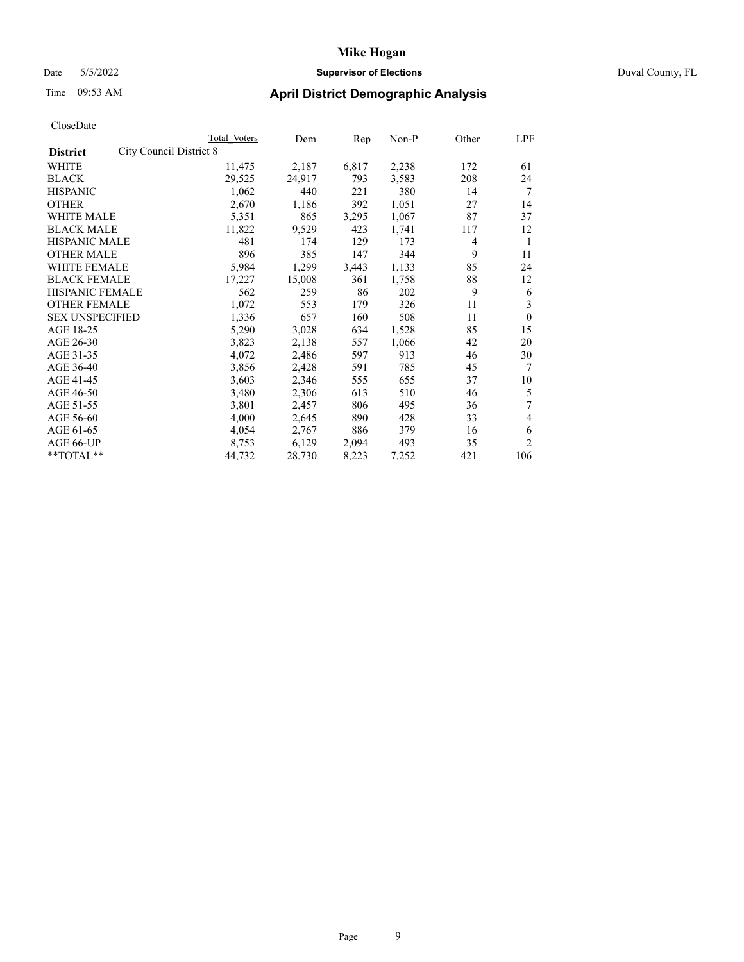### Date 5/5/2022 **Supervisor of Elections** Duval County, FL

| CloseDate |
|-----------|
|-----------|

|                                            | Total Voters | Dem    | Rep   | Non-P | Other | LPF            |
|--------------------------------------------|--------------|--------|-------|-------|-------|----------------|
| City Council District 8<br><b>District</b> |              |        |       |       |       |                |
| WHITE                                      | 11,475       | 2,187  | 6,817 | 2,238 | 172   | 61             |
| <b>BLACK</b>                               | 29,525       | 24,917 | 793   | 3,583 | 208   | 24             |
| <b>HISPANIC</b>                            | 1,062        | 440    | 221   | 380   | 14    | 7              |
| <b>OTHER</b>                               | 2,670        | 1,186  | 392   | 1,051 | 27    | 14             |
| <b>WHITE MALE</b>                          | 5,351        | 865    | 3,295 | 1,067 | 87    | 37             |
| <b>BLACK MALE</b>                          | 11,822       | 9,529  | 423   | 1,741 | 117   | 12             |
| <b>HISPANIC MALE</b>                       | 481          | 174    | 129   | 173   | 4     | 1              |
| <b>OTHER MALE</b>                          | 896          | 385    | 147   | 344   | 9     | 11             |
| WHITE FEMALE                               | 5,984        | 1,299  | 3,443 | 1,133 | 85    | 24             |
| <b>BLACK FEMALE</b>                        | 17,227       | 15,008 | 361   | 1,758 | 88    | 12             |
| <b>HISPANIC FEMALE</b>                     | 562          | 259    | 86    | 202   | 9     | 6              |
| <b>OTHER FEMALE</b>                        | 1,072        | 553    | 179   | 326   | 11    | 3              |
| <b>SEX UNSPECIFIED</b>                     | 1,336        | 657    | 160   | 508   | 11    | $\theta$       |
| AGE 18-25                                  | 5,290        | 3,028  | 634   | 1,528 | 85    | 15             |
| AGE 26-30                                  | 3,823        | 2,138  | 557   | 1,066 | 42    | 20             |
| AGE 31-35                                  | 4,072        | 2,486  | 597   | 913   | 46    | 30             |
| AGE 36-40                                  | 3,856        | 2,428  | 591   | 785   | 45    | 7              |
| AGE 41-45                                  | 3,603        | 2,346  | 555   | 655   | 37    | 10             |
| AGE 46-50                                  | 3,480        | 2,306  | 613   | 510   | 46    | 5              |
| AGE 51-55                                  | 3,801        | 2,457  | 806   | 495   | 36    | 7              |
| AGE 56-60                                  | 4,000        | 2,645  | 890   | 428   | 33    | 4              |
| AGE 61-65                                  | 4,054        | 2,767  | 886   | 379   | 16    | 6              |
| AGE 66-UP                                  | 8,753        | 6,129  | 2,094 | 493   | 35    | $\overline{c}$ |
| **TOTAL**                                  | 44,732       | 28,730 | 8,223 | 7,252 | 421   | 106            |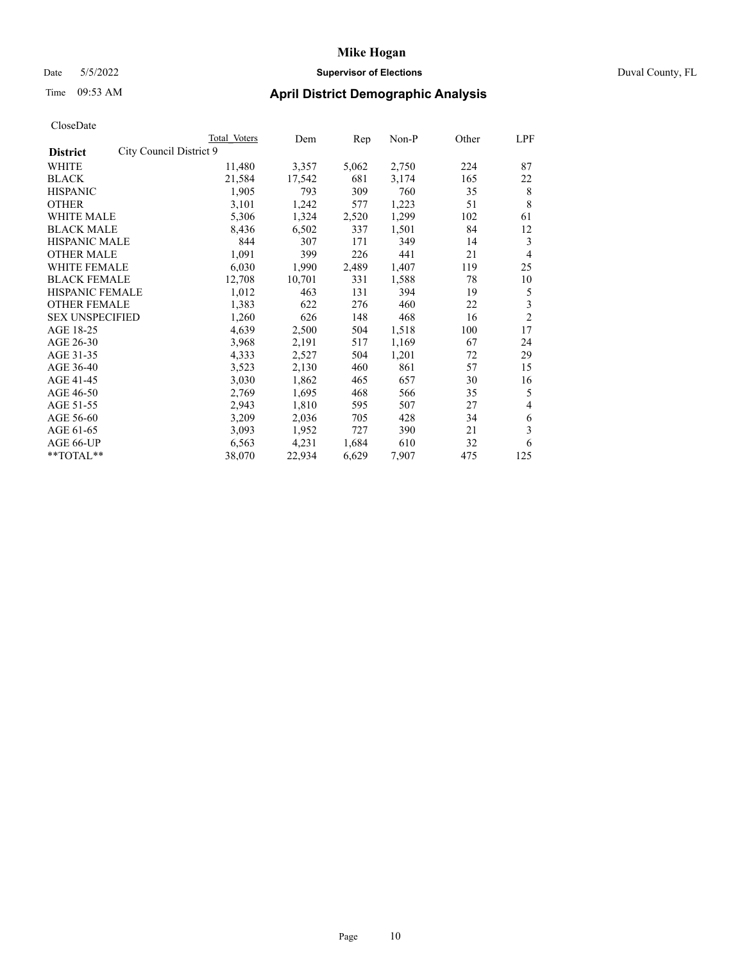### Date 5/5/2022 **Supervisor of Elections** Duval County, FL

| CloseDate |
|-----------|
|-----------|

|                                            | Total Voters | Dem    | Rep   | Non-P | Other | LPF            |
|--------------------------------------------|--------------|--------|-------|-------|-------|----------------|
| City Council District 9<br><b>District</b> |              |        |       |       |       |                |
| WHITE                                      | 11,480       | 3,357  | 5,062 | 2,750 | 224   | 87             |
| <b>BLACK</b>                               | 21,584       | 17,542 | 681   | 3,174 | 165   | 22             |
| <b>HISPANIC</b>                            | 1,905        | 793    | 309   | 760   | 35    | 8              |
| <b>OTHER</b>                               | 3,101        | 1,242  | 577   | 1,223 | 51    | 8              |
| <b>WHITE MALE</b>                          | 5,306        | 1,324  | 2,520 | 1,299 | 102   | 61             |
| <b>BLACK MALE</b>                          | 8,436        | 6,502  | 337   | 1,501 | 84    | 12             |
| <b>HISPANIC MALE</b>                       | 844          | 307    | 171   | 349   | 14    | 3              |
| <b>OTHER MALE</b>                          | 1,091        | 399    | 226   | 441   | 21    | $\overline{4}$ |
| WHITE FEMALE                               | 6,030        | 1,990  | 2,489 | 1,407 | 119   | 25             |
| <b>BLACK FEMALE</b>                        | 12,708       | 10,701 | 331   | 1,588 | 78    | 10             |
| <b>HISPANIC FEMALE</b>                     | 1,012        | 463    | 131   | 394   | 19    | 5              |
| <b>OTHER FEMALE</b>                        | 1,383        | 622    | 276   | 460   | 22    | 3              |
| <b>SEX UNSPECIFIED</b>                     | 1,260        | 626    | 148   | 468   | 16    | $\overline{2}$ |
| AGE 18-25                                  | 4,639        | 2,500  | 504   | 1,518 | 100   | 17             |
| AGE 26-30                                  | 3,968        | 2,191  | 517   | 1,169 | 67    | 24             |
| AGE 31-35                                  | 4,333        | 2,527  | 504   | 1,201 | 72    | 29             |
| AGE 36-40                                  | 3,523        | 2,130  | 460   | 861   | 57    | 15             |
| AGE 41-45                                  | 3,030        | 1,862  | 465   | 657   | 30    | 16             |
| AGE 46-50                                  | 2,769        | 1,695  | 468   | 566   | 35    | 5              |
| AGE 51-55                                  | 2,943        | 1,810  | 595   | 507   | 27    | 4              |
| AGE 56-60                                  | 3,209        | 2,036  | 705   | 428   | 34    | 6              |
| AGE 61-65                                  | 3,093        | 1,952  | 727   | 390   | 21    | 3              |
| AGE 66-UP                                  | 6,563        | 4,231  | 1,684 | 610   | 32    | 6              |
| **TOTAL**                                  | 38,070       | 22,934 | 6,629 | 7,907 | 475   | 125            |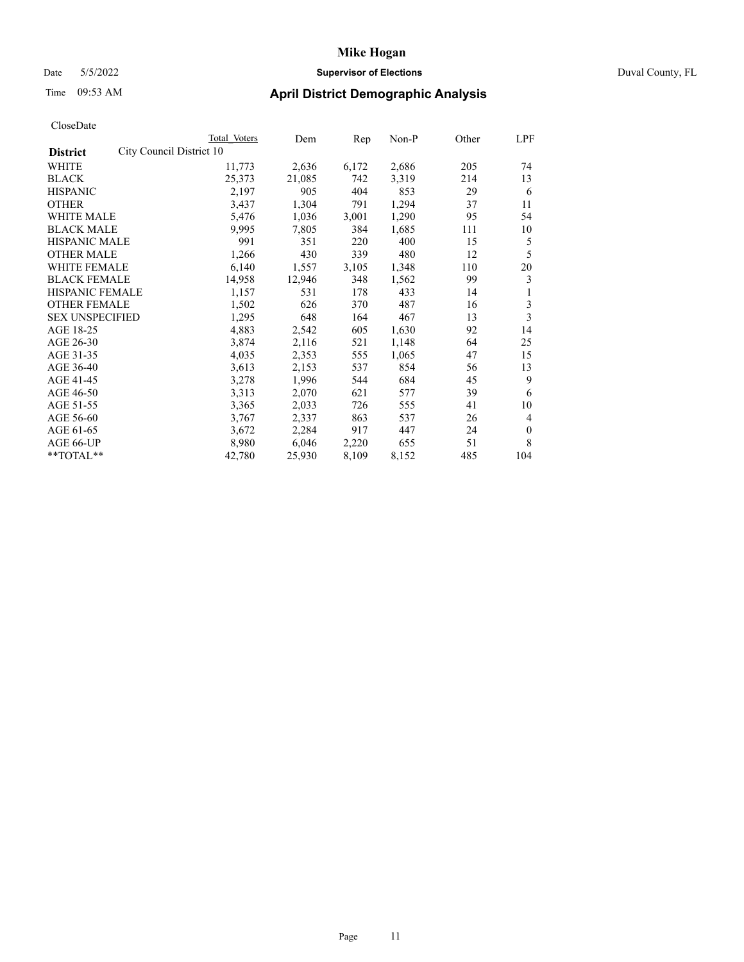### Date 5/5/2022 **Supervisor of Elections** Duval County, FL

| CloseDate |
|-----------|
|-----------|

|                                             | Total Voters | Dem    | Rep   | Non-P | Other | LPF          |
|---------------------------------------------|--------------|--------|-------|-------|-------|--------------|
| City Council District 10<br><b>District</b> |              |        |       |       |       |              |
| WHITE                                       | 11,773       | 2,636  | 6,172 | 2,686 | 205   | 74           |
| <b>BLACK</b>                                | 25,373       | 21,085 | 742   | 3,319 | 214   | 13           |
| <b>HISPANIC</b>                             | 2,197        | 905    | 404   | 853   | 29    | 6            |
| <b>OTHER</b>                                | 3,437        | 1,304  | 791   | 1,294 | 37    | 11           |
| <b>WHITE MALE</b>                           | 5,476        | 1,036  | 3,001 | 1,290 | 95    | 54           |
| <b>BLACK MALE</b>                           | 9,995        | 7,805  | 384   | 1,685 | 111   | 10           |
| <b>HISPANIC MALE</b>                        | 991          | 351    | 220   | 400   | 15    | 5            |
| <b>OTHER MALE</b>                           | 1,266        | 430    | 339   | 480   | 12    | 5            |
| <b>WHITE FEMALE</b>                         | 6,140        | 1,557  | 3,105 | 1,348 | 110   | 20           |
| <b>BLACK FEMALE</b>                         | 14,958       | 12,946 | 348   | 1,562 | 99    | 3            |
| <b>HISPANIC FEMALE</b>                      | 1,157        | 531    | 178   | 433   | 14    | 1            |
| <b>OTHER FEMALE</b>                         | 1,502        | 626    | 370   | 487   | 16    | 3            |
| <b>SEX UNSPECIFIED</b>                      | 1,295        | 648    | 164   | 467   | 13    | 3            |
| AGE 18-25                                   | 4,883        | 2,542  | 605   | 1,630 | 92    | 14           |
| AGE 26-30                                   | 3,874        | 2,116  | 521   | 1,148 | 64    | 25           |
| AGE 31-35                                   | 4,035        | 2,353  | 555   | 1,065 | 47    | 15           |
| AGE 36-40                                   | 3,613        | 2,153  | 537   | 854   | 56    | 13           |
| AGE 41-45                                   | 3,278        | 1,996  | 544   | 684   | 45    | 9            |
| AGE 46-50                                   | 3,313        | 2,070  | 621   | 577   | 39    | 6            |
| AGE 51-55                                   | 3,365        | 2,033  | 726   | 555   | 41    | 10           |
| AGE 56-60                                   | 3,767        | 2,337  | 863   | 537   | 26    | 4            |
| AGE 61-65                                   | 3,672        | 2,284  | 917   | 447   | 24    | $\mathbf{0}$ |
| AGE 66-UP                                   | 8,980        | 6,046  | 2,220 | 655   | 51    | 8            |
| $*$ $TOTAL**$                               | 42,780       | 25,930 | 8,109 | 8,152 | 485   | 104          |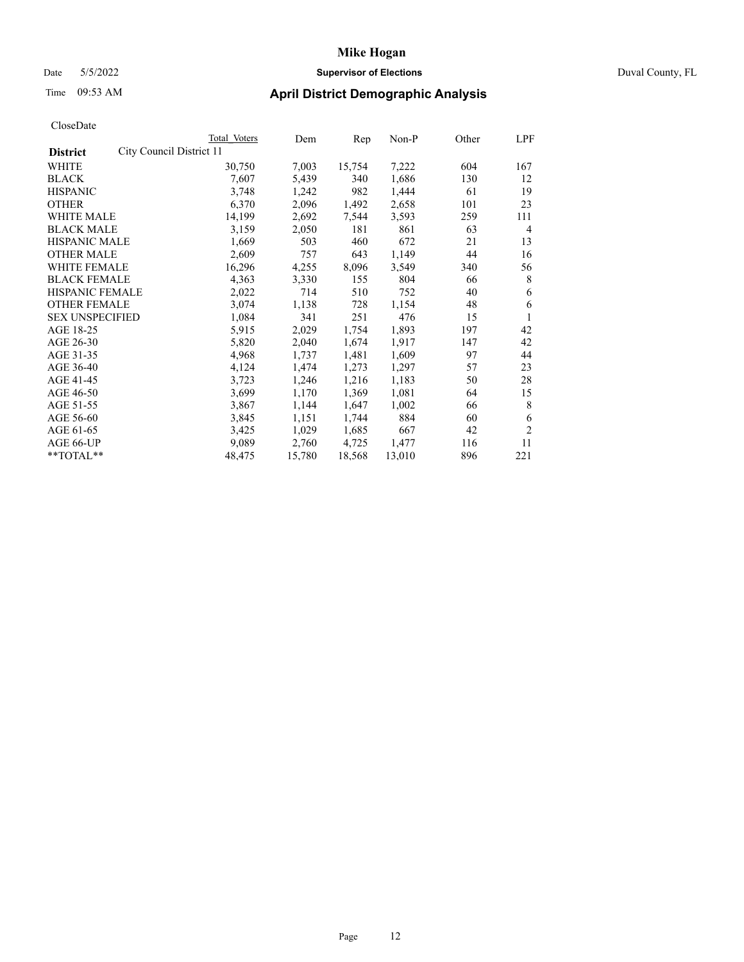### Date 5/5/2022 **Supervisor of Elections** Duval County, FL

| CloseDate |
|-----------|
|-----------|

| Total Voters | Dem                      |        | Non-P                            | Other | LPF            |
|--------------|--------------------------|--------|----------------------------------|-------|----------------|
|              |                          |        |                                  |       |                |
| 30,750       | 7,003                    | 15,754 | 7,222                            | 604   | 167            |
| 7,607        | 5,439                    | 340    | 1,686                            | 130   | 12             |
| 3,748        | 1,242                    | 982    | 1,444                            | 61    | 19             |
| 6,370        | 2,096                    | 1,492  | 2,658                            | 101   | 23             |
| 14,199       | 2,692                    | 7,544  | 3,593                            | 259   | 111            |
| 3,159        | 2,050                    | 181    | 861                              | 63    | 4              |
| 1,669        | 503                      | 460    | 672                              | 21    | 13             |
| 2,609        | 757                      | 643    | 1,149                            | 44    | 16             |
| 16,296       | 4,255                    | 8,096  | 3,549                            | 340   | 56             |
| 4,363        | 3,330                    | 155    | 804                              | 66    | 8              |
| 2,022        | 714                      | 510    | 752                              | 40    | 6              |
| 3,074        | 1,138                    | 728    | 1,154                            | 48    | 6              |
| 1,084        | 341                      | 251    | 476                              | 15    | 1              |
| 5,915        | 2,029                    | 1,754  | 1,893                            | 197   | 42             |
| 5,820        | 2,040                    | 1,674  | 1,917                            | 147   | 42             |
| 4,968        | 1,737                    | 1,481  | 1,609                            | 97    | 44             |
| 4,124        | 1,474                    | 1,273  | 1,297                            | 57    | 23             |
| 3,723        | 1,246                    | 1,216  | 1,183                            | 50    | 28             |
| 3,699        | 1,170                    | 1,369  | 1,081                            | 64    | 15             |
| 3,867        | 1,144                    | 1,647  | 1,002                            | 66    | 8              |
| 3,845        | 1,151                    | 1,744  | 884                              | 60    | 6              |
| 3,425        | 1,029                    | 1,685  | 667                              | 42    | $\overline{2}$ |
| 9,089        | 2,760                    | 4,725  | 1,477                            | 116   | 11             |
| 48,475       | 15,780                   | 18,568 | 13,010                           | 896   | 221            |
|              | City Council District 11 |        | $\mathop{\mathrm{Rep}}\nolimits$ |       |                |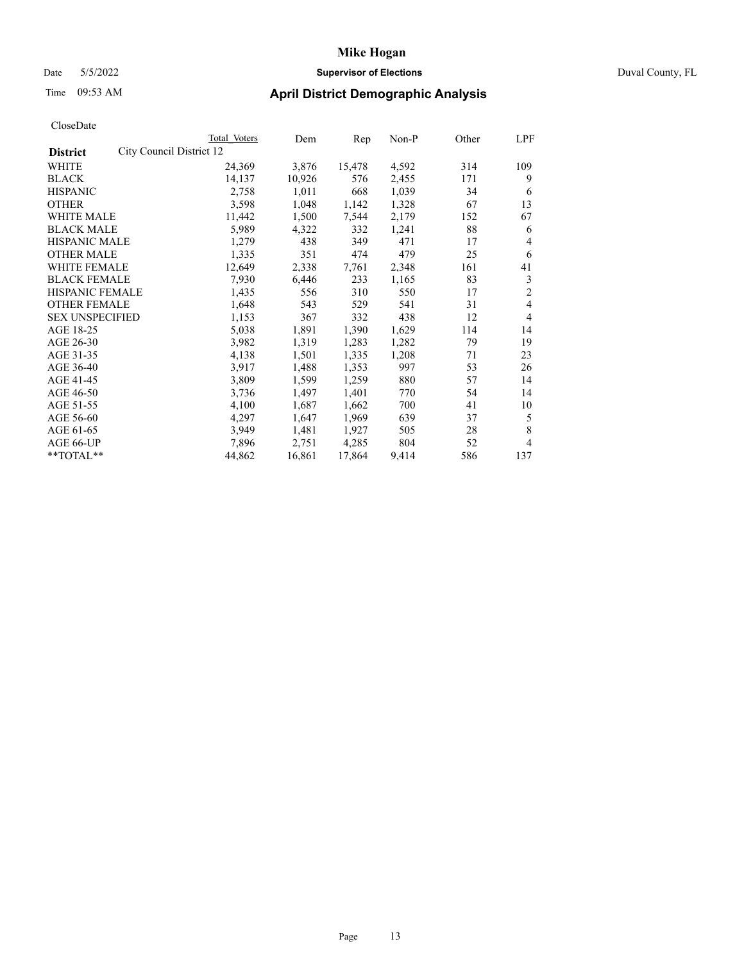### Date 5/5/2022 **Supervisor of Elections** Duval County, FL

# Time 09:53 AM **April District Demographic Analysis**

|                                             | Total Voters | Dem    | Rep    | $Non-P$ | Other | LPF            |
|---------------------------------------------|--------------|--------|--------|---------|-------|----------------|
| City Council District 12<br><b>District</b> |              |        |        |         |       |                |
| WHITE                                       | 24,369       | 3,876  | 15,478 | 4,592   | 314   | 109            |
| <b>BLACK</b>                                | 14,137       | 10,926 | 576    | 2,455   | 171   | 9              |
| <b>HISPANIC</b>                             | 2,758        | 1,011  | 668    | 1,039   | 34    | 6              |
| <b>OTHER</b>                                | 3,598        | 1,048  | 1,142  | 1,328   | 67    | 13             |
| <b>WHITE MALE</b>                           | 11,442       | 1,500  | 7,544  | 2,179   | 152   | 67             |
| <b>BLACK MALE</b>                           | 5,989        | 4,322  | 332    | 1,241   | 88    | 6              |
| <b>HISPANIC MALE</b>                        | 1,279        | 438    | 349    | 471     | 17    | 4              |
| <b>OTHER MALE</b>                           | 1,335        | 351    | 474    | 479     | 25    | 6              |
| WHITE FEMALE                                | 12,649       | 2,338  | 7,761  | 2,348   | 161   | 41             |
| <b>BLACK FEMALE</b>                         | 7,930        | 6,446  | 233    | 1,165   | 83    | 3              |
| HISPANIC FEMALE                             | 1,435        | 556    | 310    | 550     | 17    | $\overline{2}$ |
| <b>OTHER FEMALE</b>                         | 1,648        | 543    | 529    | 541     | 31    | 4              |
| <b>SEX UNSPECIFIED</b>                      | 1,153        | 367    | 332    | 438     | 12    | 4              |
| AGE 18-25                                   | 5,038        | 1,891  | 1,390  | 1,629   | 114   | 14             |
| AGE 26-30                                   | 3,982        | 1,319  | 1,283  | 1,282   | 79    | 19             |
| AGE 31-35                                   | 4,138        | 1,501  | 1,335  | 1,208   | 71    | 23             |
| AGE 36-40                                   | 3,917        | 1,488  | 1,353  | 997     | 53    | 26             |
| AGE 41-45                                   | 3,809        | 1,599  | 1,259  | 880     | 57    | 14             |
| AGE 46-50                                   | 3,736        | 1,497  | 1,401  | 770     | 54    | 14             |
| AGE 51-55                                   | 4,100        | 1,687  | 1,662  | 700     | 41    | 10             |
| AGE 56-60                                   | 4,297        | 1,647  | 1,969  | 639     | 37    | 5              |
| AGE 61-65                                   | 3,949        | 1,481  | 1,927  | 505     | 28    | 8              |
| AGE 66-UP                                   | 7,896        | 2,751  | 4,285  | 804     | 52    | 4              |
| **TOTAL**                                   | 44,862       | 16,861 | 17,864 | 9,414   | 586   | 137            |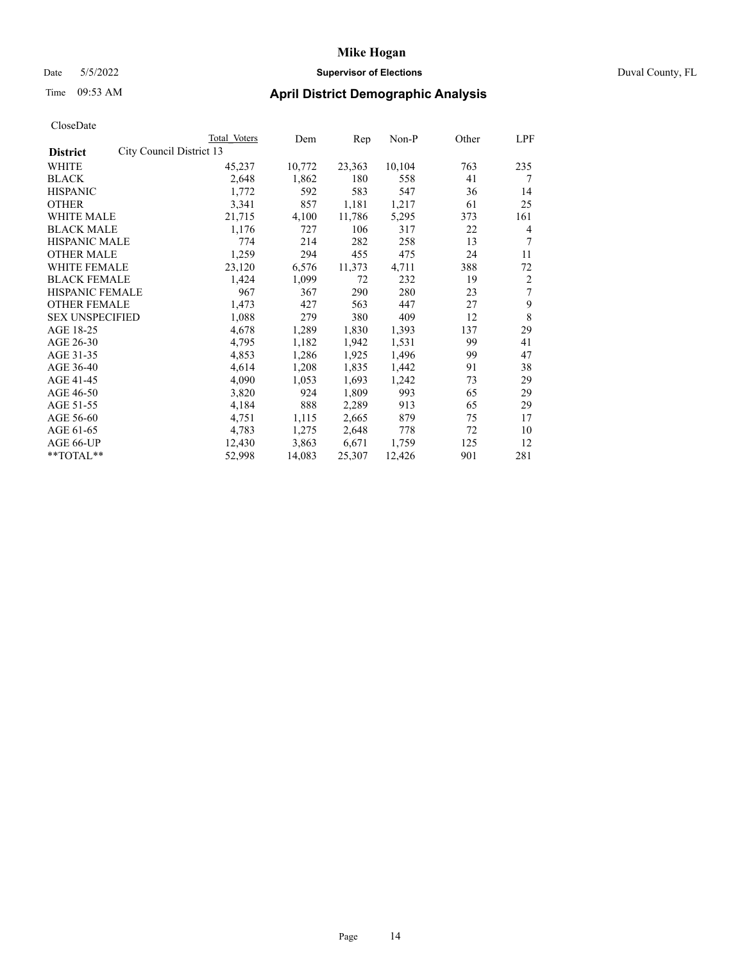### Date 5/5/2022 **Supervisor of Elections** Duval County, FL

# Time 09:53 AM **April District Demographic Analysis**

|                                             | Total Voters | Dem    | Rep    | Non-P  | Other | LPF |
|---------------------------------------------|--------------|--------|--------|--------|-------|-----|
| City Council District 13<br><b>District</b> |              |        |        |        |       |     |
| WHITE                                       | 45,237       | 10,772 | 23,363 | 10,104 | 763   | 235 |
| <b>BLACK</b>                                | 2,648        | 1,862  | 180    | 558    | 41    | 7   |
| <b>HISPANIC</b>                             | 1,772        | 592    | 583    | 547    | 36    | 14  |
| <b>OTHER</b>                                | 3,341        | 857    | 1,181  | 1,217  | 61    | 25  |
| <b>WHITE MALE</b>                           | 21,715       | 4,100  | 11,786 | 5,295  | 373   | 161 |
| <b>BLACK MALE</b>                           | 1,176        | 727    | 106    | 317    | 22    | 4   |
| <b>HISPANIC MALE</b>                        | 774          | 214    | 282    | 258    | 13    | 7   |
| <b>OTHER MALE</b>                           | 1,259        | 294    | 455    | 475    | 24    | 11  |
| WHITE FEMALE                                | 23,120       | 6,576  | 11,373 | 4,711  | 388   | 72  |
| <b>BLACK FEMALE</b>                         | 1,424        | 1,099  | 72     | 232    | 19    | 2   |
| HISPANIC FEMALE                             | 967          | 367    | 290    | 280    | 23    | 7   |
| <b>OTHER FEMALE</b>                         | 1,473        | 427    | 563    | 447    | 27    | 9   |
| <b>SEX UNSPECIFIED</b>                      | 1,088        | 279    | 380    | 409    | 12    | 8   |
| AGE 18-25                                   | 4,678        | 1,289  | 1,830  | 1,393  | 137   | 29  |
| AGE 26-30                                   | 4,795        | 1,182  | 1,942  | 1,531  | 99    | 41  |
| AGE 31-35                                   | 4,853        | 1,286  | 1,925  | 1,496  | 99    | 47  |
| AGE 36-40                                   | 4,614        | 1,208  | 1,835  | 1,442  | 91    | 38  |
| AGE 41-45                                   | 4,090        | 1,053  | 1,693  | 1,242  | 73    | 29  |
| AGE 46-50                                   | 3,820        | 924    | 1,809  | 993    | 65    | 29  |
| AGE 51-55                                   | 4,184        | 888    | 2,289  | 913    | 65    | 29  |
| AGE 56-60                                   | 4,751        | 1,115  | 2,665  | 879    | 75    | 17  |
| AGE 61-65                                   | 4,783        | 1,275  | 2,648  | 778    | 72    | 10  |
| AGE 66-UP                                   | 12,430       | 3,863  | 6,671  | 1,759  | 125   | 12  |
| **TOTAL**                                   | 52,998       | 14,083 | 25,307 | 12,426 | 901   | 281 |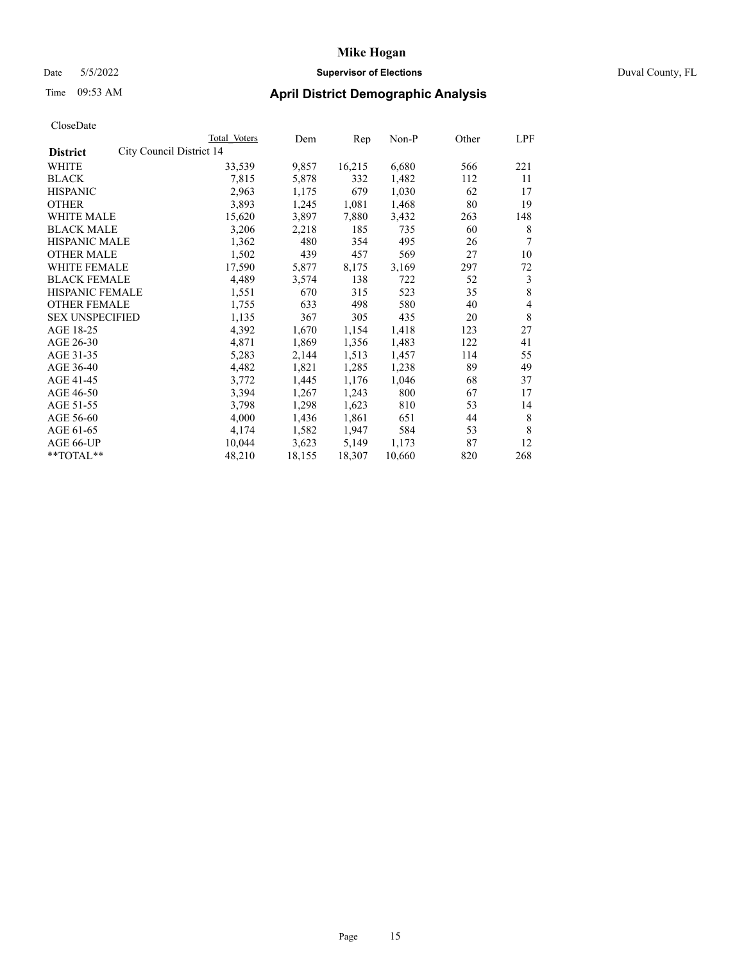# Date 5/5/2022 **Supervisor of Elections** Duval County, FL

# Time 09:53 AM **April District Demographic Analysis**

|                        | Total Voters             | Dem    | Rep    | Non-P  | Other | LPF |
|------------------------|--------------------------|--------|--------|--------|-------|-----|
| <b>District</b>        | City Council District 14 |        |        |        |       |     |
| WHITE                  | 33,539                   | 9,857  | 16,215 | 6,680  | 566   | 221 |
| <b>BLACK</b>           | 7,815                    | 5,878  | 332    | 1,482  | 112   | 11  |
| <b>HISPANIC</b>        | 2,963                    | 1,175  | 679    | 1,030  | 62    | 17  |
| <b>OTHER</b>           | 3,893                    | 1,245  | 1,081  | 1,468  | 80    | 19  |
| WHITE MALE             | 15,620                   | 3,897  | 7,880  | 3,432  | 263   | 148 |
| <b>BLACK MALE</b>      | 3,206                    | 2,218  | 185    | 735    | 60    | 8   |
| <b>HISPANIC MALE</b>   | 1,362                    | 480    | 354    | 495    | 26    | 7   |
| <b>OTHER MALE</b>      | 1,502                    | 439    | 457    | 569    | 27    | 10  |
| WHITE FEMALE           | 17,590                   | 5,877  | 8,175  | 3,169  | 297   | 72  |
| <b>BLACK FEMALE</b>    | 4,489                    | 3,574  | 138    | 722    | 52    | 3   |
| <b>HISPANIC FEMALE</b> | 1,551                    | 670    | 315    | 523    | 35    | 8   |
| <b>OTHER FEMALE</b>    | 1,755                    | 633    | 498    | 580    | 40    | 4   |
| <b>SEX UNSPECIFIED</b> | 1,135                    | 367    | 305    | 435    | 20    | 8   |
| AGE 18-25              | 4,392                    | 1,670  | 1,154  | 1,418  | 123   | 27  |
| AGE 26-30              | 4,871                    | 1,869  | 1,356  | 1,483  | 122   | 41  |
| AGE 31-35              | 5,283                    | 2,144  | 1,513  | 1,457  | 114   | 55  |
| AGE 36-40              | 4,482                    | 1,821  | 1,285  | 1,238  | 89    | 49  |
| AGE 41-45              | 3,772                    | 1,445  | 1,176  | 1,046  | 68    | 37  |
| AGE 46-50              | 3,394                    | 1,267  | 1,243  | 800    | 67    | 17  |
| AGE 51-55              | 3,798                    | 1,298  | 1,623  | 810    | 53    | 14  |
| AGE 56-60              | 4,000                    | 1,436  | 1,861  | 651    | 44    | 8   |
| AGE 61-65              | 4,174                    | 1,582  | 1,947  | 584    | 53    | 8   |
| AGE 66-UP              | 10,044                   | 3,623  | 5,149  | 1,173  | 87    | 12  |
| **TOTAL**              | 48,210                   | 18,155 | 18,307 | 10,660 | 820   | 268 |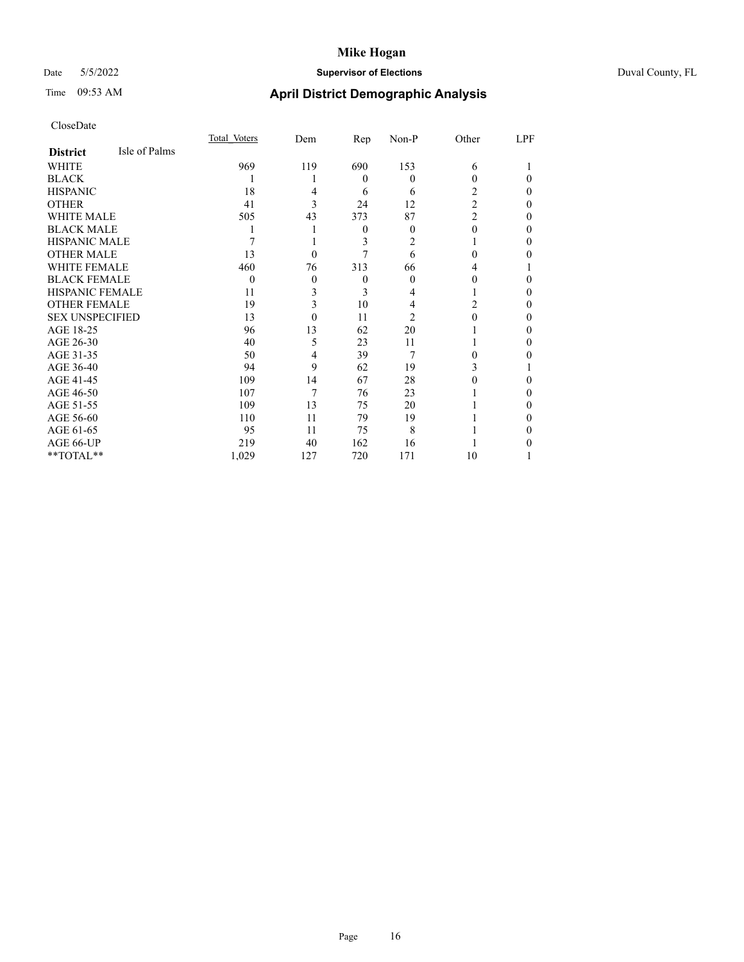# Date 5/5/2022 **Supervisor of Elections** Duval County, FL

# Time 09:53 AM **April District Demographic Analysis**

|                        |               | Total Voters | Dem      | Rep      | Non-P    | Other          | LPF |
|------------------------|---------------|--------------|----------|----------|----------|----------------|-----|
| <b>District</b>        | Isle of Palms |              |          |          |          |                |     |
| WHITE                  |               | 969          | 119      | 690      | 153      | 6              |     |
| <b>BLACK</b>           |               |              |          | $\theta$ | $\Omega$ | 0              | 0   |
| <b>HISPANIC</b>        |               | 18           | 4        | 6        | 6        | 2              | 0   |
| <b>OTHER</b>           |               | 41           | 3        | 24       | 12       | $\overline{2}$ | 0   |
| WHITE MALE             |               | 505          | 43       | 373      | 87       | $\overline{2}$ | 0   |
| <b>BLACK MALE</b>      |               |              |          | $\theta$ | $\Omega$ | 0              | 0   |
| HISPANIC MALE          |               |              |          | 3        | 2        |                | 0   |
| <b>OTHER MALE</b>      |               | 13           | $\theta$ |          | 6        | 0              | 0   |
| WHITE FEMALE           |               | 460          | 76       | 313      | 66       | 4              |     |
| <b>BLACK FEMALE</b>    |               | $\Omega$     | $\theta$ | $\theta$ | $\Omega$ | 0              | 0   |
| <b>HISPANIC FEMALE</b> |               | 11           | 3        | 3        | 4        |                | 0   |
| <b>OTHER FEMALE</b>    |               | 19           | 3        | 10       | 4        | 2              | 0   |
| <b>SEX UNSPECIFIED</b> |               | 13           | $\Omega$ | 11       | 2        | 0              | 0   |
| AGE 18-25              |               | 96           | 13       | 62       | 20       |                | 0   |
| AGE 26-30              |               | 40           | 5        | 23       | 11       |                | 0   |
| AGE 31-35              |               | 50           | 4        | 39       | 7        | 0              | 0   |
| AGE 36-40              |               | 94           | 9        | 62       | 19       | 3              |     |
| AGE 41-45              |               | 109          | 14       | 67       | 28       |                | 0   |
| AGE 46-50              |               | 107          | 7        | 76       | 23       |                | 0   |
| AGE 51-55              |               | 109          | 13       | 75       | 20       |                | 0   |
| AGE 56-60              |               | 110          | 11       | 79       | 19       |                | 0   |
| AGE 61-65              |               | 95           | 11       | 75       | 8        |                | 0   |
| AGE 66-UP              |               | 219          | 40       | 162      | 16       |                |     |
| **TOTAL**              |               | 1,029        | 127      | 720      | 171      | 10             |     |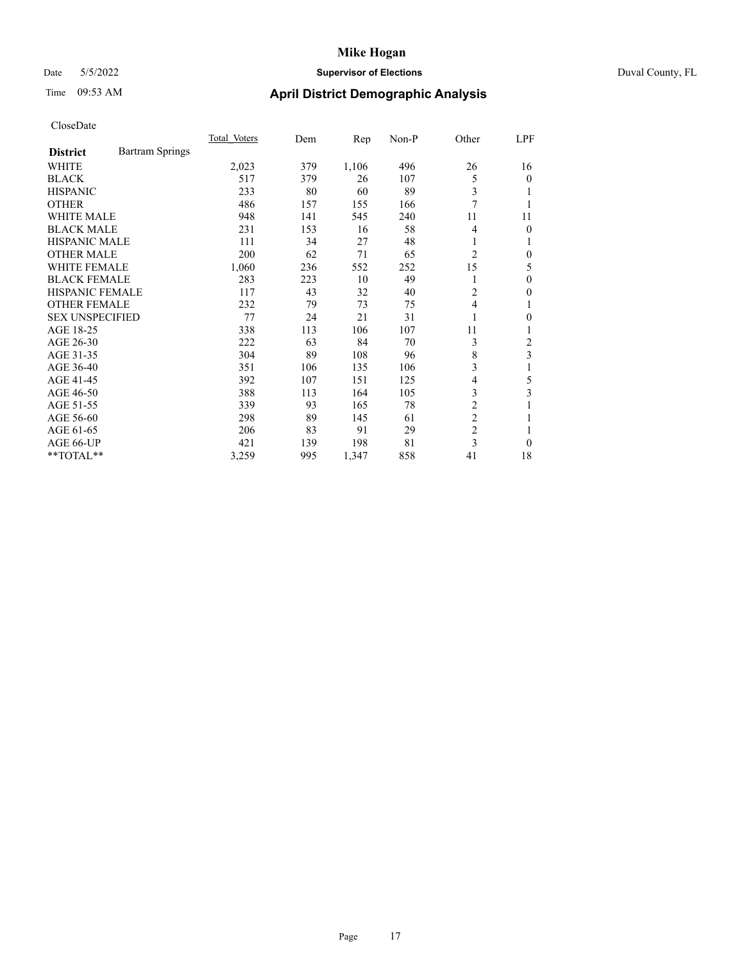# Date 5/5/2022 **Supervisor of Elections** Duval County, FL

# Time 09:53 AM **April District Demographic Analysis**

|                        |                        | Total Voters | Dem | Rep   | Non-P | Other          | LPF              |
|------------------------|------------------------|--------------|-----|-------|-------|----------------|------------------|
| <b>District</b>        | <b>Bartram Springs</b> |              |     |       |       |                |                  |
| WHITE                  |                        | 2,023        | 379 | 1,106 | 496   | 26             | 16               |
| <b>BLACK</b>           |                        | 517          | 379 | 26    | 107   | 5              | $\mathbf{0}$     |
| <b>HISPANIC</b>        |                        | 233          | 80  | 60    | 89    | 3              | 1                |
| <b>OTHER</b>           |                        | 486          | 157 | 155   | 166   | 7              |                  |
| WHITE MALE             |                        | 948          | 141 | 545   | 240   | 11             | 11               |
| <b>BLACK MALE</b>      |                        | 231          | 153 | 16    | 58    | 4              | $\mathbf{0}$     |
| <b>HISPANIC MALE</b>   |                        | 111          | 34  | 27    | 48    | 1              | 1                |
| <b>OTHER MALE</b>      |                        | 200          | 62  | 71    | 65    | 2              | $\mathbf{0}$     |
| WHITE FEMALE           |                        | 1,060        | 236 | 552   | 252   | 15             | 5                |
| <b>BLACK FEMALE</b>    |                        | 283          | 223 | 10    | 49    |                | $\theta$         |
| <b>HISPANIC FEMALE</b> |                        | 117          | 43  | 32    | 40    | 2              | 0                |
| <b>OTHER FEMALE</b>    |                        | 232          | 79  | 73    | 75    | 4              | 1                |
| <b>SEX UNSPECIFIED</b> |                        | 77           | 24  | 21    | 31    |                | $\boldsymbol{0}$ |
| AGE 18-25              |                        | 338          | 113 | 106   | 107   | 11             | 1                |
| AGE 26-30              |                        | 222          | 63  | 84    | 70    | 3              | 2                |
| AGE 31-35              |                        | 304          | 89  | 108   | 96    | 8              | 3                |
| AGE 36-40              |                        | 351          | 106 | 135   | 106   | 3              |                  |
| AGE 41-45              |                        | 392          | 107 | 151   | 125   | 4              | 5                |
| AGE 46-50              |                        | 388          | 113 | 164   | 105   | 3              | 3                |
| AGE 51-55              |                        | 339          | 93  | 165   | 78    | $\overline{c}$ | 1                |
| AGE 56-60              |                        | 298          | 89  | 145   | 61    | $\overline{2}$ |                  |
| AGE 61-65              |                        | 206          | 83  | 91    | 29    | $\overline{2}$ | 1                |
| AGE 66-UP              |                        | 421          | 139 | 198   | 81    | 3              | $\Omega$         |
| $*$ $TOTAL**$          |                        | 3,259        | 995 | 1,347 | 858   | 41             | 18               |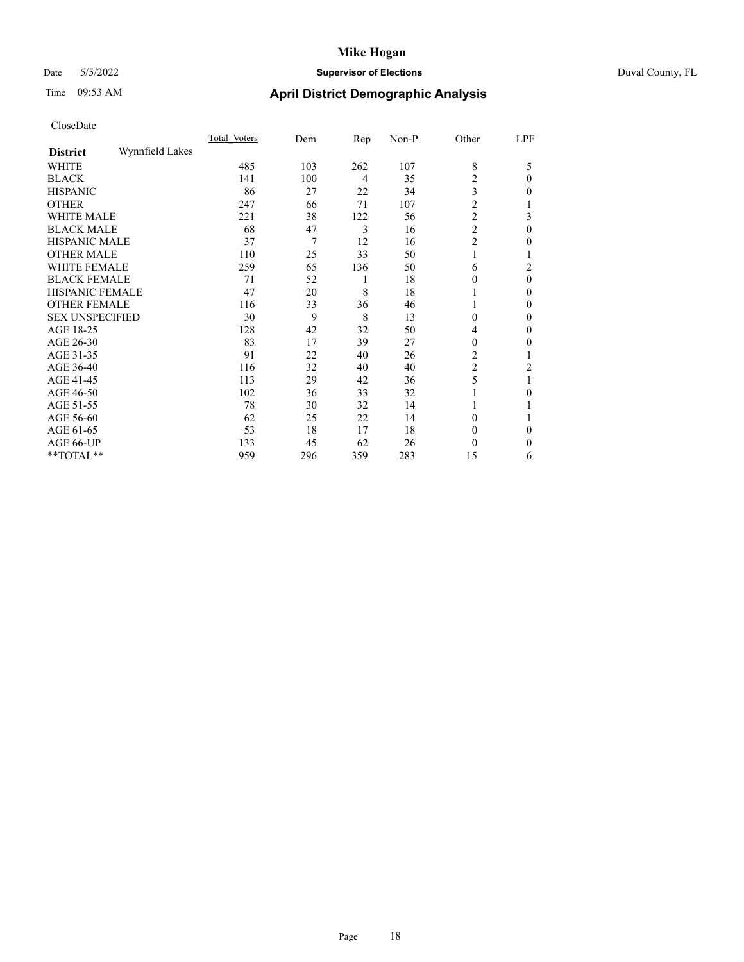# Date 5/5/2022 **Supervisor of Elections** Duval County, FL

# Time 09:53 AM **April District Demographic Analysis**

|                        |                 | Total Voters | Dem | Rep            | Non-P | Other          | LPF      |
|------------------------|-----------------|--------------|-----|----------------|-------|----------------|----------|
| <b>District</b>        | Wynnfield Lakes |              |     |                |       |                |          |
| WHITE                  |                 | 485          | 103 | 262            | 107   | 8              | 5        |
| <b>BLACK</b>           |                 | 141          | 100 | $\overline{4}$ | 35    | $\overline{c}$ | $\Omega$ |
| <b>HISPANIC</b>        |                 | 86           | 27  | 22             | 34    | 3              | 0        |
| <b>OTHER</b>           |                 | 247          | 66  | 71             | 107   | $\overline{2}$ |          |
| WHITE MALE             |                 | 221          | 38  | 122            | 56    | $\overline{c}$ | 3        |
| <b>BLACK MALE</b>      |                 | 68           | 47  | 3              | 16    | $\overline{c}$ | $\theta$ |
| <b>HISPANIC MALE</b>   |                 | 37           | 7   | 12             | 16    | $\overline{c}$ | 0        |
| <b>OTHER MALE</b>      |                 | 110          | 25  | 33             | 50    | 1              | l        |
| WHITE FEMALE           |                 | 259          | 65  | 136            | 50    | 6              | 2        |
| <b>BLACK FEMALE</b>    |                 | 71           | 52  | 1              | 18    | $\theta$       | $\theta$ |
| <b>HISPANIC FEMALE</b> |                 | 47           | 20  | 8              | 18    |                | 0        |
| <b>OTHER FEMALE</b>    |                 | 116          | 33  | 36             | 46    |                | 0        |
| <b>SEX UNSPECIFIED</b> |                 | 30           | 9   | 8              | 13    | $\theta$       | 0        |
| AGE 18-25              |                 | 128          | 42  | 32             | 50    | 4              | 0        |
| AGE 26-30              |                 | 83           | 17  | 39             | 27    | $\theta$       | 0        |
| AGE 31-35              |                 | 91           | 22  | 40             | 26    | $\overline{2}$ |          |
| AGE 36-40              |                 | 116          | 32  | 40             | 40    | $\overline{c}$ | 2        |
| AGE 41-45              |                 | 113          | 29  | 42             | 36    | 5              |          |
| AGE 46-50              |                 | 102          | 36  | 33             | 32    |                | 0        |
| AGE 51-55              |                 | 78           | 30  | 32             | 14    |                |          |
| AGE 56-60              |                 | 62           | 25  | 22             | 14    | $\theta$       |          |
| AGE 61-65              |                 | 53           | 18  | 17             | 18    | $\theta$       | 0        |
| AGE 66-UP              |                 | 133          | 45  | 62             | 26    | $\theta$       | 0        |
| **TOTAL**              |                 | 959          | 296 | 359            | 283   | 15             | 6        |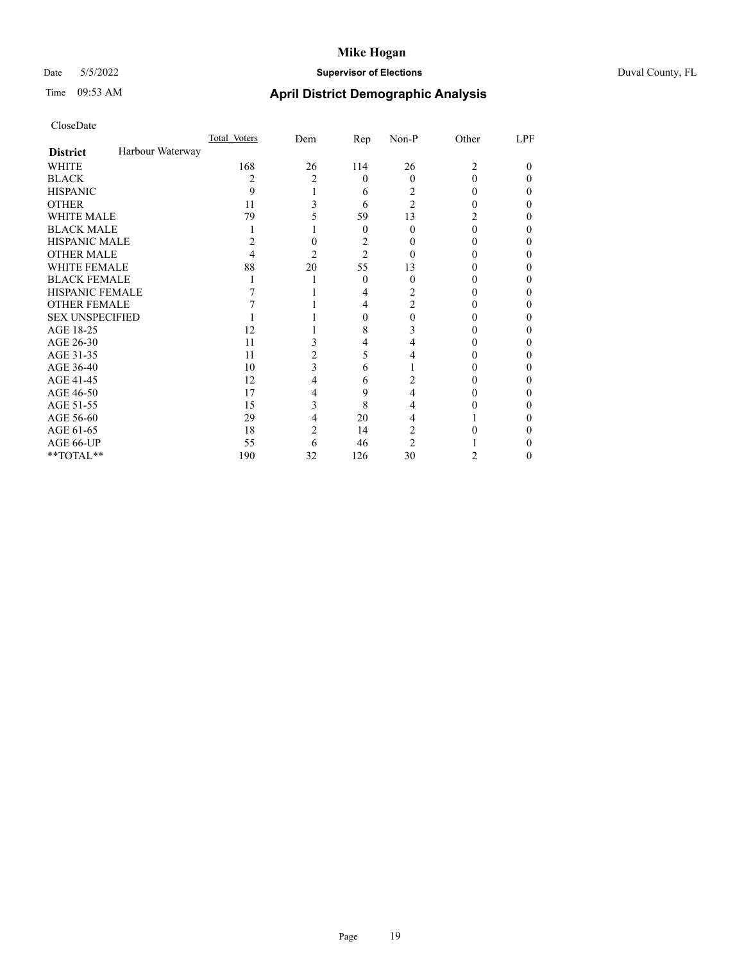# Date 5/5/2022 **Supervisor of Elections** Duval County, FL

# Time 09:53 AM **April District Demographic Analysis**

|                        |                  | Total Voters | Dem | $\mathbf{Rep}$ | Non-P          | Other          | LPF |
|------------------------|------------------|--------------|-----|----------------|----------------|----------------|-----|
| <b>District</b>        | Harbour Waterway |              |     |                |                |                |     |
| WHITE                  |                  | 168          | 26  | 114            | 26             | $\overline{c}$ | 0   |
| <b>BLACK</b>           |                  | 2            | 2   | $\theta$       | $\Omega$       | 0              | 0   |
| <b>HISPANIC</b>        |                  | 9            |     | 6              | 2              | 0              | 0   |
| <b>OTHER</b>           |                  | 11           |     | 6              | $\overline{2}$ |                |     |
| <b>WHITE MALE</b>      |                  | 79           |     | 59             | 13             |                |     |
| <b>BLACK MALE</b>      |                  |              |     | $\theta$       | 0              | 0              |     |
| <b>HISPANIC MALE</b>   |                  | 2            |     | 2              |                |                |     |
| <b>OTHER MALE</b>      |                  |              | 2   | $\overline{2}$ | $\theta$       |                | 0   |
| WHITE FEMALE           |                  | 88           | 20  | 55             | 13             |                |     |
| <b>BLACK FEMALE</b>    |                  |              |     | $\theta$       | 0              |                | 0   |
| <b>HISPANIC FEMALE</b> |                  |              |     | 4              | 2              |                |     |
| <b>OTHER FEMALE</b>    |                  |              |     | 4              | 2              |                |     |
| <b>SEX UNSPECIFIED</b> |                  |              |     | 0              |                |                |     |
| AGE 18-25              |                  | 12           |     | 8              |                |                |     |
| AGE 26-30              |                  | 11           |     | 4              |                |                |     |
| AGE 31-35              |                  | 11           | 2   | 5              |                |                |     |
| AGE 36-40              |                  | 10           | 3   | 6              |                |                | 0   |
| AGE 41-45              |                  | 12           | 4   | 6              |                |                |     |
| AGE 46-50              |                  | 17           | 4   | 9              | 4              |                |     |
| AGE 51-55              |                  | 15           | 3   | 8              |                |                |     |
| AGE 56-60              |                  | 29           | 4   | 20             | 4              |                |     |
| AGE 61-65              |                  | 18           | 2   | 14             | 2              |                |     |
| AGE 66-UP              |                  | 55           | 6   | 46             | $\mathfrak{D}$ |                |     |
| **TOTAL**              |                  | 190          | 32  | 126            | 30             | 2              | 0   |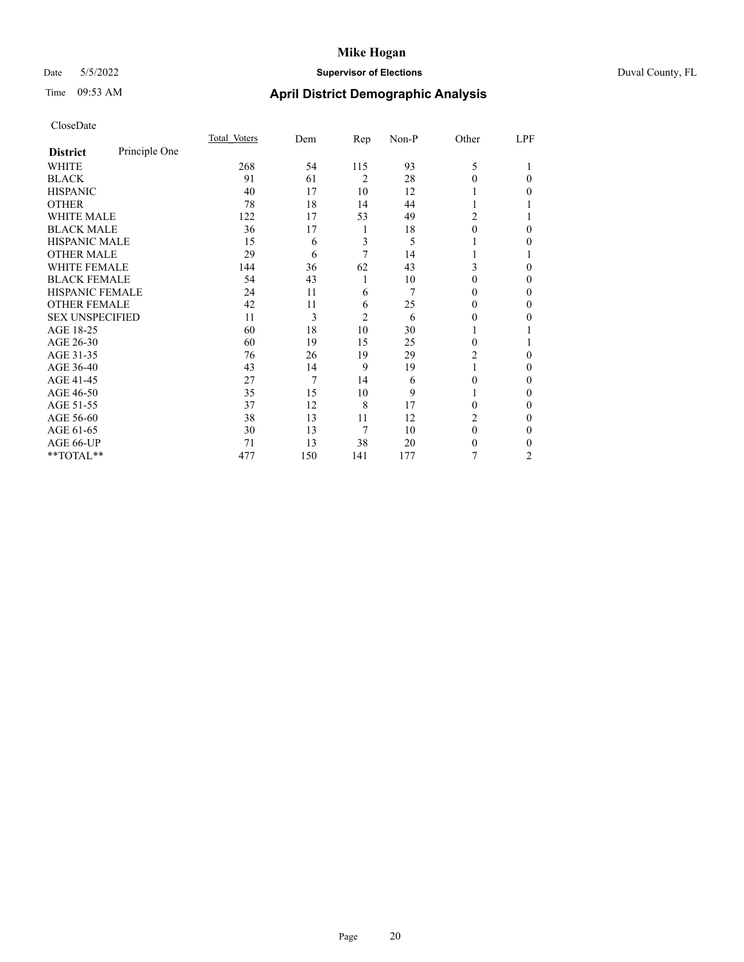# Date 5/5/2022 **Supervisor of Elections** Duval County, FL

# Time 09:53 AM **April District Demographic Analysis**

|                        |               | Total Voters | Dem | <u>Rep</u>     | Non-P | Other    | LPF |
|------------------------|---------------|--------------|-----|----------------|-------|----------|-----|
| <b>District</b>        | Principle One |              |     |                |       |          |     |
| WHITE                  |               | 268          | 54  | 115            | 93    | 5        |     |
| <b>BLACK</b>           |               | 91           | 61  | $\overline{2}$ | 28    | 0        | 0   |
| <b>HISPANIC</b>        |               | 40           | 17  | 10             | 12    |          | 0   |
| <b>OTHER</b>           |               | 78           | 18  | 14             | 44    | 1        |     |
| <b>WHITE MALE</b>      |               | 122          | 17  | 53             | 49    | 2        |     |
| <b>BLACK MALE</b>      |               | 36           | 17  | 1              | 18    | $\theta$ | 0   |
| <b>HISPANIC MALE</b>   |               | 15           | 6   | 3              | 5     |          | 0   |
| <b>OTHER MALE</b>      |               | 29           | 6   | 7              | 14    | 1        |     |
| <b>WHITE FEMALE</b>    |               | 144          | 36  | 62             | 43    | 3        | 0   |
| <b>BLACK FEMALE</b>    |               | 54           | 43  | 1              | 10    | 0        | 0   |
| HISPANIC FEMALE        |               | 24           | 11  | 6              | 7     | $_{0}$   | 0   |
| <b>OTHER FEMALE</b>    |               | 42           | 11  | 6              | 25    | $_{0}$   | 0   |
| <b>SEX UNSPECIFIED</b> |               | 11           | 3   | $\overline{2}$ | 6     | 0        | 0   |
| AGE 18-25              |               | 60           | 18  | 10             | 30    |          |     |
| AGE 26-30              |               | 60           | 19  | 15             | 25    | 0        |     |
| AGE 31-35              |               | 76           | 26  | 19             | 29    | 2        | 0   |
| AGE 36-40              |               | 43           | 14  | 9              | 19    | 1        | 0   |
| AGE 41-45              |               | 27           | 7   | 14             | 6     | 0        | 0   |
| AGE 46-50              |               | 35           | 15  | 10             | 9     | 1        | 0   |
| AGE 51-55              |               | 37           | 12  | 8              | 17    | 0        | 0   |
| AGE 56-60              |               | 38           | 13  | 11             | 12    | 2        | 0   |
| AGE 61-65              |               | 30           | 13  | 7              | 10    | $\theta$ | 0   |
| AGE 66-UP              |               | 71           | 13  | 38             | 20    | 0        | 0   |
| **TOTAL**              |               | 477          | 150 | 141            | 177   | 7        | 2   |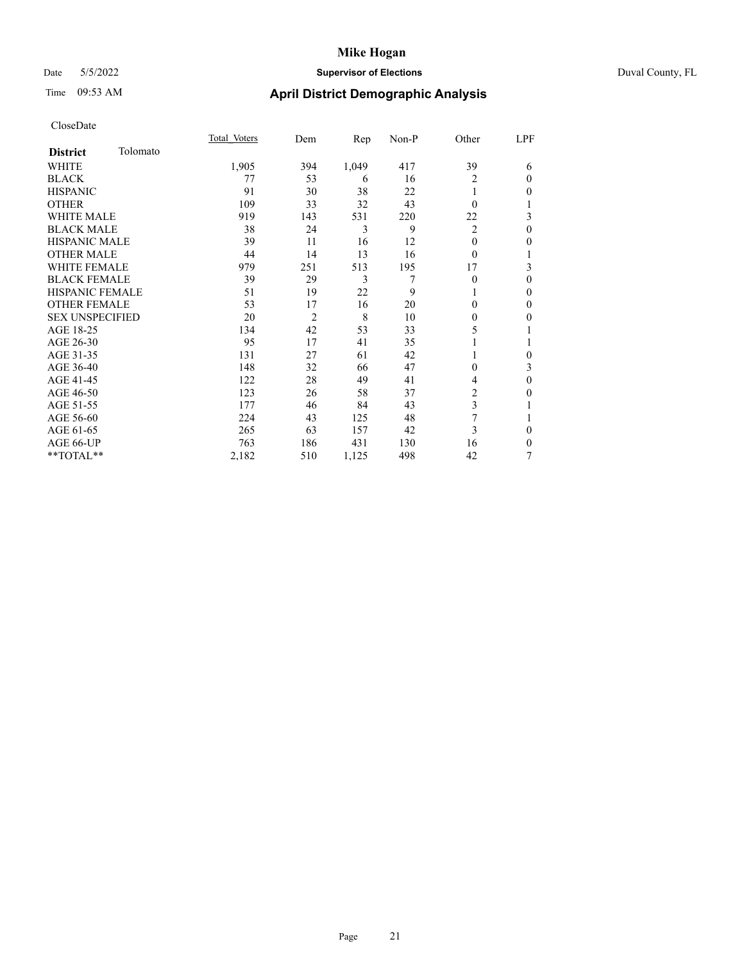### Date 5/5/2022 **Supervisor of Elections** Duval County, FL

# Time 09:53 AM **April District Demographic Analysis**

|                        |          | Total Voters | Dem            | Rep   | Non-P | Other          | LPF          |
|------------------------|----------|--------------|----------------|-------|-------|----------------|--------------|
| <b>District</b>        | Tolomato |              |                |       |       |                |              |
| WHITE                  |          | 1,905        | 394            | 1,049 | 417   | 39             | 6            |
| <b>BLACK</b>           |          | 77           | 53             | 6     | 16    | $\overline{c}$ | $\theta$     |
| <b>HISPANIC</b>        |          | 91           | 30             | 38    | 22    |                | $\mathbf{0}$ |
| <b>OTHER</b>           |          | 109          | 33             | 32    | 43    | $\Omega$       | 1            |
| <b>WHITE MALE</b>      |          | 919          | 143            | 531   | 220   | 22             | 3            |
| <b>BLACK MALE</b>      |          | 38           | 24             | 3     | 9     | 2              | $\mathbf{0}$ |
| <b>HISPANIC MALE</b>   |          | 39           | 11             | 16    | 12    | 0              | $\mathbf{0}$ |
| <b>OTHER MALE</b>      |          | 44           | 14             | 13    | 16    | $\theta$       | 1            |
| <b>WHITE FEMALE</b>    |          | 979          | 251            | 513   | 195   | 17             | 3            |
| <b>BLACK FEMALE</b>    |          | 39           | 29             | 3     | 7     | $\theta$       | $\theta$     |
| <b>HISPANIC FEMALE</b> |          | 51           | 19             | 22    | 9     |                | $\theta$     |
| <b>OTHER FEMALE</b>    |          | 53           | 17             | 16    | 20    | 0              | $\theta$     |
| <b>SEX UNSPECIFIED</b> |          | 20           | $\overline{2}$ | 8     | 10    | 0              | $\mathbf{0}$ |
| AGE 18-25              |          | 134          | 42             | 53    | 33    | 5              | 1            |
| AGE 26-30              |          | 95           | 17             | 41    | 35    |                | 1            |
| AGE 31-35              |          | 131          | 27             | 61    | 42    |                | $\theta$     |
| AGE 36-40              |          | 148          | 32             | 66    | 47    | 0              | 3            |
| AGE 41-45              |          | 122          | 28             | 49    | 41    | 4              | $\mathbf{0}$ |
| AGE 46-50              |          | 123          | 26             | 58    | 37    | $\overline{2}$ | $\mathbf{0}$ |
| AGE 51-55              |          | 177          | 46             | 84    | 43    | 3              | 1            |
| AGE 56-60              |          | 224          | 43             | 125   | 48    | 7              | 1            |
| AGE 61-65              |          | 265          | 63             | 157   | 42    | 3              | $\theta$     |
| AGE 66-UP              |          | 763          | 186            | 431   | 130   | 16             | $\mathbf{0}$ |
| **TOTAL**              |          | 2,182        | 510            | 1,125 | 498   | 42             | 7            |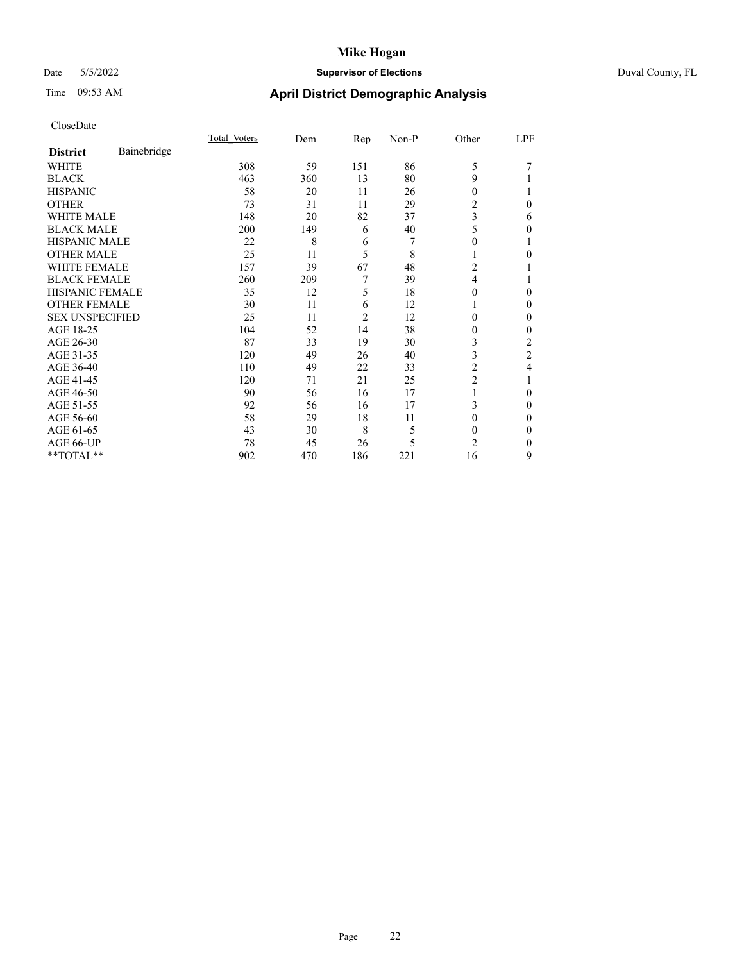# Date 5/5/2022 **Supervisor of Elections** Duval County, FL

# Time 09:53 AM **April District Demographic Analysis**

|                        |             | Total Voters | Dem | Rep            | Non-P | Other          | LPF            |
|------------------------|-------------|--------------|-----|----------------|-------|----------------|----------------|
| <b>District</b>        | Bainebridge |              |     |                |       |                |                |
| WHITE                  |             | 308          | 59  | 151            | 86    | 5              | 7              |
| <b>BLACK</b>           |             | 463          | 360 | 13             | 80    | 9              |                |
| <b>HISPANIC</b>        |             | 58           | 20  | 11             | 26    | 0              |                |
| <b>OTHER</b>           |             | 73           | 31  | 11             | 29    | 2              | 0              |
| <b>WHITE MALE</b>      |             | 148          | 20  | 82             | 37    | 3              | 6              |
| <b>BLACK MALE</b>      |             | 200          | 149 | 6              | 40    | 5              | 0              |
| <b>HISPANIC MALE</b>   |             | 22           | 8   | 6              | 7     | 0              |                |
| <b>OTHER MALE</b>      |             | 25           | 11  | 5              | 8     | 1              | 0              |
| <b>WHITE FEMALE</b>    |             | 157          | 39  | 67             | 48    | 2              |                |
| <b>BLACK FEMALE</b>    |             | 260          | 209 | 7              | 39    | 4              |                |
| <b>HISPANIC FEMALE</b> |             | 35           | 12  | 5              | 18    | 0              | 0              |
| <b>OTHER FEMALE</b>    |             | 30           | 11  | 6              | 12    | 1              | 0              |
| <b>SEX UNSPECIFIED</b> |             | 25           | 11  | $\overline{2}$ | 12    | 0              | 0              |
| AGE 18-25              |             | 104          | 52  | 14             | 38    | 0              | 0              |
| AGE 26-30              |             | 87           | 33  | 19             | 30    | 3              | 2              |
| AGE 31-35              |             | 120          | 49  | 26             | 40    | 3              | $\overline{2}$ |
| AGE 36-40              |             | 110          | 49  | 22             | 33    | 2              | 4              |
| AGE 41-45              |             | 120          | 71  | 21             | 25    | $\overline{c}$ |                |
| AGE 46-50              |             | 90           | 56  | 16             | 17    | 1              | 0              |
| AGE 51-55              |             | 92           | 56  | 16             | 17    | 3              | 0              |
| AGE 56-60              |             | 58           | 29  | 18             | 11    | $\Omega$       | 0              |
| AGE 61-65              |             | 43           | 30  | 8              | 5     | $\Omega$       | 0              |
| AGE 66-UP              |             | 78           | 45  | 26             | 5     | $\overline{c}$ | 0              |
| **TOTAL**              |             | 902          | 470 | 186            | 221   | 16             | 9              |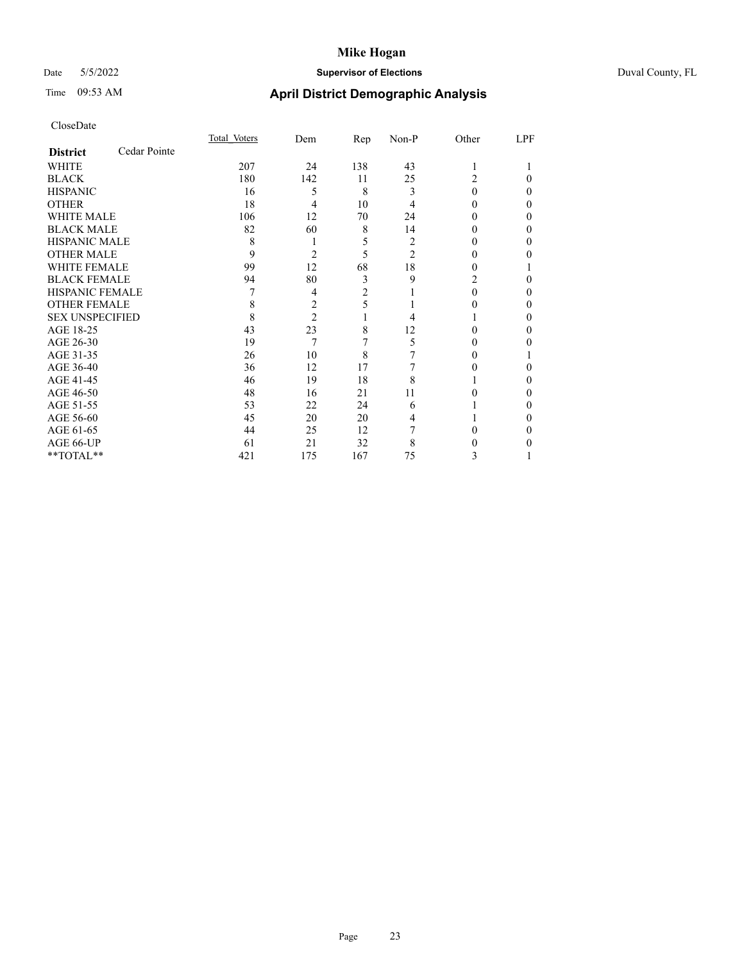# Date 5/5/2022 **Supervisor of Elections** Duval County, FL

# Time 09:53 AM **April District Demographic Analysis**

|                        |              | Total Voters | Dem            | <u>Rep</u>     | Non-P          | Other | LPF |
|------------------------|--------------|--------------|----------------|----------------|----------------|-------|-----|
| <b>District</b>        | Cedar Pointe |              |                |                |                |       |     |
| WHITE                  |              | 207          | 24             | 138            | 43             | 1     |     |
| <b>BLACK</b>           |              | 180          | 142            | 11             | 25             | 2     | 0   |
| <b>HISPANIC</b>        |              | 16           | 5              | 8              | 3              | 0     | 0   |
| <b>OTHER</b>           |              | 18           | 4              | 10             | 4              | 0     | 0   |
| <b>WHITE MALE</b>      |              | 106          | 12             | 70             | 24             | 0     | 0   |
| <b>BLACK MALE</b>      |              | 82           | 60             | 8              | 14             | 0     | 0   |
| <b>HISPANIC MALE</b>   |              | 8            |                | 5              | 2              | 0     | 0   |
| <b>OTHER MALE</b>      |              | 9            | 2              | 5              | $\overline{2}$ | 0     | 0   |
| <b>WHITE FEMALE</b>    |              | 99           | 12             | 68             | 18             |       |     |
| <b>BLACK FEMALE</b>    |              | 94           | 80             | 3              | 9              | 2     | 0   |
| <b>HISPANIC FEMALE</b> |              |              | 4              | $\overline{2}$ |                | 0     | 0   |
| <b>OTHER FEMALE</b>    |              | 8            | 2              | 5              |                | 0     | 0   |
| <b>SEX UNSPECIFIED</b> |              | 8            | $\overline{2}$ |                | 4              |       | 0   |
| AGE 18-25              |              | 43           | 23             | 8              | 12             | 0     | 0   |
| AGE 26-30              |              | 19           | 7              | 7              | 5              | 0     | 0   |
| AGE 31-35              |              | 26           | 10             | 8              |                |       |     |
| AGE 36-40              |              | 36           | 12             | 17             |                |       | 0   |
| AGE 41-45              |              | 46           | 19             | 18             | 8              |       | 0   |
| AGE 46-50              |              | 48           | 16             | 21             | 11             | 0     | 0   |
| AGE 51-55              |              | 53           | 22             | 24             | 6              |       | 0   |
| AGE 56-60              |              | 45           | 20             | 20             | 4              |       | 0   |
| AGE 61-65              |              | 44           | 25             | 12             |                |       | 0   |
| AGE 66-UP              |              | 61           | 21             | 32             | 8              |       |     |
| **TOTAL**              |              | 421          | 175            | 167            | 75             | 3     |     |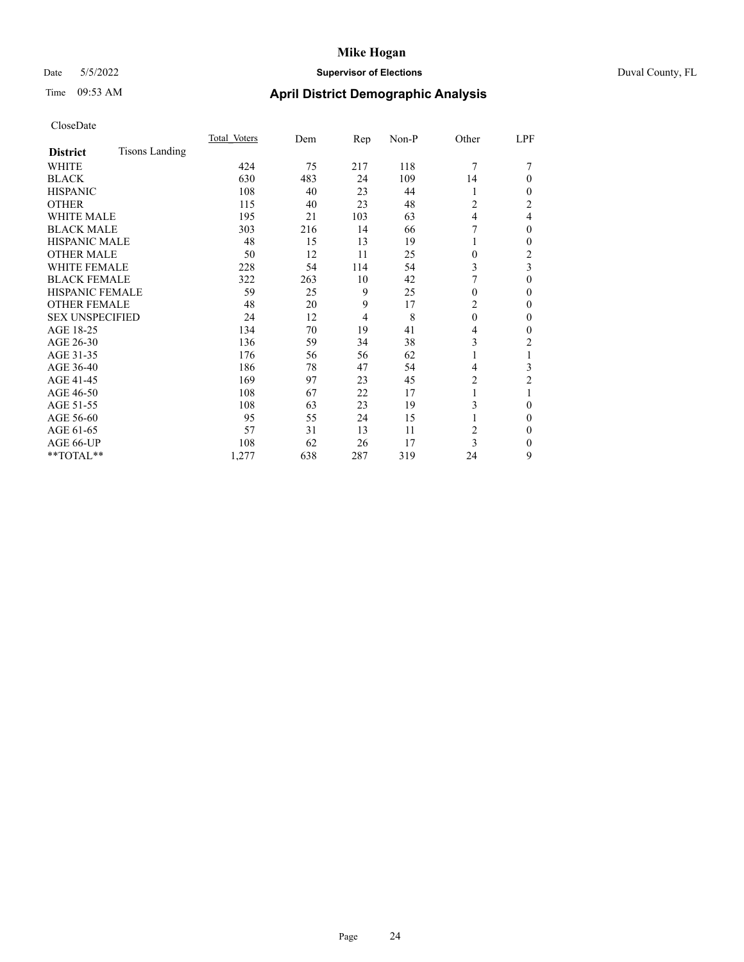# Date 5/5/2022 **Supervisor of Elections** Duval County, FL

# Time 09:53 AM **April District Demographic Analysis**

|                        |                | Total Voters | Dem | Rep            | Non-P | Other          | LPF            |
|------------------------|----------------|--------------|-----|----------------|-------|----------------|----------------|
| <b>District</b>        | Tisons Landing |              |     |                |       |                |                |
| WHITE                  |                | 424          | 75  | 217            | 118   | 7              |                |
| <b>BLACK</b>           |                | 630          | 483 | 24             | 109   | 14             | $\Omega$       |
| <b>HISPANIC</b>        |                | 108          | 40  | 23             | 44    | 1              | $\Omega$       |
| <b>OTHER</b>           |                | 115          | 40  | 23             | 48    | $\overline{c}$ | 2              |
| <b>WHITE MALE</b>      |                | 195          | 21  | 103            | 63    | 4              | 4              |
| <b>BLACK MALE</b>      |                | 303          | 216 | 14             | 66    | 7              | $\theta$       |
| <b>HISPANIC MALE</b>   |                | 48           | 15  | 13             | 19    |                | $\mathbf{0}$   |
| <b>OTHER MALE</b>      |                | 50           | 12  | 11             | 25    | $\mathbf{0}$   | $\overline{2}$ |
| WHITE FEMALE           |                | 228          | 54  | 114            | 54    | 3              | 3              |
| <b>BLACK FEMALE</b>    |                | 322          | 263 | 10             | 42    |                | $\theta$       |
| <b>HISPANIC FEMALE</b> |                | 59           | 25  | 9              | 25    | $\theta$       | $\Omega$       |
| <b>OTHER FEMALE</b>    |                | 48           | 20  | 9              | 17    | $\overline{c}$ | $\Omega$       |
| <b>SEX UNSPECIFIED</b> |                | 24           | 12  | $\overline{4}$ | 8     | $\theta$       | $\Omega$       |
| AGE 18-25              |                | 134          | 70  | 19             | 41    | 4              | 0              |
| AGE 26-30              |                | 136          | 59  | 34             | 38    | 3              | 2              |
| AGE 31-35              |                | 176          | 56  | 56             | 62    |                |                |
| AGE 36-40              |                | 186          | 78  | 47             | 54    | 4              | 3              |
| AGE 41-45              |                | 169          | 97  | 23             | 45    | 2              | 2              |
| AGE 46-50              |                | 108          | 67  | 22             | 17    | 1              | 1              |
| AGE 51-55              |                | 108          | 63  | 23             | 19    | 3              | $\Omega$       |
| AGE 56-60              |                | 95           | 55  | 24             | 15    |                | $\theta$       |
| AGE 61-65              |                | 57           | 31  | 13             | 11    | 2              | $\theta$       |
| AGE 66-UP              |                | 108          | 62  | 26             | 17    | 3              | $\Omega$       |
| **TOTAL**              |                | 1,277        | 638 | 287            | 319   | 24             | 9              |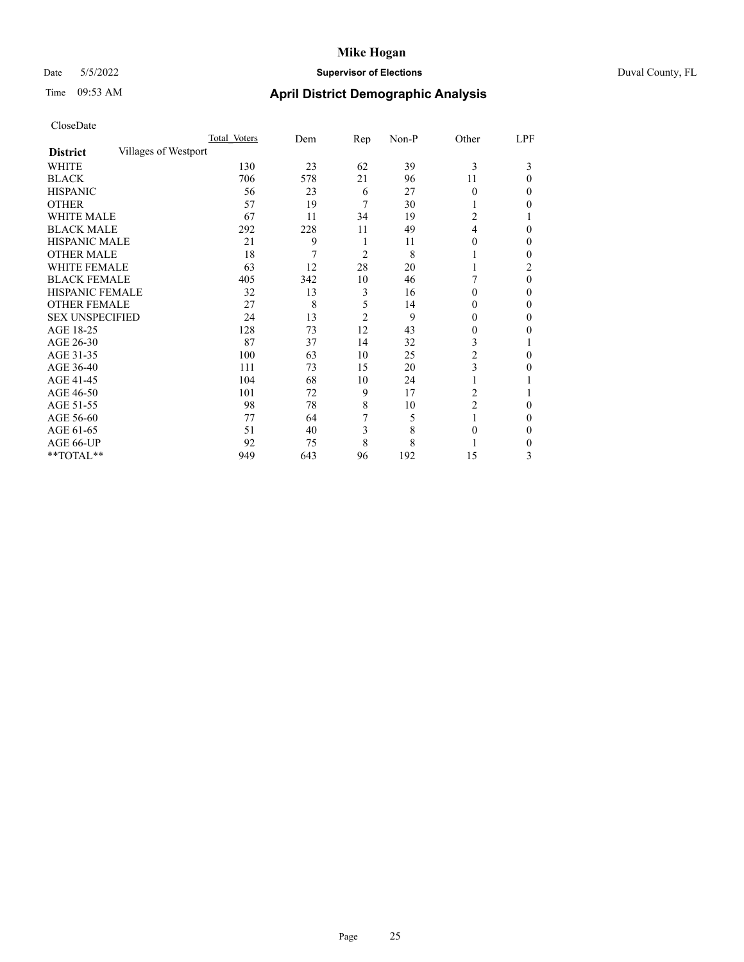# Date 5/5/2022 **Supervisor of Elections** Duval County, FL

# Time 09:53 AM **April District Demographic Analysis**

|                        |                      | Total Voters | Dem | $\mathbf{Rep}$ | Non-P | Other          | LPF      |
|------------------------|----------------------|--------------|-----|----------------|-------|----------------|----------|
| <b>District</b>        | Villages of Westport |              |     |                |       |                |          |
| WHITE                  |                      | 130          | 23  | 62             | 39    | 3              | 3        |
| <b>BLACK</b>           |                      | 706          | 578 | 21             | 96    | 11             | 0        |
| <b>HISPANIC</b>        |                      | 56           | 23  | 6              | 27    | $\Omega$       | 0        |
| <b>OTHER</b>           |                      | 57           | 19  | 7              | 30    |                | 0        |
| WHITE MALE             |                      | 67           | 11  | 34             | 19    | 2              |          |
| <b>BLACK MALE</b>      |                      | 292          | 228 | 11             | 49    | 4              | 0        |
| <b>HISPANIC MALE</b>   |                      | 21           | 9   | 1              | 11    | $\theta$       | 0        |
| <b>OTHER MALE</b>      |                      | 18           | 7   | 2              | 8     | 1              | 0        |
| WHITE FEMALE           |                      | 63           | 12  | 28             | 20    |                | 2        |
| <b>BLACK FEMALE</b>    |                      | 405          | 342 | 10             | 46    |                | $\Omega$ |
| <b>HISPANIC FEMALE</b> |                      | 32           | 13  | 3              | 16    | $\Omega$       | 0        |
| <b>OTHER FEMALE</b>    |                      | 27           | 8   | 5              | 14    | $\Omega$       | 0        |
| <b>SEX UNSPECIFIED</b> |                      | 24           | 13  | $\overline{2}$ | 9     | 0              | 0        |
| AGE 18-25              |                      | 128          | 73  | 12             | 43    | $\theta$       | 0        |
| AGE 26-30              |                      | 87           | 37  | 14             | 32    | 3              |          |
| AGE 31-35              |                      | 100          | 63  | 10             | 25    | $\overline{c}$ | 0        |
| AGE 36-40              |                      | 111          | 73  | 15             | 20    | 3              | 0        |
| AGE 41-45              |                      | 104          | 68  | 10             | 24    |                |          |
| AGE 46-50              |                      | 101          | 72  | 9              | 17    | 2              |          |
| AGE 51-55              |                      | 98           | 78  | 8              | 10    | $\overline{2}$ | 0        |
| AGE 56-60              |                      | 77           | 64  | 7              | 5     |                | 0        |
| AGE 61-65              |                      | 51           | 40  | 3              | 8     | 0              | 0        |
| AGE 66-UP              |                      | 92           | 75  | 8              | 8     |                | 0        |
| **TOTAL**              |                      | 949          | 643 | 96             | 192   | 15             | 3        |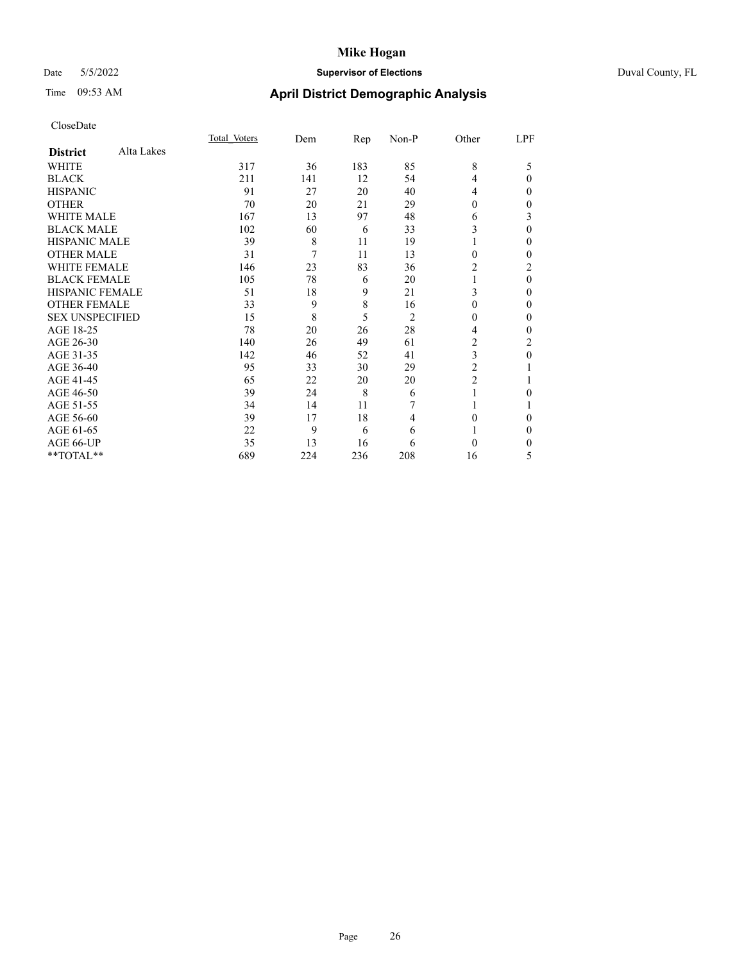# Date 5/5/2022 **Supervisor of Elections** Duval County, FL

# Time 09:53 AM **April District Demographic Analysis**

|                        |            | Total Voters | Dem | Rep | Non-P          | Other          | LPF      |
|------------------------|------------|--------------|-----|-----|----------------|----------------|----------|
| <b>District</b>        | Alta Lakes |              |     |     |                |                |          |
| WHITE                  |            | 317          | 36  | 183 | 85             | 8              | 5        |
| <b>BLACK</b>           |            | 211          | 141 | 12  | 54             | 4              | 0        |
| <b>HISPANIC</b>        |            | 91           | 27  | 20  | 40             | 4              | 0        |
| <b>OTHER</b>           |            | 70           | 20  | 21  | 29             | 0              | 0        |
| WHITE MALE             |            | 167          | 13  | 97  | 48             | 6              | 3        |
| <b>BLACK MALE</b>      |            | 102          | 60  | 6   | 33             | 3              | 0        |
| <b>HISPANIC MALE</b>   |            | 39           | 8   | 11  | 19             |                | 0        |
| <b>OTHER MALE</b>      |            | 31           | 7   | 11  | 13             | 0              | 0        |
| <b>WHITE FEMALE</b>    |            | 146          | 23  | 83  | 36             | 2              | 2        |
| <b>BLACK FEMALE</b>    |            | 105          | 78  | 6   | 20             |                | $\theta$ |
| <b>HISPANIC FEMALE</b> |            | 51           | 18  | 9   | 21             | 3              | 0        |
| <b>OTHER FEMALE</b>    |            | 33           | 9   | 8   | 16             | 0              | 0        |
| <b>SEX UNSPECIFIED</b> |            | 15           | 8   | 5   | $\overline{2}$ | 0              | 0        |
| AGE 18-25              |            | 78           | 20  | 26  | 28             | 4              | 0        |
| AGE 26-30              |            | 140          | 26  | 49  | 61             | 2              | 2        |
| AGE 31-35              |            | 142          | 46  | 52  | 41             | 3              | 0        |
| AGE 36-40              |            | 95           | 33  | 30  | 29             | 2              |          |
| AGE 41-45              |            | 65           | 22  | 20  | 20             | $\overline{c}$ |          |
| AGE 46-50              |            | 39           | 24  | 8   | 6              | 1              | 0        |
| AGE 51-55              |            | 34           | 14  | 11  | 7              |                |          |
| AGE 56-60              |            | 39           | 17  | 18  | 4              | 0              | 0        |
| AGE 61-65              |            | 22           | 9   | 6   | 6              |                | 0        |
| AGE 66-UP              |            | 35           | 13  | 16  | 6              | $\Omega$       | 0        |
| **TOTAL**              |            | 689          | 224 | 236 | 208            | 16             | 5        |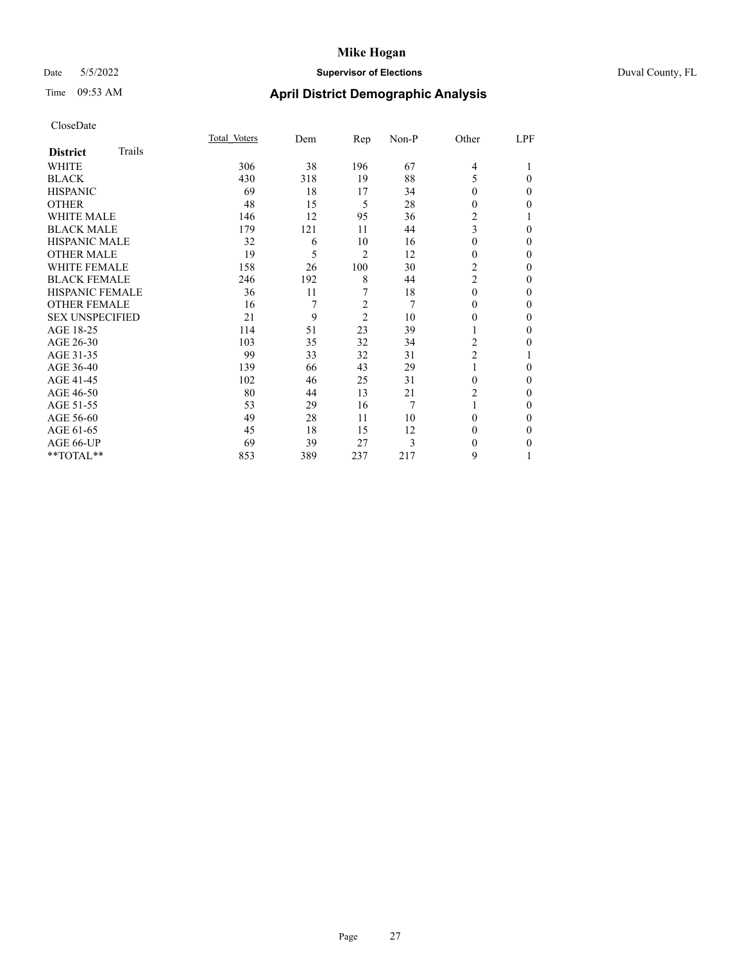### Date 5/5/2022 **Supervisor of Elections** Duval County, FL

# Time 09:53 AM **April District Demographic Analysis**

|                        |        | Total Voters | Dem | Rep            | Non-P          | Other          | LPF |
|------------------------|--------|--------------|-----|----------------|----------------|----------------|-----|
| <b>District</b>        | Trails |              |     |                |                |                |     |
| WHITE                  |        | 306          | 38  | 196            | 67             | 4              |     |
| <b>BLACK</b>           |        | 430          | 318 | 19             | 88             | 5              | 0   |
| <b>HISPANIC</b>        |        | 69           | 18  | 17             | 34             | 0              | 0   |
| <b>OTHER</b>           |        | 48           | 15  | 5              | 28             | 0              | 0   |
| <b>WHITE MALE</b>      |        | 146          | 12  | 95             | 36             | 2              |     |
| <b>BLACK MALE</b>      |        | 179          | 121 | 11             | 44             | 3              | 0   |
| <b>HISPANIC MALE</b>   |        | 32           | 6   | 10             | 16             | 0              | 0   |
| <b>OTHER MALE</b>      |        | 19           | 5   | 2              | 12             | 0              | 0   |
| WHITE FEMALE           |        | 158          | 26  | 100            | 30             | $\overline{2}$ | 0   |
| <b>BLACK FEMALE</b>    |        | 246          | 192 | 8              | 44             | $\overline{2}$ | 0   |
| <b>HISPANIC FEMALE</b> |        | 36           | 11  | 7              | 18             | $\Omega$       | 0   |
| <b>OTHER FEMALE</b>    |        | 16           | 7   | $\overline{c}$ | $\overline{7}$ | 0              | 0   |
| <b>SEX UNSPECIFIED</b> |        | 21           | 9   | $\overline{2}$ | 10             | 0              | 0   |
| AGE 18-25              |        | 114          | 51  | 23             | 39             |                | 0   |
| AGE 26-30              |        | 103          | 35  | 32             | 34             | 2              | 0   |
| AGE 31-35              |        | 99           | 33  | 32             | 31             | $\overline{2}$ |     |
| AGE 36-40              |        | 139          | 66  | 43             | 29             | 1              | 0   |
| AGE 41-45              |        | 102          | 46  | 25             | 31             | 0              | 0   |
| AGE 46-50              |        | 80           | 44  | 13             | 21             | 2              | 0   |
| AGE 51-55              |        | 53           | 29  | 16             | $\overline{7}$ | 1              | 0   |
| AGE 56-60              |        | 49           | 28  | 11             | 10             | 0              | 0   |
| AGE 61-65              |        | 45           | 18  | 15             | 12             | 0              | 0   |
| AGE 66-UP              |        | 69           | 39  | 27             | 3              | 0              | 0   |
| **TOTAL**              |        | 853          | 389 | 237            | 217            | 9              |     |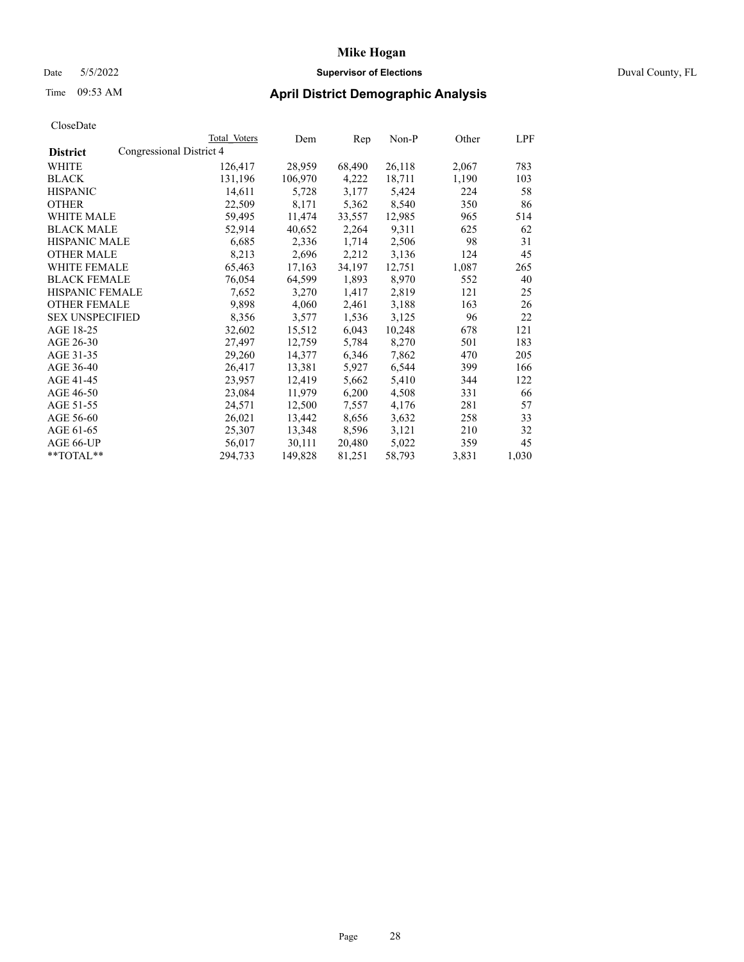# Date 5/5/2022 **Supervisor of Elections** Duval County, FL

# Time 09:53 AM **April District Demographic Analysis**

|                        | Total Voters             | Dem     | Rep    | Non-P  | Other | LPF   |
|------------------------|--------------------------|---------|--------|--------|-------|-------|
| <b>District</b>        | Congressional District 4 |         |        |        |       |       |
| WHITE                  | 126,417                  | 28,959  | 68,490 | 26,118 | 2,067 | 783   |
| <b>BLACK</b>           | 131,196                  | 106,970 | 4,222  | 18,711 | 1,190 | 103   |
| <b>HISPANIC</b>        | 14,611                   | 5,728   | 3,177  | 5,424  | 224   | 58    |
| <b>OTHER</b>           | 22,509                   | 8,171   | 5,362  | 8,540  | 350   | 86    |
| WHITE MALE             | 59,495                   | 11,474  | 33,557 | 12,985 | 965   | 514   |
| <b>BLACK MALE</b>      | 52,914                   | 40,652  | 2,264  | 9,311  | 625   | 62    |
| <b>HISPANIC MALE</b>   | 6,685                    | 2,336   | 1,714  | 2,506  | 98    | 31    |
| <b>OTHER MALE</b>      | 8,213                    | 2,696   | 2,212  | 3,136  | 124   | 45    |
| <b>WHITE FEMALE</b>    | 65,463                   | 17,163  | 34,197 | 12,751 | 1,087 | 265   |
| <b>BLACK FEMALE</b>    | 76,054                   | 64,599  | 1,893  | 8,970  | 552   | 40    |
| <b>HISPANIC FEMALE</b> | 7,652                    | 3,270   | 1,417  | 2,819  | 121   | 25    |
| <b>OTHER FEMALE</b>    | 9,898                    | 4,060   | 2,461  | 3,188  | 163   | 26    |
| <b>SEX UNSPECIFIED</b> | 8,356                    | 3,577   | 1,536  | 3,125  | 96    | 22    |
| AGE 18-25              | 32,602                   | 15,512  | 6,043  | 10,248 | 678   | 121   |
| AGE 26-30              | 27,497                   | 12,759  | 5,784  | 8,270  | 501   | 183   |
| AGE 31-35              | 29,260                   | 14,377  | 6,346  | 7,862  | 470   | 205   |
| AGE 36-40              | 26,417                   | 13,381  | 5,927  | 6,544  | 399   | 166   |
| AGE 41-45              | 23,957                   | 12,419  | 5,662  | 5,410  | 344   | 122   |
| AGE 46-50              | 23,084                   | 11,979  | 6,200  | 4,508  | 331   | 66    |
| AGE 51-55              | 24,571                   | 12,500  | 7,557  | 4,176  | 281   | 57    |
| AGE 56-60              | 26,021                   | 13,442  | 8,656  | 3,632  | 258   | 33    |
| AGE 61-65              | 25,307                   | 13,348  | 8,596  | 3,121  | 210   | 32    |
| AGE 66-UP              | 56,017                   | 30,111  | 20,480 | 5,022  | 359   | 45    |
| $*$ $TOTAL**$          | 294,733                  | 149,828 | 81,251 | 58,793 | 3,831 | 1,030 |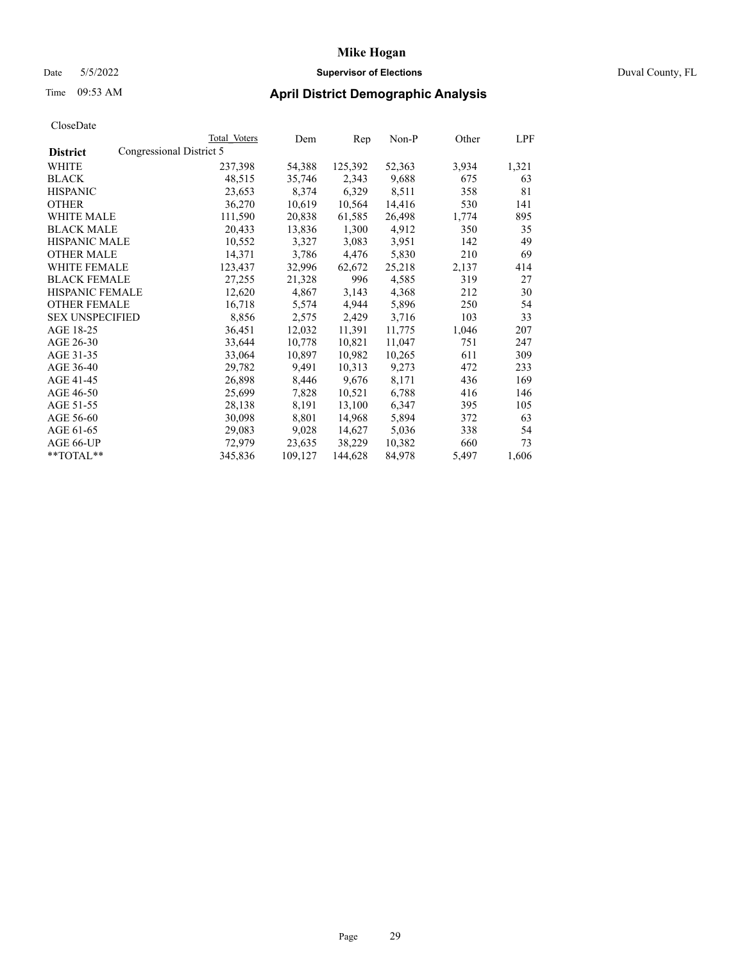# Date 5/5/2022 **Supervisor of Elections** Duval County, FL

# Time 09:53 AM **April District Demographic Analysis**

|                        |                          | Total Voters | Dem     | Rep     | Non-P  | Other | LPF   |
|------------------------|--------------------------|--------------|---------|---------|--------|-------|-------|
| <b>District</b>        | Congressional District 5 |              |         |         |        |       |       |
| WHITE                  |                          | 237,398      | 54,388  | 125,392 | 52,363 | 3,934 | 1,321 |
| <b>BLACK</b>           |                          | 48,515       | 35,746  | 2,343   | 9,688  | 675   | 63    |
| <b>HISPANIC</b>        |                          | 23,653       | 8,374   | 6,329   | 8,511  | 358   | 81    |
| <b>OTHER</b>           |                          | 36,270       | 10,619  | 10,564  | 14,416 | 530   | 141   |
| WHITE MALE             |                          | 111,590      | 20,838  | 61,585  | 26,498 | 1,774 | 895   |
| <b>BLACK MALE</b>      |                          | 20,433       | 13,836  | 1,300   | 4,912  | 350   | 35    |
| <b>HISPANIC MALE</b>   |                          | 10,552       | 3,327   | 3,083   | 3,951  | 142   | 49    |
| <b>OTHER MALE</b>      |                          | 14,371       | 3,786   | 4,476   | 5,830  | 210   | 69    |
| <b>WHITE FEMALE</b>    |                          | 123,437      | 32,996  | 62,672  | 25,218 | 2,137 | 414   |
| <b>BLACK FEMALE</b>    |                          | 27,255       | 21,328  | 996     | 4,585  | 319   | 27    |
| <b>HISPANIC FEMALE</b> |                          | 12,620       | 4,867   | 3,143   | 4,368  | 212   | 30    |
| <b>OTHER FEMALE</b>    |                          | 16,718       | 5,574   | 4,944   | 5,896  | 250   | 54    |
| <b>SEX UNSPECIFIED</b> |                          | 8,856        | 2,575   | 2,429   | 3,716  | 103   | 33    |
| AGE 18-25              |                          | 36,451       | 12,032  | 11,391  | 11,775 | 1,046 | 207   |
| AGE 26-30              |                          | 33,644       | 10,778  | 10,821  | 11,047 | 751   | 247   |
| AGE 31-35              |                          | 33,064       | 10,897  | 10,982  | 10,265 | 611   | 309   |
| AGE 36-40              |                          | 29,782       | 9,491   | 10,313  | 9,273  | 472   | 233   |
| AGE 41-45              |                          | 26,898       | 8,446   | 9,676   | 8,171  | 436   | 169   |
| AGE 46-50              |                          | 25,699       | 7,828   | 10,521  | 6,788  | 416   | 146   |
| AGE 51-55              |                          | 28,138       | 8,191   | 13,100  | 6,347  | 395   | 105   |
| AGE 56-60              |                          | 30,098       | 8,801   | 14,968  | 5,894  | 372   | 63    |
| AGE 61-65              |                          | 29,083       | 9,028   | 14,627  | 5,036  | 338   | 54    |
| AGE 66-UP              |                          | 72,979       | 23,635  | 38,229  | 10,382 | 660   | 73    |
| $*$ $TOTAL**$          |                          | 345,836      | 109,127 | 144,628 | 84,978 | 5,497 | 1,606 |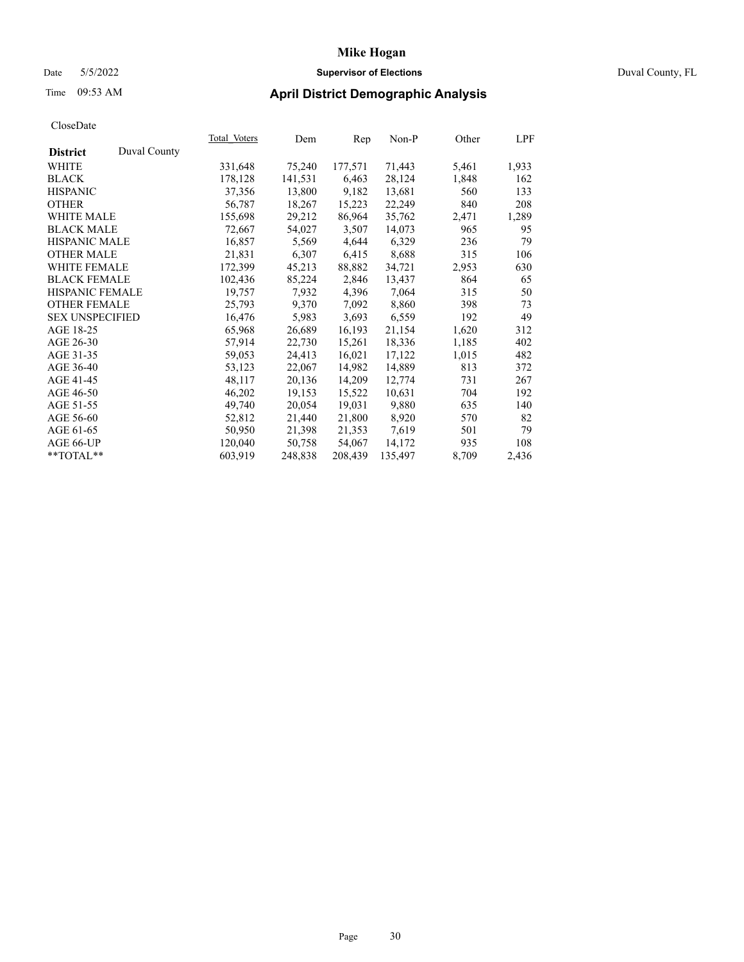# Date 5/5/2022 **Supervisor of Elections** Duval County, FL

# Time 09:53 AM **April District Demographic Analysis**

|                        |              | Total Voters | Dem     | Rep     | Non-P   | Other | LPF   |
|------------------------|--------------|--------------|---------|---------|---------|-------|-------|
| <b>District</b>        | Duval County |              |         |         |         |       |       |
| WHITE                  |              | 331,648      | 75,240  | 177,571 | 71,443  | 5,461 | 1,933 |
| <b>BLACK</b>           |              | 178,128      | 141,531 | 6,463   | 28,124  | 1,848 | 162   |
| <b>HISPANIC</b>        |              | 37,356       | 13,800  | 9,182   | 13,681  | 560   | 133   |
| <b>OTHER</b>           |              | 56,787       | 18,267  | 15,223  | 22,249  | 840   | 208   |
| <b>WHITE MALE</b>      |              | 155,698      | 29,212  | 86,964  | 35,762  | 2,471 | 1,289 |
| <b>BLACK MALE</b>      |              | 72,667       | 54,027  | 3,507   | 14,073  | 965   | 95    |
| <b>HISPANIC MALE</b>   |              | 16,857       | 5,569   | 4,644   | 6,329   | 236   | 79    |
| <b>OTHER MALE</b>      |              | 21,831       | 6,307   | 6,415   | 8,688   | 315   | 106   |
| <b>WHITE FEMALE</b>    |              | 172,399      | 45,213  | 88,882  | 34,721  | 2,953 | 630   |
| <b>BLACK FEMALE</b>    |              | 102,436      | 85,224  | 2,846   | 13,437  | 864   | 65    |
| <b>HISPANIC FEMALE</b> |              | 19,757       | 7,932   | 4,396   | 7,064   | 315   | 50    |
| <b>OTHER FEMALE</b>    |              | 25,793       | 9,370   | 7,092   | 8,860   | 398   | 73    |
| <b>SEX UNSPECIFIED</b> |              | 16,476       | 5,983   | 3,693   | 6,559   | 192   | 49    |
| AGE 18-25              |              | 65,968       | 26,689  | 16,193  | 21,154  | 1,620 | 312   |
| AGE 26-30              |              | 57,914       | 22,730  | 15,261  | 18,336  | 1,185 | 402   |
| AGE 31-35              |              | 59,053       | 24,413  | 16,021  | 17,122  | 1,015 | 482   |
| AGE 36-40              |              | 53,123       | 22,067  | 14,982  | 14,889  | 813   | 372   |
| AGE 41-45              |              | 48,117       | 20,136  | 14,209  | 12,774  | 731   | 267   |
| AGE 46-50              |              | 46,202       | 19,153  | 15,522  | 10,631  | 704   | 192   |
| AGE 51-55              |              | 49,740       | 20,054  | 19,031  | 9,880   | 635   | 140   |
| AGE 56-60              |              | 52,812       | 21,440  | 21,800  | 8,920   | 570   | 82    |
| AGE 61-65              |              | 50,950       | 21,398  | 21,353  | 7,619   | 501   | 79    |
| AGE 66-UP              |              | 120,040      | 50,758  | 54,067  | 14.172  | 935   | 108   |
| $*$ TOTAL $*$          |              | 603,919      | 248,838 | 208,439 | 135,497 | 8,709 | 2,436 |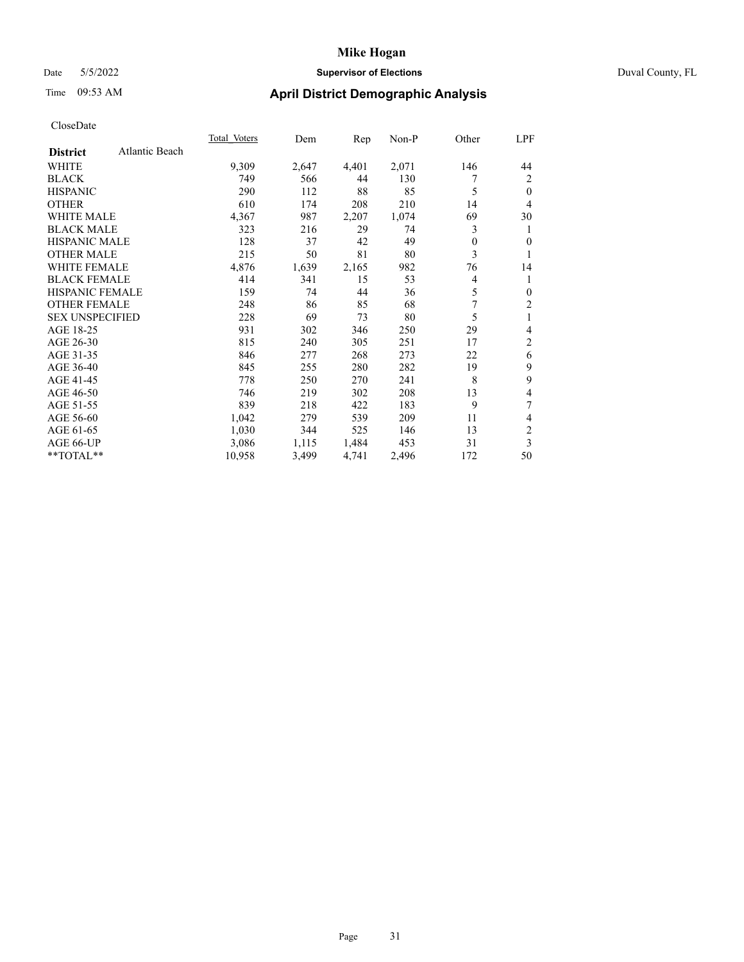### Date 5/5/2022 **Supervisor of Elections** Duval County, FL

# Time 09:53 AM **April District Demographic Analysis**

|                                   | <b>Total Voters</b> | Dem   | Rep   | Non-P | Other | LPF            |
|-----------------------------------|---------------------|-------|-------|-------|-------|----------------|
| Atlantic Beach<br><b>District</b> |                     |       |       |       |       |                |
| WHITE                             | 9,309               | 2,647 | 4,401 | 2,071 | 146   | 44             |
| <b>BLACK</b>                      | 749                 | 566   | 44    | 130   |       | 2              |
| <b>HISPANIC</b>                   | 290                 | 112   | 88    | 85    | 5     | $\theta$       |
| <b>OTHER</b>                      | 610                 | 174   | 208   | 210   | 14    | 4              |
| <b>WHITE MALE</b>                 | 4,367               | 987   | 2,207 | 1,074 | 69    | 30             |
| <b>BLACK MALE</b>                 | 323                 | 216   | 29    | 74    | 3     | 1              |
| <b>HISPANIC MALE</b>              | 128                 | 37    | 42    | 49    | 0     | 0              |
| <b>OTHER MALE</b>                 | 215                 | 50    | 81    | 80    | 3     | 1              |
| WHITE FEMALE                      | 4,876               | 1,639 | 2,165 | 982   | 76    | 14             |
| <b>BLACK FEMALE</b>               | 414                 | 341   | 15    | 53    | 4     | 1              |
| <b>HISPANIC FEMALE</b>            | 159                 | 74    | 44    | 36    | 5     | $\mathbf{0}$   |
| <b>OTHER FEMALE</b>               | 248                 | 86    | 85    | 68    | 7     | 2              |
| <b>SEX UNSPECIFIED</b>            | 228                 | 69    | 73    | 80    | 5     | 1              |
| AGE 18-25                         | 931                 | 302   | 346   | 250   | 29    | 4              |
| AGE 26-30                         | 815                 | 240   | 305   | 251   | 17    | 2              |
| AGE 31-35                         | 846                 | 277   | 268   | 273   | 22    | 6              |
| AGE 36-40                         | 845                 | 255   | 280   | 282   | 19    | 9              |
| AGE 41-45                         | 778                 | 250   | 270   | 241   | 8     | 9              |
| AGE 46-50                         | 746                 | 219   | 302   | 208   | 13    | 4              |
| AGE 51-55                         | 839                 | 218   | 422   | 183   | 9     | 7              |
| AGE 56-60                         | 1,042               | 279   | 539   | 209   | 11    | 4              |
| AGE 61-65                         | 1,030               | 344   | 525   | 146   | 13    | $\overline{c}$ |
| AGE 66-UP                         | 3,086               | 1,115 | 1,484 | 453   | 31    | 3              |
| **TOTAL**                         | 10,958              | 3,499 | 4,741 | 2,496 | 172   | 50             |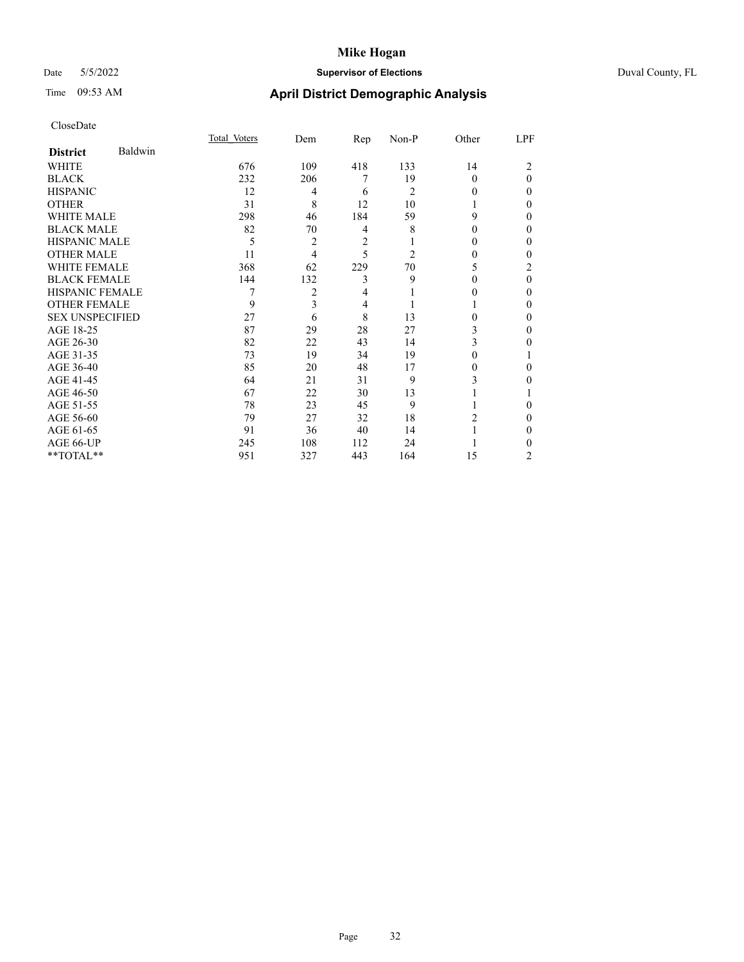# Date 5/5/2022 **Supervisor of Elections** Duval County, FL

# Time 09:53 AM **April District Demographic Analysis**

|                        |         | Total Voters | Dem | Rep | Non-P          | Other    | LPF |
|------------------------|---------|--------------|-----|-----|----------------|----------|-----|
| <b>District</b>        | Baldwin |              |     |     |                |          |     |
| WHITE                  |         | 676          | 109 | 418 | 133            | 14       | 2   |
| <b>BLACK</b>           |         | 232          | 206 | 7   | 19             | 0        | 0   |
| <b>HISPANIC</b>        |         | 12           | 4   | 6   | 2              | $\theta$ | 0   |
| <b>OTHER</b>           |         | 31           | 8   | 12  | 10             |          | 0   |
| WHITE MALE             |         | 298          | 46  | 184 | 59             | 9        | 0   |
| <b>BLACK MALE</b>      |         | 82           | 70  | 4   | 8              | $\theta$ | 0   |
| <b>HISPANIC MALE</b>   |         | 5            | 2   | 2   |                | $_{0}$   | 0   |
| <b>OTHER MALE</b>      |         | 11           | 4   | 5   | $\overline{2}$ | $\theta$ | 0   |
| WHITE FEMALE           |         | 368          | 62  | 229 | 70             | 5        | 2   |
| <b>BLACK FEMALE</b>    |         | 144          | 132 | 3   | 9              | 0        | 0   |
| <b>HISPANIC FEMALE</b> |         |              | 2   | 4   |                | 0        | 0   |
| <b>OTHER FEMALE</b>    |         | 9            | 3   | 4   |                |          | 0   |
| <b>SEX UNSPECIFIED</b> |         | 27           | 6   | 8   | 13             | 0        | 0   |
| AGE 18-25              |         | 87           | 29  | 28  | 27             | 3        | 0   |
| AGE 26-30              |         | 82           | 22  | 43  | 14             | 3        | 0   |
| AGE 31-35              |         | 73           | 19  | 34  | 19             | 0        |     |
| AGE 36-40              |         | 85           | 20  | 48  | 17             | 0        | 0   |
| AGE 41-45              |         | 64           | 21  | 31  | 9              | 3        | 0   |
| AGE 46-50              |         | 67           | 22  | 30  | 13             |          |     |
| AGE 51-55              |         | 78           | 23  | 45  | 9              |          | 0   |
| AGE 56-60              |         | 79           | 27  | 32  | 18             | 2        | 0   |
| AGE 61-65              |         | 91           | 36  | 40  | 14             |          | 0   |
| AGE 66-UP              |         | 245          | 108 | 112 | 24             |          | 0   |
| **TOTAL**              |         | 951          | 327 | 443 | 164            | 15       | 2   |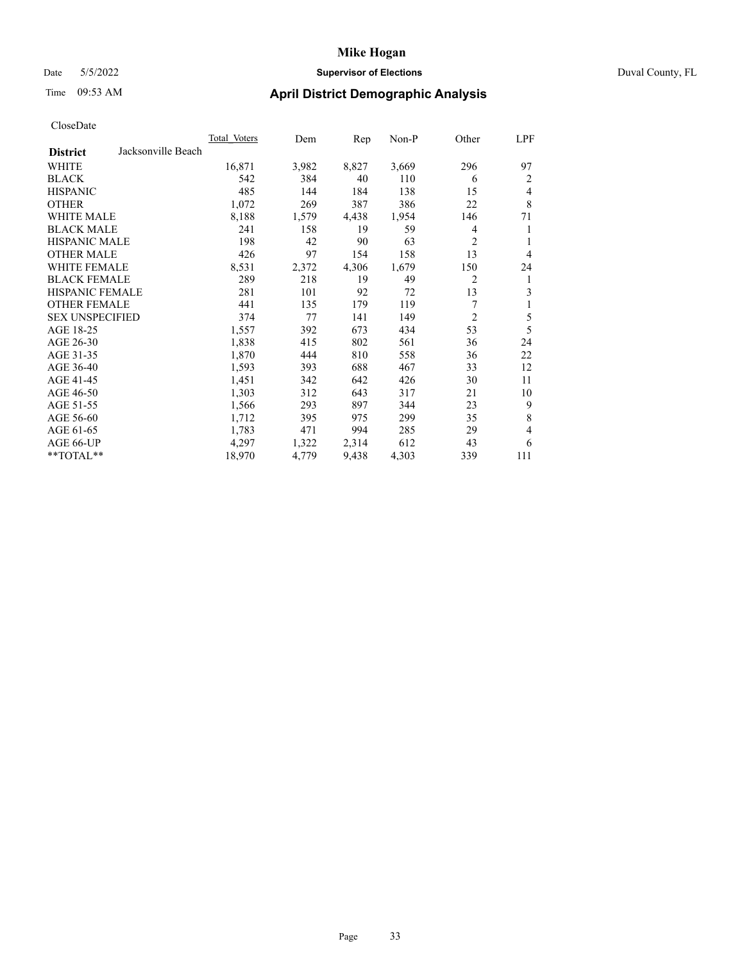### Date 5/5/2022 **Supervisor of Elections** Duval County, FL

# Time 09:53 AM **April District Demographic Analysis**

|                                       | <b>Total Voters</b> | Dem   | Rep   | Non-P | Other          | LPF            |
|---------------------------------------|---------------------|-------|-------|-------|----------------|----------------|
| Jacksonville Beach<br><b>District</b> |                     |       |       |       |                |                |
| WHITE                                 | 16,871              | 3,982 | 8,827 | 3,669 | 296            | 97             |
| <b>BLACK</b>                          | 542                 | 384   | 40    | 110   | 6              | 2              |
| <b>HISPANIC</b>                       | 485                 | 144   | 184   | 138   | 15             | 4              |
| <b>OTHER</b>                          | 1,072               | 269   | 387   | 386   | 22             | $\,$ 8 $\,$    |
| <b>WHITE MALE</b>                     | 8,188               | 1,579 | 4,438 | 1,954 | 146            | 71             |
| <b>BLACK MALE</b>                     | 241                 | 158   | 19    | 59    | 4              | 1              |
| <b>HISPANIC MALE</b>                  | 198                 | 42    | 90    | 63    | 2              | 1              |
| <b>OTHER MALE</b>                     | 426                 | 97    | 154   | 158   | 13             | $\overline{4}$ |
| WHITE FEMALE                          | 8,531               | 2,372 | 4,306 | 1,679 | 150            | 24             |
| <b>BLACK FEMALE</b>                   | 289                 | 218   | 19    | 49    | 2              | 1              |
| HISPANIC FEMALE                       | 281                 | 101   | 92    | 72    | 13             | 3              |
| <b>OTHER FEMALE</b>                   | 441                 | 135   | 179   | 119   | 7              | 1              |
| <b>SEX UNSPECIFIED</b>                | 374                 | 77    | 141   | 149   | $\overline{c}$ | 5              |
| AGE 18-25                             | 1,557               | 392   | 673   | 434   | 53             | 5              |
| AGE 26-30                             | 1,838               | 415   | 802   | 561   | 36             | 24             |
| AGE 31-35                             | 1,870               | 444   | 810   | 558   | 36             | 22             |
| AGE 36-40                             | 1,593               | 393   | 688   | 467   | 33             | 12             |
| AGE 41-45                             | 1,451               | 342   | 642   | 426   | 30             | 11             |
| AGE 46-50                             | 1,303               | 312   | 643   | 317   | 21             | 10             |
| AGE 51-55                             | 1,566               | 293   | 897   | 344   | 23             | 9              |
| AGE 56-60                             | 1,712               | 395   | 975   | 299   | 35             | $\,$ 8 $\,$    |
| AGE 61-65                             | 1,783               | 471   | 994   | 285   | 29             | $\overline{4}$ |
| AGE 66-UP                             | 4,297               | 1,322 | 2,314 | 612   | 43             | 6              |
| **TOTAL**                             | 18,970              | 4,779 | 9,438 | 4,303 | 339            | 111            |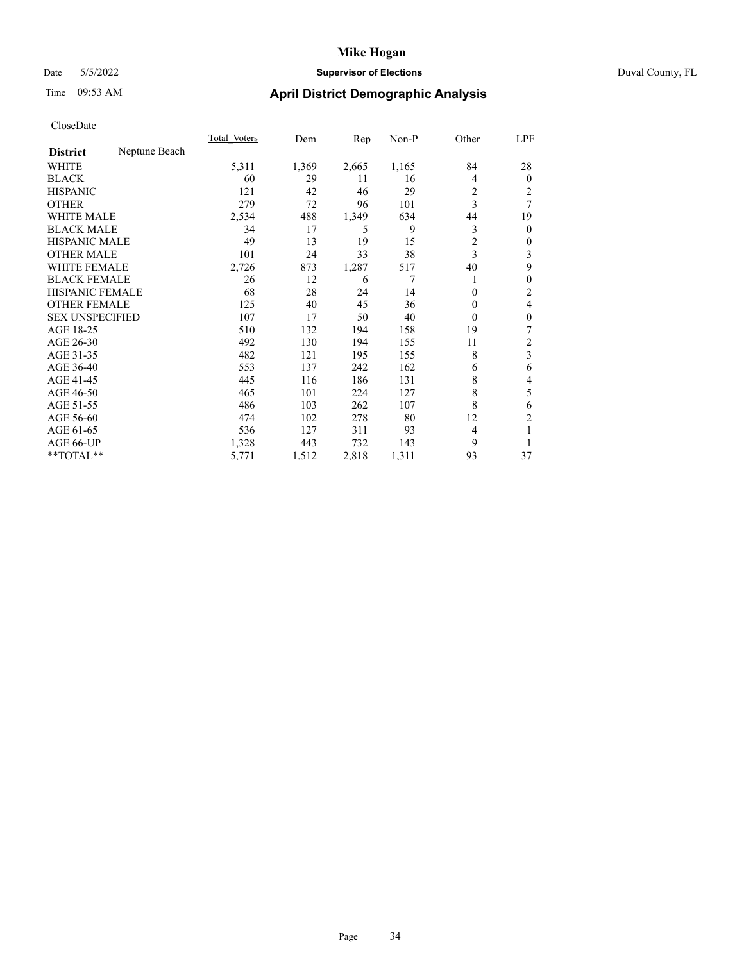# Date 5/5/2022 **Supervisor of Elections** Duval County, FL

# Time 09:53 AM **April District Demographic Analysis**

|                        |               | Total Voters | Dem   | Rep   | Non-P | Other    | LPF            |
|------------------------|---------------|--------------|-------|-------|-------|----------|----------------|
| <b>District</b>        | Neptune Beach |              |       |       |       |          |                |
| WHITE                  |               | 5,311        | 1,369 | 2,665 | 1,165 | 84       | 28             |
| <b>BLACK</b>           |               | 60           | 29    | 11    | 16    | 4        | $\overline{0}$ |
| <b>HISPANIC</b>        |               | 121          | 42    | 46    | 29    | 2        | 2              |
| <b>OTHER</b>           |               | 279          | 72    | 96    | 101   | 3        | 7              |
| WHITE MALE             |               | 2,534        | 488   | 1,349 | 634   | 44       | 19             |
| <b>BLACK MALE</b>      |               | 34           | 17    | 5     | 9     | 3        | 0              |
| <b>HISPANIC MALE</b>   |               | 49           | 13    | 19    | 15    | 2        | 0              |
| <b>OTHER MALE</b>      |               | 101          | 24    | 33    | 38    | 3        | 3              |
| WHITE FEMALE           |               | 2,726        | 873   | 1,287 | 517   | 40       | 9              |
| <b>BLACK FEMALE</b>    |               | 26           | 12    | 6     | 7     | 1        | 0              |
| <b>HISPANIC FEMALE</b> |               | 68           | 28    | 24    | 14    | 0        | 2              |
| <b>OTHER FEMALE</b>    |               | 125          | 40    | 45    | 36    | $\Omega$ | 4              |
| <b>SEX UNSPECIFIED</b> |               | 107          | 17    | 50    | 40    | $\theta$ | 0              |
| AGE 18-25              |               | 510          | 132   | 194   | 158   | 19       | 7              |
| AGE 26-30              |               | 492          | 130   | 194   | 155   | 11       | 2              |
| AGE 31-35              |               | 482          | 121   | 195   | 155   | 8        | 3              |
| AGE 36-40              |               | 553          | 137   | 242   | 162   | 6        | 6              |
| AGE 41-45              |               | 445          | 116   | 186   | 131   | 8        | 4              |
| AGE 46-50              |               | 465          | 101   | 224   | 127   | 8        | 5              |
| AGE 51-55              |               | 486          | 103   | 262   | 107   | 8        | 6              |
| AGE 56-60              |               | 474          | 102   | 278   | 80    | 12       | $\overline{2}$ |
| AGE 61-65              |               | 536          | 127   | 311   | 93    | 4        |                |
| AGE 66-UP              |               | 1,328        | 443   | 732   | 143   | 9        |                |
| $*$ $TOTAL**$          |               | 5,771        | 1,512 | 2,818 | 1,311 | 93       | 37             |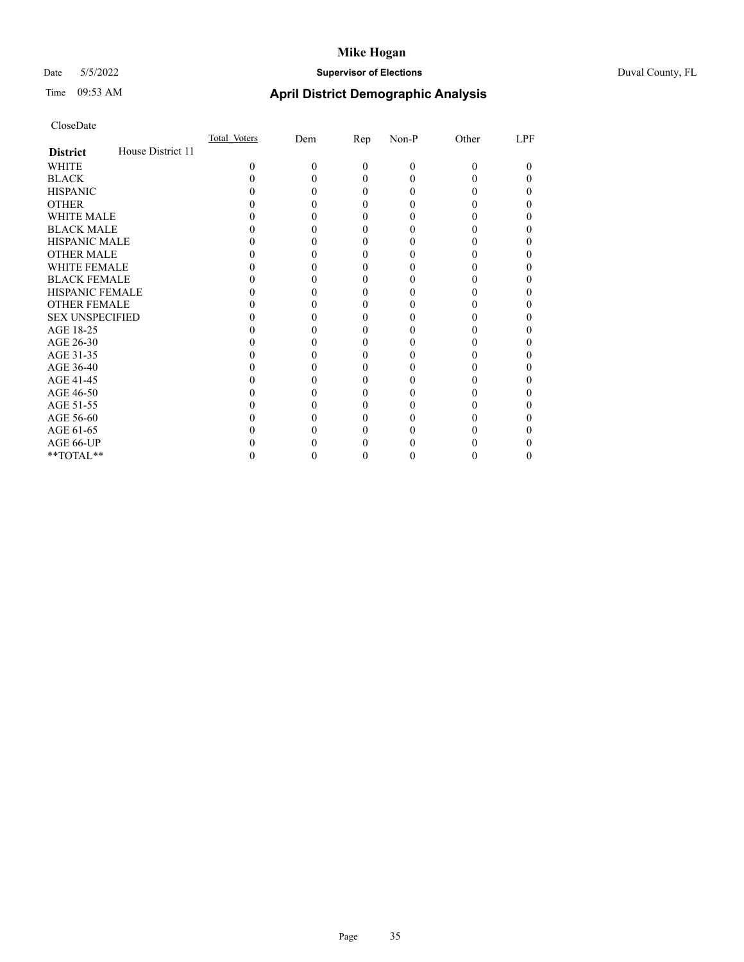# Date 5/5/2022 **Supervisor of Elections** Duval County, FL

# Time 09:53 AM **April District Demographic Analysis**

|                        |                   | Total Voters | Dem | $\mathbf{Rep}$ | Non-P | Other | LPF          |
|------------------------|-------------------|--------------|-----|----------------|-------|-------|--------------|
| <b>District</b>        | House District 11 |              |     |                |       |       |              |
| WHITE                  |                   | 0            | 0   | $\Omega$       | 0     | 0     | $\theta$     |
| <b>BLACK</b>           |                   |              |     |                |       |       |              |
| <b>HISPANIC</b>        |                   |              |     | 0              |       |       | 0            |
| <b>OTHER</b>           |                   |              |     |                |       |       |              |
| <b>WHITE MALE</b>      |                   |              |     |                |       |       |              |
| <b>BLACK MALE</b>      |                   |              |     |                |       |       |              |
| <b>HISPANIC MALE</b>   |                   |              |     |                |       |       |              |
| <b>OTHER MALE</b>      |                   |              |     |                |       |       |              |
| <b>WHITE FEMALE</b>    |                   |              |     |                |       |       |              |
| <b>BLACK FEMALE</b>    |                   |              |     |                |       |       |              |
| <b>HISPANIC FEMALE</b> |                   |              |     |                |       |       |              |
| <b>OTHER FEMALE</b>    |                   |              |     |                |       |       |              |
| <b>SEX UNSPECIFIED</b> |                   |              |     |                |       |       |              |
| AGE 18-25              |                   |              |     |                |       |       |              |
| AGE 26-30              |                   |              |     |                |       |       |              |
| AGE 31-35              |                   |              |     |                |       |       |              |
| AGE 36-40              |                   |              |     |                |       |       |              |
| AGE 41-45              |                   |              |     |                |       |       |              |
| AGE 46-50              |                   |              |     |                |       |       |              |
| AGE 51-55              |                   |              |     |                |       |       |              |
| AGE 56-60              |                   |              |     |                |       |       |              |
| AGE 61-65              |                   |              |     |                |       |       |              |
| AGE 66-UP              |                   |              |     |                |       |       |              |
| **TOTAL**              |                   |              |     |                |       |       | $\mathbf{0}$ |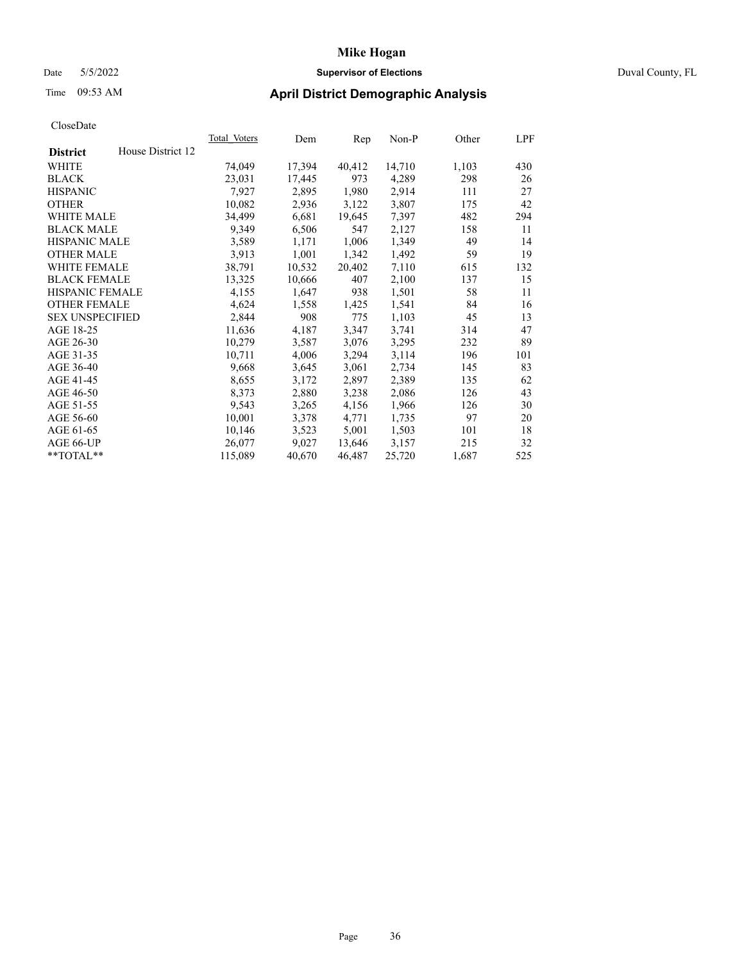# Date 5/5/2022 **Supervisor of Elections** Duval County, FL

# Time 09:53 AM **April District Demographic Analysis**

|                        |                   | Total Voters | Dem    | Rep    | Non-P  | Other | LPF |
|------------------------|-------------------|--------------|--------|--------|--------|-------|-----|
| <b>District</b>        | House District 12 |              |        |        |        |       |     |
| WHITE                  |                   | 74,049       | 17,394 | 40,412 | 14,710 | 1,103 | 430 |
| <b>BLACK</b>           |                   | 23,031       | 17,445 | 973    | 4,289  | 298   | 26  |
| <b>HISPANIC</b>        |                   | 7,927        | 2,895  | 1,980  | 2,914  | 111   | 27  |
| <b>OTHER</b>           |                   | 10,082       | 2,936  | 3,122  | 3,807  | 175   | 42  |
| <b>WHITE MALE</b>      |                   | 34,499       | 6,681  | 19,645 | 7,397  | 482   | 294 |
| <b>BLACK MALE</b>      |                   | 9,349        | 6,506  | 547    | 2,127  | 158   | 11  |
| <b>HISPANIC MALE</b>   |                   | 3,589        | 1,171  | 1,006  | 1,349  | 49    | 14  |
| <b>OTHER MALE</b>      |                   | 3,913        | 1,001  | 1,342  | 1,492  | 59    | 19  |
| <b>WHITE FEMALE</b>    |                   | 38,791       | 10,532 | 20,402 | 7,110  | 615   | 132 |
| <b>BLACK FEMALE</b>    |                   | 13,325       | 10,666 | 407    | 2,100  | 137   | 15  |
| <b>HISPANIC FEMALE</b> |                   | 4,155        | 1,647  | 938    | 1,501  | 58    | 11  |
| <b>OTHER FEMALE</b>    |                   | 4,624        | 1,558  | 1,425  | 1,541  | 84    | 16  |
| <b>SEX UNSPECIFIED</b> |                   | 2,844        | 908    | 775    | 1,103  | 45    | 13  |
| AGE 18-25              |                   | 11,636       | 4,187  | 3,347  | 3,741  | 314   | 47  |
| AGE 26-30              |                   | 10,279       | 3,587  | 3,076  | 3,295  | 232   | 89  |
| AGE 31-35              |                   | 10,711       | 4,006  | 3,294  | 3,114  | 196   | 101 |
| AGE 36-40              |                   | 9,668        | 3,645  | 3,061  | 2,734  | 145   | 83  |
| AGE 41-45              |                   | 8,655        | 3,172  | 2,897  | 2,389  | 135   | 62  |
| AGE 46-50              |                   | 8,373        | 2,880  | 3,238  | 2,086  | 126   | 43  |
| AGE 51-55              |                   | 9,543        | 3,265  | 4,156  | 1,966  | 126   | 30  |
| AGE 56-60              |                   | 10,001       | 3,378  | 4,771  | 1,735  | 97    | 20  |
| AGE 61-65              |                   | 10,146       | 3,523  | 5,001  | 1,503  | 101   | 18  |
| AGE 66-UP              |                   | 26,077       | 9,027  | 13,646 | 3,157  | 215   | 32  |
| $*$ TOTAL $*$          |                   | 115,089      | 40,670 | 46,487 | 25,720 | 1,687 | 525 |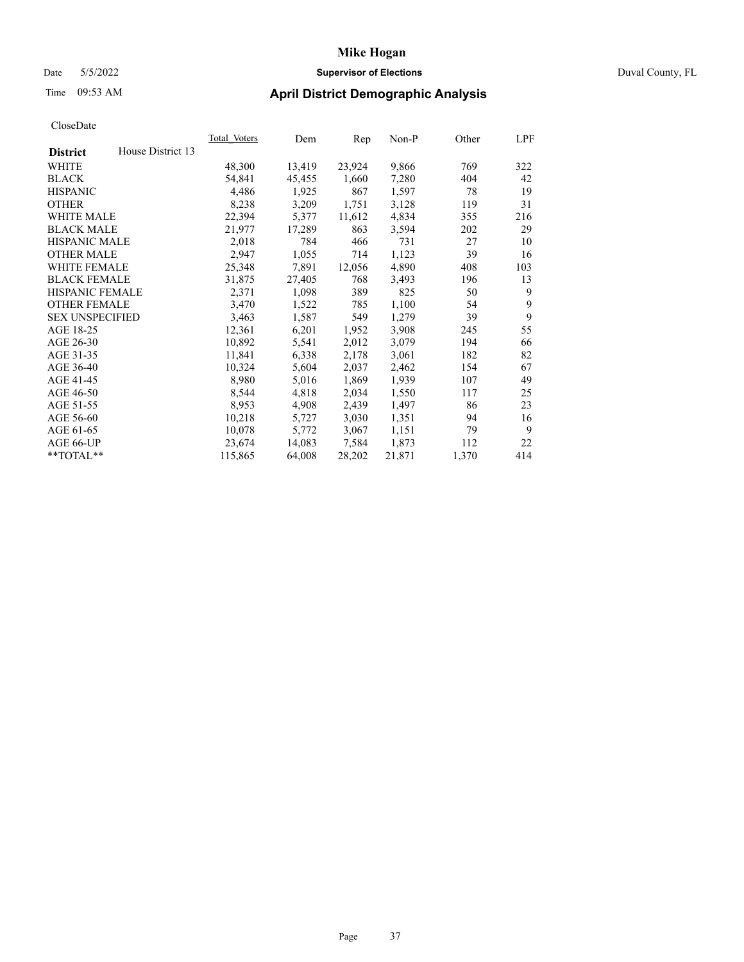### Date 5/5/2022 **Supervisor of Elections** Duval County, FL

# Time 09:53 AM **April District Demographic Analysis**

| Total Voters | Dem    | Rep    | $Non-P$ | Other | LPF |
|--------------|--------|--------|---------|-------|-----|
|              |        |        |         |       |     |
| 48,300       | 13,419 | 23,924 | 9,866   | 769   | 322 |
| 54,841       | 45,455 | 1,660  | 7,280   | 404   | 42  |
| 4,486        | 1,925  | 867    | 1,597   | 78    | 19  |
| 8,238        | 3,209  | 1,751  | 3,128   | 119   | 31  |
| 22,394       | 5,377  | 11,612 | 4,834   | 355   | 216 |
| 21,977       | 17,289 | 863    | 3,594   | 202   | 29  |
| 2,018        | 784    | 466    | 731     | 27    | 10  |
| 2,947        | 1,055  | 714    | 1,123   | 39    | 16  |
| 25,348       | 7,891  | 12,056 | 4,890   | 408   | 103 |
| 31,875       | 27,405 | 768    | 3,493   | 196   | 13  |
| 2,371        | 1,098  | 389    | 825     | 50    | 9   |
| 3,470        | 1,522  | 785    | 1,100   | 54    | 9   |
| 3,463        | 1,587  | 549    | 1,279   | 39    | 9   |
| 12,361       | 6,201  | 1,952  | 3,908   | 245   | 55  |
| 10,892       | 5,541  | 2,012  | 3,079   | 194   | 66  |
| 11,841       | 6,338  | 2,178  | 3,061   | 182   | 82  |
| 10,324       | 5,604  | 2,037  | 2,462   | 154   | 67  |
| 8,980        | 5,016  | 1,869  | 1,939   | 107   | 49  |
| 8,544        | 4,818  | 2,034  | 1,550   | 117   | 25  |
| 8,953        | 4,908  | 2,439  | 1,497   | 86    | 23  |
| 10,218       | 5,727  | 3,030  | 1,351   | 94    | 16  |
| 10,078       | 5,772  | 3,067  | 1,151   | 79    | 9   |
| 23,674       | 14,083 | 7,584  | 1,873   | 112   | 22  |
| 115,865      | 64,008 | 28,202 | 21,871  | 1,370 | 414 |
|              |        |        |         |       |     |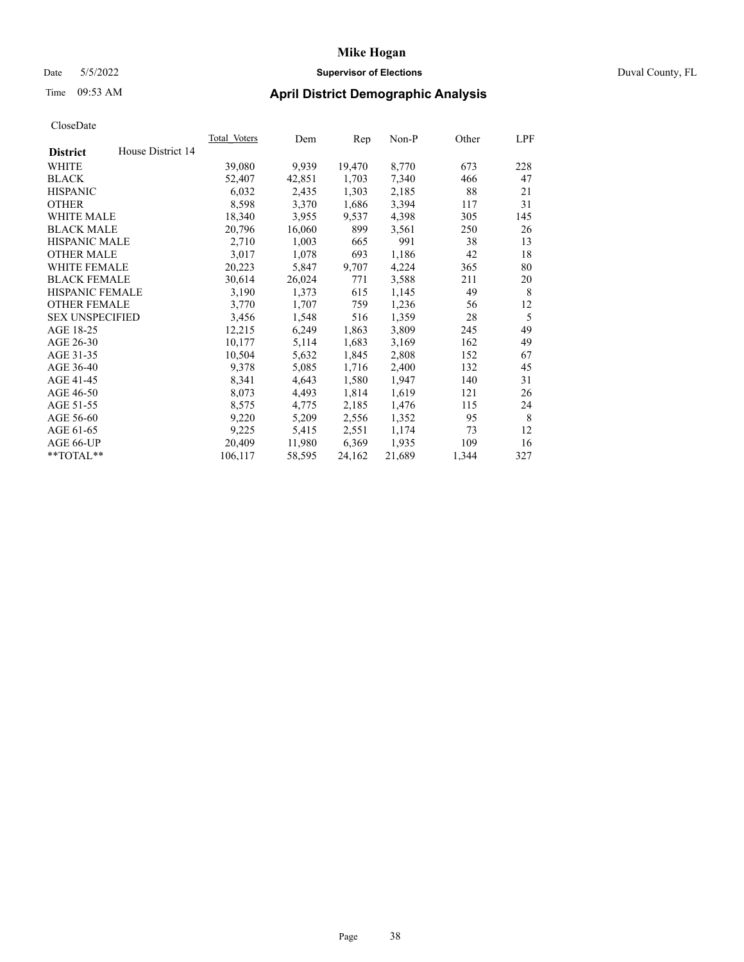### Date 5/5/2022 **Supervisor of Elections** Duval County, FL

# Time 09:53 AM **April District Demographic Analysis**

| <b>Total Voters</b> | Dem    | Rep    | $Non-P$ | Other | LPF |
|---------------------|--------|--------|---------|-------|-----|
|                     |        |        |         |       |     |
| 39,080              | 9,939  | 19,470 | 8,770   | 673   | 228 |
| 52,407              | 42,851 | 1,703  | 7,340   | 466   | 47  |
| 6,032               | 2,435  | 1,303  | 2,185   | 88    | 21  |
| 8,598               | 3,370  | 1,686  | 3,394   | 117   | 31  |
| 18,340              | 3,955  | 9,537  | 4,398   | 305   | 145 |
| 20,796              | 16,060 | 899    | 3,561   | 250   | 26  |
| 2,710               | 1,003  | 665    | 991     | 38    | 13  |
| 3,017               | 1,078  | 693    | 1,186   | 42    | 18  |
| 20,223              | 5,847  | 9,707  | 4,224   | 365   | 80  |
| 30,614              | 26,024 | 771    | 3,588   | 211   | 20  |
| 3,190               | 1,373  | 615    | 1,145   | 49    | 8   |
| 3,770               | 1,707  | 759    | 1,236   | 56    | 12  |
| 3,456               | 1,548  | 516    | 1,359   | 28    | 5   |
| 12,215              | 6,249  | 1,863  | 3,809   | 245   | 49  |
| 10,177              | 5,114  | 1,683  | 3,169   | 162   | 49  |
| 10,504              | 5,632  | 1,845  | 2,808   | 152   | 67  |
| 9,378               | 5,085  | 1,716  | 2,400   | 132   | 45  |
| 8,341               | 4,643  | 1,580  | 1,947   | 140   | 31  |
| 8,073               | 4,493  | 1,814  | 1,619   | 121   | 26  |
| 8,575               | 4,775  | 2,185  | 1,476   | 115   | 24  |
| 9,220               | 5,209  | 2,556  | 1,352   | 95    | 8   |
| 9,225               | 5,415  | 2,551  | 1,174   | 73    | 12  |
| 20,409              | 11,980 | 6,369  | 1,935   | 109   | 16  |
| 106,117             | 58,595 | 24,162 | 21,689  | 1,344 | 327 |
|                     |        |        |         |       |     |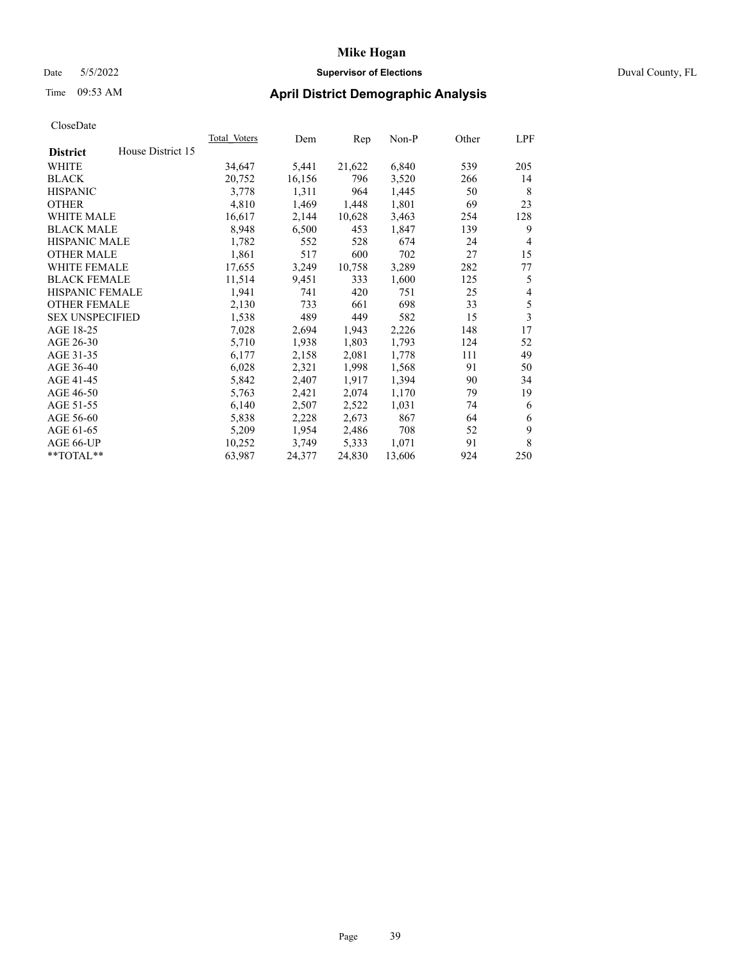# **Mike Hogan** Date 5/5/2022 **Supervisor of Elections** Duval County, FL

# Time 09:53 AM **April District Demographic Analysis**

| <b>Total Voters</b> | Dem    | Rep    | $Non-P$ | Other | LPF            |
|---------------------|--------|--------|---------|-------|----------------|
|                     |        |        |         |       |                |
| 34,647              | 5,441  | 21,622 | 6,840   | 539   | 205            |
| 20,752              | 16,156 | 796    | 3,520   | 266   | 14             |
| 3,778               | 1,311  | 964    | 1,445   | 50    | 8              |
| 4,810               | 1,469  | 1,448  | 1,801   | 69    | 23             |
| 16,617              | 2,144  | 10,628 | 3,463   | 254   | 128            |
| 8,948               | 6,500  | 453    | 1,847   | 139   | 9              |
| 1,782               | 552    | 528    | 674     | 24    | $\overline{4}$ |
| 1,861               | 517    | 600    | 702     | 27    | 15             |
| 17,655              | 3,249  | 10,758 | 3,289   | 282   | 77             |
| 11,514              | 9,451  | 333    | 1,600   | 125   | 5              |
| 1,941               | 741    | 420    | 751     | 25    | 4              |
| 2,130               | 733    | 661    | 698     | 33    | 5              |
| 1,538               | 489    | 449    | 582     | 15    | 3              |
| 7,028               | 2,694  | 1,943  | 2,226   | 148   | 17             |
| 5,710               | 1,938  | 1,803  | 1,793   | 124   | 52             |
| 6,177               | 2,158  | 2,081  | 1,778   | 111   | 49             |
| 6,028               | 2,321  | 1,998  | 1,568   | 91    | 50             |
| 5,842               | 2,407  | 1,917  | 1,394   | 90    | 34             |
| 5,763               | 2,421  | 2,074  | 1,170   | 79    | 19             |
| 6,140               | 2,507  | 2,522  | 1,031   | 74    | 6              |
| 5,838               | 2,228  | 2,673  | 867     | 64    | 6              |
| 5,209               | 1,954  | 2,486  | 708     | 52    | 9              |
| 10,252              | 3,749  | 5,333  | 1,071   | 91    | 8              |
| 63,987              | 24,377 | 24,830 | 13,606  | 924   | 250            |
|                     |        |        |         |       |                |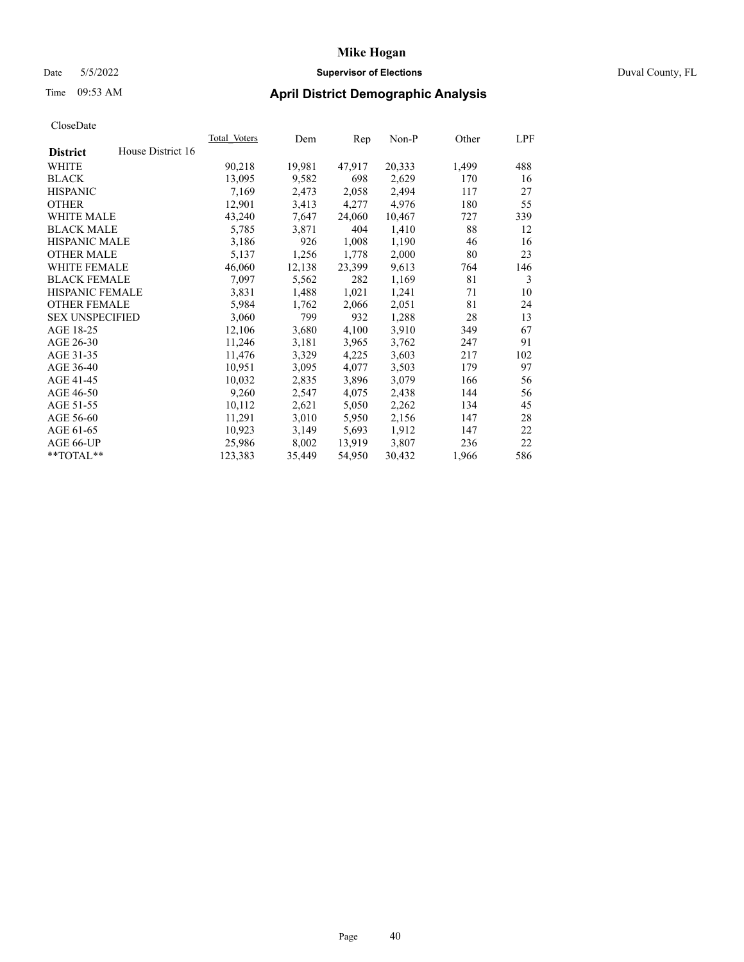### Date 5/5/2022 **Supervisor of Elections** Duval County, FL

# Time 09:53 AM **April District Demographic Analysis**

| <b>Total Voters</b> | Dem    | Rep    | Non-P  | Other | LPF |
|---------------------|--------|--------|--------|-------|-----|
| House District 16   |        |        |        |       |     |
| 90,218              | 19,981 | 47,917 | 20,333 | 1,499 | 488 |
| 13,095              | 9,582  | 698    | 2,629  | 170   | 16  |
| 7,169               | 2,473  | 2,058  | 2,494  | 117   | 27  |
| 12,901              | 3,413  | 4,277  | 4,976  | 180   | 55  |
| 43,240              | 7,647  | 24,060 | 10,467 | 727   | 339 |
| 5,785               | 3,871  | 404    | 1,410  | 88    | 12  |
| 3,186               | 926    | 1,008  | 1,190  | 46    | 16  |
| 5,137               | 1,256  | 1,778  | 2,000  | 80    | 23  |
| 46,060              | 12,138 | 23,399 | 9,613  | 764   | 146 |
| 7,097               | 5,562  | 282    | 1,169  | 81    | 3   |
| 3,831               | 1,488  | 1,021  | 1,241  | 71    | 10  |
| 5,984               | 1,762  | 2,066  | 2,051  | 81    | 24  |
| 3,060               | 799    | 932    | 1,288  | 28    | 13  |
| 12,106              | 3,680  | 4,100  | 3,910  | 349   | 67  |
| 11,246              | 3,181  | 3,965  | 3,762  | 247   | 91  |
| 11,476              | 3,329  | 4,225  | 3,603  | 217   | 102 |
| 10,951              | 3,095  | 4,077  | 3,503  | 179   | 97  |
| 10,032              | 2,835  | 3,896  | 3,079  | 166   | 56  |
| 9,260               | 2,547  | 4,075  | 2,438  | 144   | 56  |
| 10,112              | 2,621  | 5,050  | 2,262  | 134   | 45  |
| 11,291              | 3,010  | 5,950  | 2,156  | 147   | 28  |
| 10,923              | 3,149  | 5,693  | 1,912  | 147   | 22  |
| 25,986              | 8,002  | 13,919 | 3,807  | 236   | 22  |
| 123,383             | 35,449 | 54,950 | 30,432 | 1,966 | 586 |
|                     |        |        |        |       |     |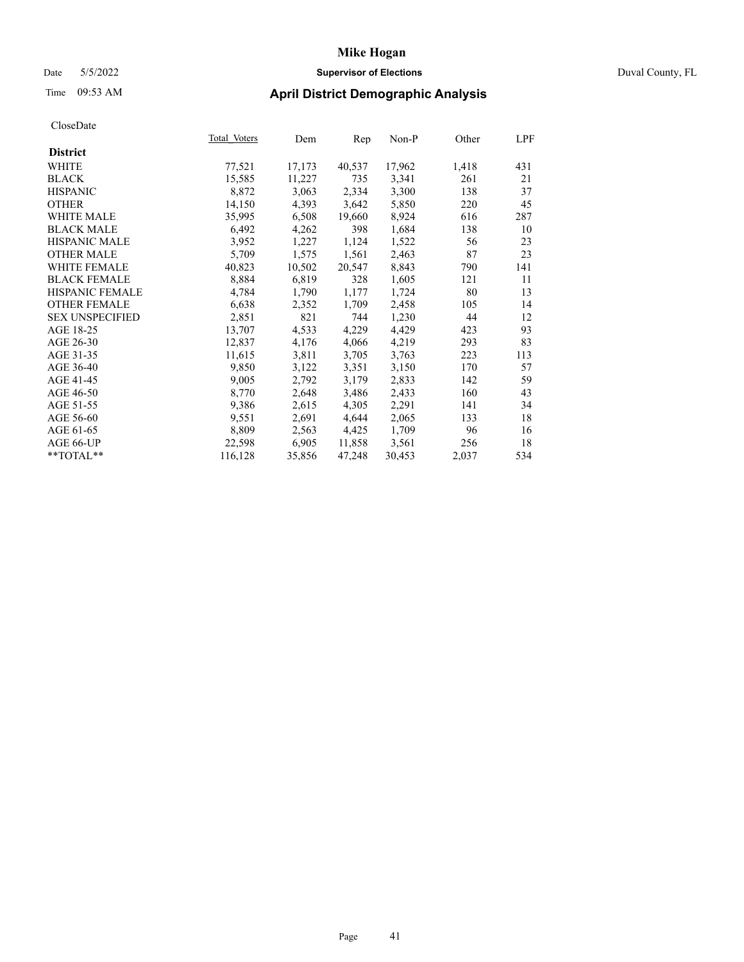# Date 5/5/2022 **Supervisor of Elections** Duval County, FL

| CloseDate              |              |        |        |        |       |            |
|------------------------|--------------|--------|--------|--------|-------|------------|
|                        | Total Voters | Dem    | Rep    | Non-P  | Other | <u>LPF</u> |
| <b>District</b>        |              |        |        |        |       |            |
| WHITE                  | 77,521       | 17,173 | 40,537 | 17,962 | 1,418 | 431        |
| <b>BLACK</b>           | 15,585       | 11,227 | 735    | 3,341  | 261   | 21         |
| <b>HISPANIC</b>        | 8,872        | 3,063  | 2,334  | 3,300  | 138   | 37         |
| <b>OTHER</b>           | 14,150       | 4,393  | 3,642  | 5,850  | 220   | 45         |
| <b>WHITE MALE</b>      | 35,995       | 6,508  | 19,660 | 8,924  | 616   | 287        |
| <b>BLACK MALE</b>      | 6,492        | 4,262  | 398    | 1,684  | 138   | 10         |
| <b>HISPANIC MALE</b>   | 3,952        | 1,227  | 1,124  | 1,522  | 56    | 23         |
| <b>OTHER MALE</b>      | 5,709        | 1,575  | 1,561  | 2,463  | 87    | 23         |
| <b>WHITE FEMALE</b>    | 40,823       | 10,502 | 20,547 | 8,843  | 790   | 141        |
| <b>BLACK FEMALE</b>    | 8,884        | 6,819  | 328    | 1,605  | 121   | 11         |
| <b>HISPANIC FEMALE</b> | 4,784        | 1,790  | 1,177  | 1,724  | 80    | 13         |
| <b>OTHER FEMALE</b>    | 6,638        | 2,352  | 1,709  | 2,458  | 105   | 14         |
| <b>SEX UNSPECIFIED</b> | 2,851        | 821    | 744    | 1,230  | 44    | 12         |
| AGE 18-25              | 13,707       | 4,533  | 4,229  | 4,429  | 423   | 93         |
| AGE 26-30              | 12,837       | 4,176  | 4,066  | 4,219  | 293   | 83         |
| AGE 31-35              | 11,615       | 3,811  | 3,705  | 3,763  | 223   | 113        |
| AGE 36-40              | 9,850        | 3,122  | 3,351  | 3,150  | 170   | 57         |
| AGE 41-45              | 9,005        | 2,792  | 3,179  | 2,833  | 142   | 59         |
| AGE 46-50              | 8,770        | 2,648  | 3,486  | 2,433  | 160   | 43         |
| AGE 51-55              | 9,386        | 2,615  | 4,305  | 2,291  | 141   | 34         |
| AGE 56-60              | 9,551        | 2,691  | 4,644  | 2,065  | 133   | 18         |
| AGE 61-65              | 8,809        | 2,563  | 4,425  | 1,709  | 96    | 16         |
| AGE 66-UP              | 22,598       | 6,905  | 11,858 | 3,561  | 256   | 18         |
| $*$ $TOTAL**$          | 116,128      | 35,856 | 47,248 | 30,453 | 2,037 | 534        |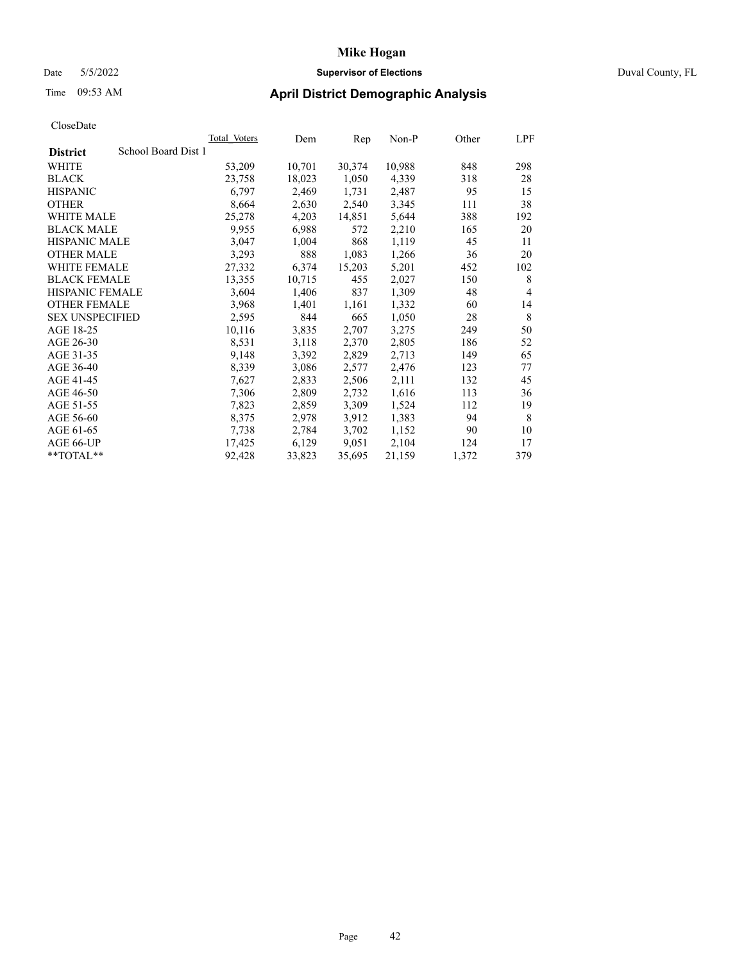### Date 5/5/2022 **Supervisor of Elections** Duval County, FL

# Time 09:53 AM **April District Demographic Analysis**

|                                        | <b>Total Voters</b> | Dem    | Rep    | Non-P  | Other | LPF            |
|----------------------------------------|---------------------|--------|--------|--------|-------|----------------|
| School Board Dist 1<br><b>District</b> |                     |        |        |        |       |                |
| WHITE                                  | 53,209              | 10,701 | 30,374 | 10,988 | 848   | 298            |
| <b>BLACK</b>                           | 23,758              | 18,023 | 1,050  | 4,339  | 318   | 28             |
| <b>HISPANIC</b>                        | 6,797               | 2,469  | 1,731  | 2,487  | 95    | 15             |
| <b>OTHER</b>                           | 8,664               | 2,630  | 2,540  | 3,345  | 111   | 38             |
| <b>WHITE MALE</b>                      | 25,278              | 4,203  | 14,851 | 5,644  | 388   | 192            |
| <b>BLACK MALE</b>                      | 9,955               | 6,988  | 572    | 2,210  | 165   | 20             |
| <b>HISPANIC MALE</b>                   | 3,047               | 1,004  | 868    | 1,119  | 45    | 11             |
| <b>OTHER MALE</b>                      | 3,293               | 888    | 1,083  | 1,266  | 36    | 20             |
| <b>WHITE FEMALE</b>                    | 27,332              | 6,374  | 15,203 | 5,201  | 452   | 102            |
| <b>BLACK FEMALE</b>                    | 13,355              | 10,715 | 455    | 2,027  | 150   | 8              |
| HISPANIC FEMALE                        | 3,604               | 1,406  | 837    | 1,309  | 48    | $\overline{4}$ |
| <b>OTHER FEMALE</b>                    | 3,968               | 1,401  | 1,161  | 1,332  | 60    | 14             |
| <b>SEX UNSPECIFIED</b>                 | 2,595               | 844    | 665    | 1,050  | 28    | 8              |
| AGE 18-25                              | 10,116              | 3,835  | 2,707  | 3,275  | 249   | 50             |
| AGE 26-30                              | 8,531               | 3,118  | 2,370  | 2,805  | 186   | 52             |
| AGE 31-35                              | 9,148               | 3,392  | 2,829  | 2,713  | 149   | 65             |
| AGE 36-40                              | 8,339               | 3,086  | 2,577  | 2,476  | 123   | 77             |
| AGE 41-45                              | 7,627               | 2,833  | 2,506  | 2,111  | 132   | 45             |
| AGE 46-50                              | 7,306               | 2,809  | 2,732  | 1,616  | 113   | 36             |
| AGE 51-55                              | 7,823               | 2,859  | 3,309  | 1,524  | 112   | 19             |
| AGE 56-60                              | 8,375               | 2,978  | 3,912  | 1,383  | 94    | 8              |
| AGE 61-65                              | 7,738               | 2,784  | 3,702  | 1,152  | 90    | 10             |
| AGE 66-UP                              | 17,425              | 6,129  | 9,051  | 2,104  | 124   | 17             |
| **TOTAL**                              | 92,428              | 33,823 | 35,695 | 21,159 | 1,372 | 379            |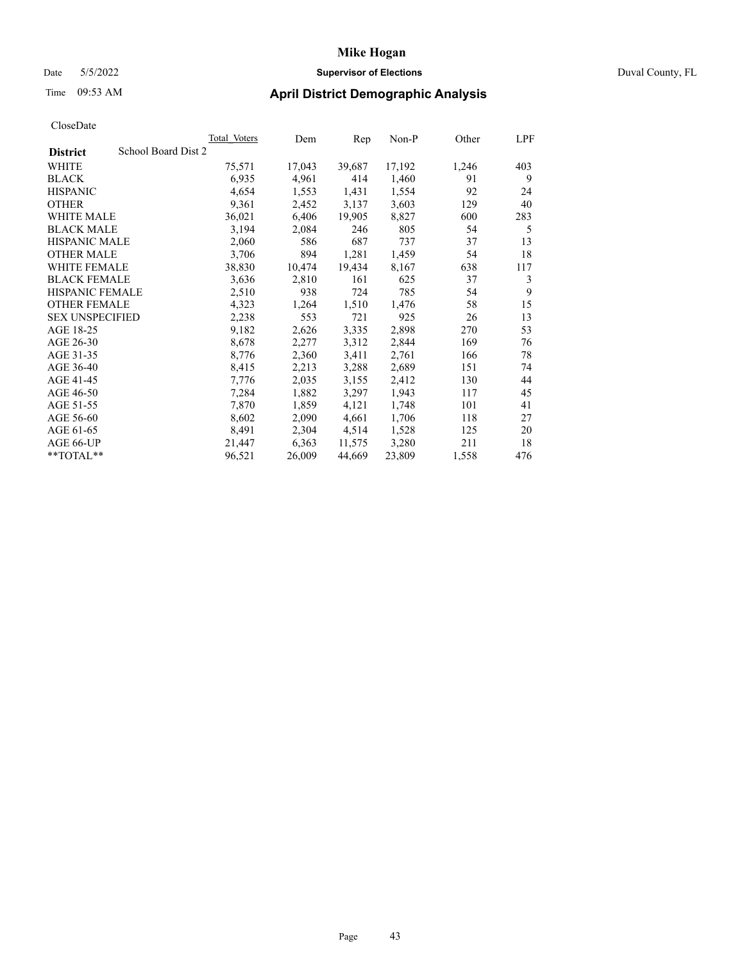# Date 5/5/2022 **Supervisor of Elections** Duval County, FL

# Time 09:53 AM **April District Demographic Analysis**

|                                        | Total Voters | Dem    | Rep    | Non-P  | Other | LPF |
|----------------------------------------|--------------|--------|--------|--------|-------|-----|
| School Board Dist 2<br><b>District</b> |              |        |        |        |       |     |
| WHITE                                  | 75,571       | 17,043 | 39,687 | 17,192 | 1,246 | 403 |
| <b>BLACK</b>                           | 6,935        | 4,961  | 414    | 1,460  | 91    | 9   |
| <b>HISPANIC</b>                        | 4,654        | 1,553  | 1,431  | 1,554  | 92    | 24  |
| <b>OTHER</b>                           | 9,361        | 2,452  | 3,137  | 3,603  | 129   | 40  |
| WHITE MALE                             | 36,021       | 6,406  | 19,905 | 8,827  | 600   | 283 |
| <b>BLACK MALE</b>                      | 3,194        | 2,084  | 246    | 805    | 54    | 5   |
| <b>HISPANIC MALE</b>                   | 2,060        | 586    | 687    | 737    | 37    | 13  |
| <b>OTHER MALE</b>                      | 3,706        | 894    | 1,281  | 1,459  | 54    | 18  |
| <b>WHITE FEMALE</b>                    | 38,830       | 10,474 | 19,434 | 8,167  | 638   | 117 |
| <b>BLACK FEMALE</b>                    | 3,636        | 2,810  | 161    | 625    | 37    | 3   |
| <b>HISPANIC FEMALE</b>                 | 2,510        | 938    | 724    | 785    | 54    | 9   |
| <b>OTHER FEMALE</b>                    | 4,323        | 1,264  | 1,510  | 1,476  | 58    | 15  |
| <b>SEX UNSPECIFIED</b>                 | 2,238        | 553    | 721    | 925    | 26    | 13  |
| AGE 18-25                              | 9,182        | 2,626  | 3,335  | 2,898  | 270   | 53  |
| AGE 26-30                              | 8,678        | 2,277  | 3,312  | 2,844  | 169   | 76  |
| AGE 31-35                              | 8,776        | 2,360  | 3,411  | 2,761  | 166   | 78  |
| AGE 36-40                              | 8,415        | 2,213  | 3,288  | 2,689  | 151   | 74  |
| AGE 41-45                              | 7,776        | 2,035  | 3,155  | 2,412  | 130   | 44  |
| AGE 46-50                              | 7,284        | 1,882  | 3,297  | 1,943  | 117   | 45  |
| AGE 51-55                              | 7,870        | 1,859  | 4,121  | 1,748  | 101   | 41  |
| AGE 56-60                              | 8,602        | 2,090  | 4,661  | 1,706  | 118   | 27  |
| AGE 61-65                              | 8,491        | 2,304  | 4,514  | 1,528  | 125   | 20  |
| AGE 66-UP                              | 21,447       | 6,363  | 11,575 | 3,280  | 211   | 18  |
| $*$ $TOTAL**$                          | 96,521       | 26,009 | 44,669 | 23,809 | 1,558 | 476 |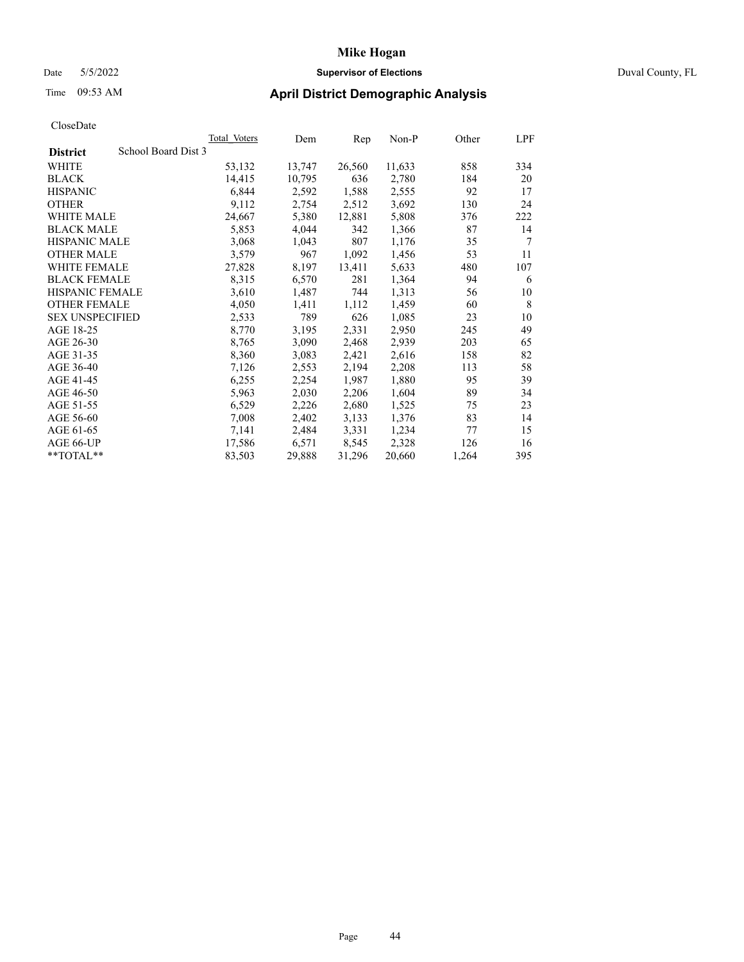### Date 5/5/2022 **Supervisor of Elections** Duval County, FL

# Time 09:53 AM **April District Demographic Analysis**

|                                        | <b>Total Voters</b> | Dem    | Rep    | $Non-P$ | Other | LPF |
|----------------------------------------|---------------------|--------|--------|---------|-------|-----|
| School Board Dist 3<br><b>District</b> |                     |        |        |         |       |     |
| WHITE                                  | 53,132              | 13,747 | 26,560 | 11,633  | 858   | 334 |
| <b>BLACK</b>                           | 14,415              | 10,795 | 636    | 2,780   | 184   | 20  |
| <b>HISPANIC</b>                        | 6,844               | 2,592  | 1,588  | 2,555   | 92    | 17  |
| <b>OTHER</b>                           | 9,112               | 2,754  | 2,512  | 3,692   | 130   | 24  |
| <b>WHITE MALE</b>                      | 24,667              | 5,380  | 12,881 | 5,808   | 376   | 222 |
| <b>BLACK MALE</b>                      | 5,853               | 4,044  | 342    | 1,366   | 87    | 14  |
| <b>HISPANIC MALE</b>                   | 3,068               | 1,043  | 807    | 1,176   | 35    | 7   |
| <b>OTHER MALE</b>                      | 3,579               | 967    | 1,092  | 1,456   | 53    | 11  |
| WHITE FEMALE                           | 27,828              | 8,197  | 13,411 | 5,633   | 480   | 107 |
| <b>BLACK FEMALE</b>                    | 8,315               | 6,570  | 281    | 1,364   | 94    | 6   |
| HISPANIC FEMALE                        | 3,610               | 1,487  | 744    | 1,313   | 56    | 10  |
| <b>OTHER FEMALE</b>                    | 4,050               | 1,411  | 1,112  | 1,459   | 60    | 8   |
| <b>SEX UNSPECIFIED</b>                 | 2,533               | 789    | 626    | 1,085   | 23    | 10  |
| AGE 18-25                              | 8,770               | 3,195  | 2,331  | 2,950   | 245   | 49  |
| AGE 26-30                              | 8,765               | 3,090  | 2,468  | 2,939   | 203   | 65  |
| AGE 31-35                              | 8,360               | 3,083  | 2,421  | 2,616   | 158   | 82  |
| AGE 36-40                              | 7,126               | 2,553  | 2,194  | 2,208   | 113   | 58  |
| AGE 41-45                              | 6,255               | 2,254  | 1,987  | 1,880   | 95    | 39  |
| AGE 46-50                              | 5,963               | 2,030  | 2,206  | 1,604   | 89    | 34  |
| AGE 51-55                              | 6,529               | 2,226  | 2,680  | 1,525   | 75    | 23  |
| AGE 56-60                              | 7,008               | 2,402  | 3,133  | 1,376   | 83    | 14  |
| AGE 61-65                              | 7,141               | 2,484  | 3,331  | 1,234   | 77    | 15  |
| AGE 66-UP                              | 17,586              | 6,571  | 8,545  | 2,328   | 126   | 16  |
| **TOTAL**                              | 83,503              | 29,888 | 31,296 | 20,660  | 1,264 | 395 |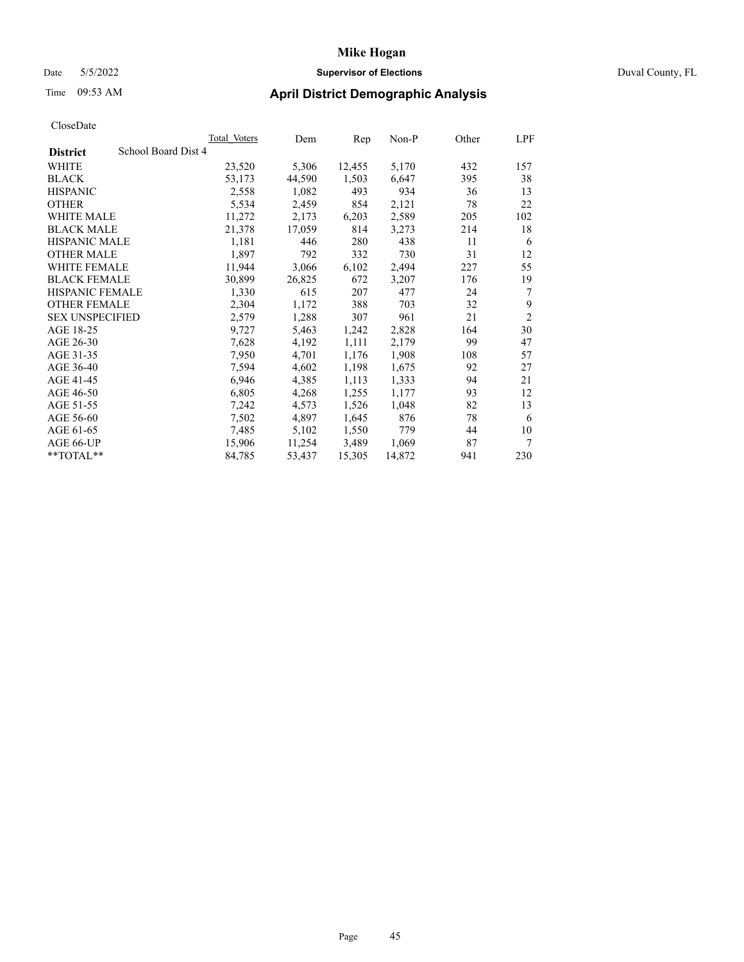### Date 5/5/2022 **Supervisor of Elections** Duval County, FL

| CloseDate |
|-----------|
|-----------|

|                                        | Total Voters | Dem    | Rep    | $Non-P$ | Other | LPF            |
|----------------------------------------|--------------|--------|--------|---------|-------|----------------|
| School Board Dist 4<br><b>District</b> |              |        |        |         |       |                |
| WHITE                                  | 23,520       | 5,306  | 12,455 | 5,170   | 432   | 157            |
| <b>BLACK</b>                           | 53,173       | 44,590 | 1,503  | 6,647   | 395   | 38             |
| <b>HISPANIC</b>                        | 2,558        | 1,082  | 493    | 934     | 36    | 13             |
| <b>OTHER</b>                           | 5,534        | 2,459  | 854    | 2,121   | 78    | 22             |
| <b>WHITE MALE</b>                      | 11,272       | 2,173  | 6,203  | 2,589   | 205   | 102            |
| <b>BLACK MALE</b>                      | 21,378       | 17,059 | 814    | 3,273   | 214   | 18             |
| <b>HISPANIC MALE</b>                   | 1,181        | 446    | 280    | 438     | 11    | 6              |
| <b>OTHER MALE</b>                      | 1,897        | 792    | 332    | 730     | 31    | 12             |
| <b>WHITE FEMALE</b>                    | 11,944       | 3,066  | 6,102  | 2,494   | 227   | 55             |
| <b>BLACK FEMALE</b>                    | 30,899       | 26,825 | 672    | 3,207   | 176   | 19             |
| HISPANIC FEMALE                        | 1,330        | 615    | 207    | 477     | 24    | 7              |
| <b>OTHER FEMALE</b>                    | 2,304        | 1,172  | 388    | 703     | 32    | 9              |
| <b>SEX UNSPECIFIED</b>                 | 2,579        | 1,288  | 307    | 961     | 21    | $\overline{2}$ |
| AGE 18-25                              | 9,727        | 5,463  | 1,242  | 2,828   | 164   | 30             |
| AGE 26-30                              | 7,628        | 4,192  | 1,111  | 2,179   | 99    | 47             |
| AGE 31-35                              | 7,950        | 4,701  | 1,176  | 1,908   | 108   | 57             |
| AGE 36-40                              | 7,594        | 4,602  | 1,198  | 1,675   | 92    | 27             |
| AGE 41-45                              | 6,946        | 4,385  | 1,113  | 1,333   | 94    | 21             |
| AGE 46-50                              | 6,805        | 4,268  | 1,255  | 1,177   | 93    | 12             |
| AGE 51-55                              | 7,242        | 4,573  | 1,526  | 1,048   | 82    | 13             |
| AGE 56-60                              | 7,502        | 4,897  | 1,645  | 876     | 78    | 6              |
| AGE 61-65                              | 7,485        | 5,102  | 1,550  | 779     | 44    | 10             |
| AGE 66-UP                              | 15,906       | 11,254 | 3,489  | 1,069   | 87    | 7              |
| **TOTAL**                              | 84,785       | 53,437 | 15,305 | 14,872  | 941   | 230            |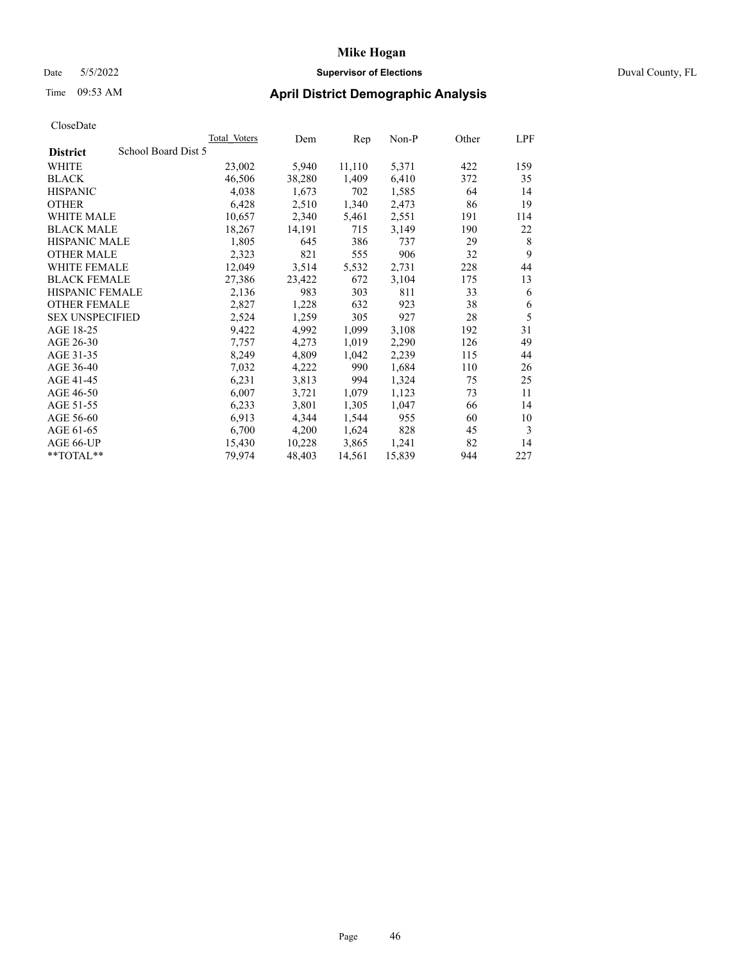### Date 5/5/2022 **Supervisor of Elections** Duval County, FL

# Time 09:53 AM **April District Demographic Analysis**

|                                        | Total Voters | Dem    | Rep    | $Non-P$ | Other | LPF |
|----------------------------------------|--------------|--------|--------|---------|-------|-----|
| School Board Dist 5<br><b>District</b> |              |        |        |         |       |     |
| WHITE                                  | 23,002       | 5,940  | 11,110 | 5,371   | 422   | 159 |
| <b>BLACK</b>                           | 46,506       | 38,280 | 1,409  | 6,410   | 372   | 35  |
| <b>HISPANIC</b>                        | 4,038        | 1,673  | 702    | 1,585   | 64    | 14  |
| <b>OTHER</b>                           | 6,428        | 2,510  | 1,340  | 2,473   | 86    | 19  |
| WHITE MALE                             | 10,657       | 2,340  | 5,461  | 2,551   | 191   | 114 |
| <b>BLACK MALE</b>                      | 18,267       | 14,191 | 715    | 3,149   | 190   | 22  |
| <b>HISPANIC MALE</b>                   | 1,805        | 645    | 386    | 737     | 29    | 8   |
| <b>OTHER MALE</b>                      | 2,323        | 821    | 555    | 906     | 32    | 9   |
| <b>WHITE FEMALE</b>                    | 12,049       | 3,514  | 5,532  | 2,731   | 228   | 44  |
| <b>BLACK FEMALE</b>                    | 27,386       | 23,422 | 672    | 3,104   | 175   | 13  |
| HISPANIC FEMALE                        | 2,136        | 983    | 303    | 811     | 33    | 6   |
| <b>OTHER FEMALE</b>                    | 2,827        | 1,228  | 632    | 923     | 38    | 6   |
| <b>SEX UNSPECIFIED</b>                 | 2,524        | 1,259  | 305    | 927     | 28    | 5   |
| AGE 18-25                              | 9,422        | 4,992  | 1,099  | 3,108   | 192   | 31  |
| AGE 26-30                              | 7,757        | 4,273  | 1,019  | 2,290   | 126   | 49  |
| AGE 31-35                              | 8,249        | 4,809  | 1,042  | 2,239   | 115   | 44  |
| AGE 36-40                              | 7,032        | 4,222  | 990    | 1,684   | 110   | 26  |
| AGE 41-45                              | 6,231        | 3,813  | 994    | 1,324   | 75    | 25  |
| AGE 46-50                              | 6,007        | 3,721  | 1,079  | 1,123   | 73    | 11  |
| AGE 51-55                              | 6,233        | 3,801  | 1,305  | 1,047   | 66    | 14  |
| AGE 56-60                              | 6,913        | 4,344  | 1,544  | 955     | 60    | 10  |
| AGE 61-65                              | 6,700        | 4,200  | 1,624  | 828     | 45    | 3   |
| AGE 66-UP                              | 15,430       | 10,228 | 3,865  | 1,241   | 82    | 14  |
| $*$ $TOTAL**$                          | 79,974       | 48,403 | 14,561 | 15,839  | 944   | 227 |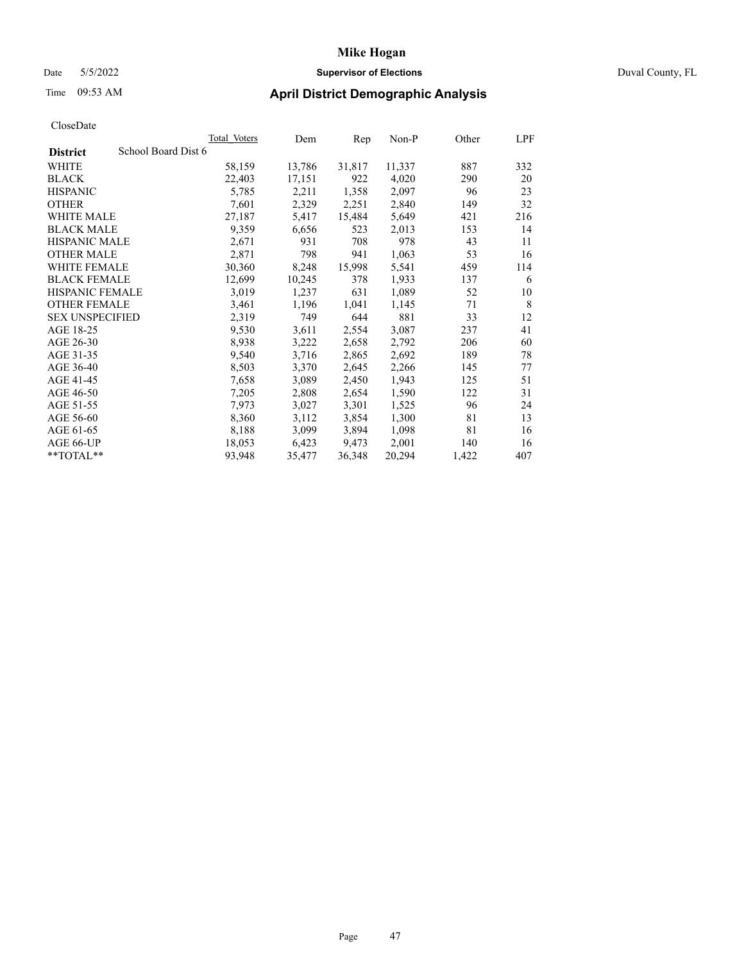# Date 5/5/2022 **Supervisor of Elections** Duval County, FL

# Time 09:53 AM **April District Demographic Analysis**

|                                        | Total Voters | Dem    | Rep    | Non-P  | Other | LPF |
|----------------------------------------|--------------|--------|--------|--------|-------|-----|
| School Board Dist 6<br><b>District</b> |              |        |        |        |       |     |
| WHITE                                  | 58,159       | 13,786 | 31,817 | 11,337 | 887   | 332 |
| <b>BLACK</b>                           | 22,403       | 17,151 | 922    | 4,020  | 290   | 20  |
| <b>HISPANIC</b>                        | 5,785        | 2,211  | 1,358  | 2,097  | 96    | 23  |
| <b>OTHER</b>                           | 7,601        | 2,329  | 2,251  | 2,840  | 149   | 32  |
| <b>WHITE MALE</b>                      | 27,187       | 5,417  | 15,484 | 5,649  | 421   | 216 |
| <b>BLACK MALE</b>                      | 9,359        | 6,656  | 523    | 2,013  | 153   | 14  |
| <b>HISPANIC MALE</b>                   | 2,671        | 931    | 708    | 978    | 43    | 11  |
| <b>OTHER MALE</b>                      | 2,871        | 798    | 941    | 1,063  | 53    | 16  |
| <b>WHITE FEMALE</b>                    | 30,360       | 8,248  | 15,998 | 5,541  | 459   | 114 |
| <b>BLACK FEMALE</b>                    | 12,699       | 10,245 | 378    | 1,933  | 137   | 6   |
| <b>HISPANIC FEMALE</b>                 | 3,019        | 1,237  | 631    | 1,089  | 52    | 10  |
| <b>OTHER FEMALE</b>                    | 3,461        | 1,196  | 1,041  | 1,145  | 71    | 8   |
| <b>SEX UNSPECIFIED</b>                 | 2,319        | 749    | 644    | 881    | 33    | 12  |
| AGE 18-25                              | 9,530        | 3,611  | 2,554  | 3,087  | 237   | 41  |
| AGE 26-30                              | 8,938        | 3,222  | 2,658  | 2,792  | 206   | 60  |
| AGE 31-35                              | 9,540        | 3,716  | 2,865  | 2,692  | 189   | 78  |
| AGE 36-40                              | 8,503        | 3,370  | 2,645  | 2,266  | 145   | 77  |
| AGE 41-45                              | 7,658        | 3,089  | 2,450  | 1,943  | 125   | 51  |
| AGE 46-50                              | 7,205        | 2,808  | 2,654  | 1,590  | 122   | 31  |
| AGE 51-55                              | 7,973        | 3,027  | 3,301  | 1,525  | 96    | 24  |
| AGE 56-60                              | 8,360        | 3,112  | 3,854  | 1,300  | 81    | 13  |
| AGE 61-65                              | 8,188        | 3,099  | 3,894  | 1,098  | 81    | 16  |
| AGE 66-UP                              | 18,053       | 6,423  | 9,473  | 2,001  | 140   | 16  |
| $*$ TOTAL $*$                          | 93,948       | 35,477 | 36,348 | 20,294 | 1,422 | 407 |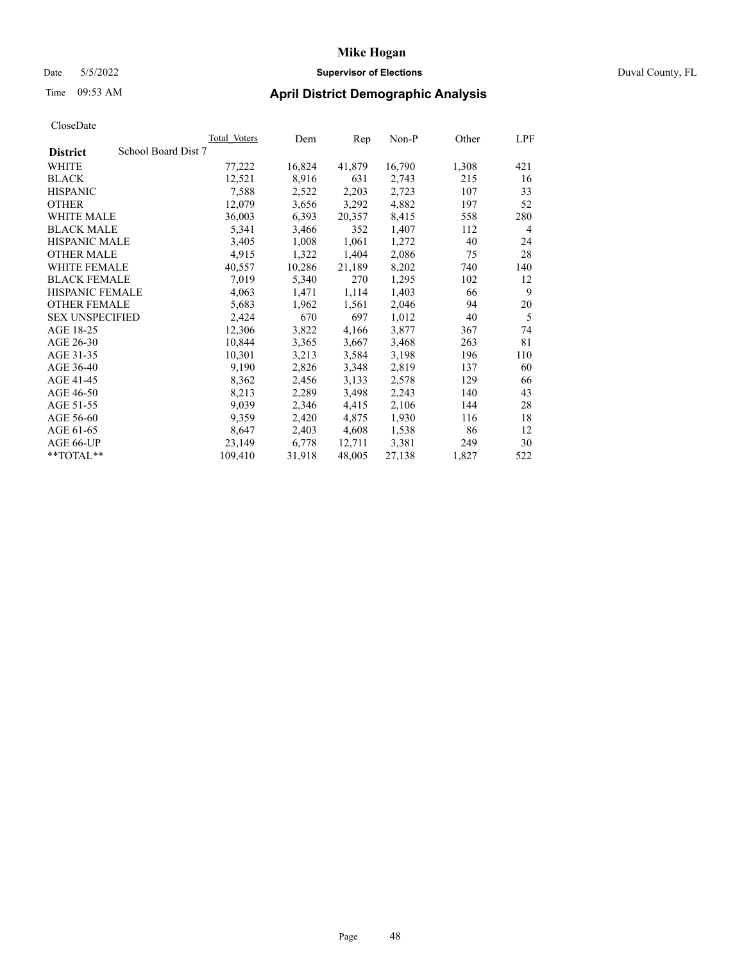### Date 5/5/2022 **Supervisor of Elections** Duval County, FL

# Time 09:53 AM **April District Demographic Analysis**

| <b>Total Voters</b> | Dem    | Rep    | $Non-P$ | Other | <b>LPF</b> |
|---------------------|--------|--------|---------|-------|------------|
| School Board Dist 7 |        |        |         |       |            |
| 77,222              | 16,824 | 41,879 | 16,790  | 1,308 | 421        |
| 12,521              | 8,916  | 631    | 2,743   | 215   | 16         |
| 7,588               | 2,522  | 2,203  | 2,723   | 107   | 33         |
| 12,079              | 3,656  | 3,292  | 4,882   | 197   | 52         |
| 36,003              | 6,393  | 20,357 | 8,415   | 558   | 280        |
| 5,341               | 3,466  | 352    | 1,407   | 112   | 4          |
| 3,405               | 1,008  | 1,061  | 1,272   | 40    | 24         |
| 4,915               | 1,322  | 1,404  | 2,086   | 75    | 28         |
| 40,557              | 10,286 | 21,189 | 8,202   | 740   | 140        |
| 7,019               | 5,340  | 270    | 1,295   | 102   | 12         |
| 4,063               | 1,471  | 1,114  | 1,403   | 66    | 9          |
| 5,683               | 1,962  | 1,561  | 2,046   | 94    | 20         |
| 2,424               | 670    | 697    | 1,012   | 40    | 5          |
| 12,306              | 3,822  | 4,166  | 3,877   | 367   | 74         |
| 10,844              | 3,365  | 3,667  | 3,468   | 263   | 81         |
| 10,301              | 3,213  | 3,584  | 3,198   | 196   | 110        |
| 9,190               | 2,826  | 3,348  | 2,819   | 137   | 60         |
| 8,362               | 2,456  | 3,133  | 2,578   | 129   | 66         |
| 8,213               | 2,289  | 3,498  | 2,243   | 140   | 43         |
| 9,039               | 2,346  | 4,415  | 2,106   | 144   | 28         |
| 9,359               | 2,420  | 4,875  | 1,930   | 116   | 18         |
| 8,647               | 2,403  | 4,608  | 1,538   | 86    | 12         |
| 23,149              | 6,778  | 12,711 | 3,381   | 249   | 30         |
| 109,410             | 31,918 | 48,005 | 27,138  | 1,827 | 522        |
|                     |        |        |         |       |            |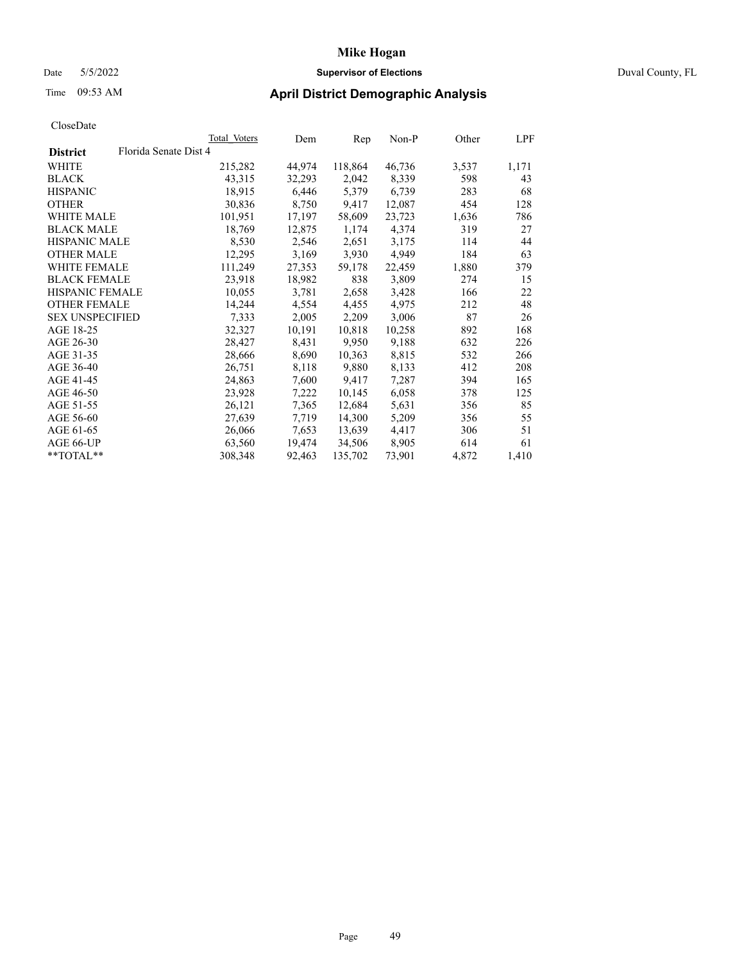# Date 5/5/2022 **Supervisor of Elections** Duval County, FL

# Time 09:53 AM **April District Demographic Analysis**

|                        |                       | Total Voters | Dem    | Rep     | Non-P  | Other | LPF   |
|------------------------|-----------------------|--------------|--------|---------|--------|-------|-------|
| <b>District</b>        | Florida Senate Dist 4 |              |        |         |        |       |       |
| WHITE                  |                       | 215,282      | 44,974 | 118,864 | 46,736 | 3,537 | 1,171 |
| <b>BLACK</b>           |                       | 43,315       | 32,293 | 2,042   | 8,339  | 598   | 43    |
| <b>HISPANIC</b>        |                       | 18,915       | 6,446  | 5,379   | 6,739  | 283   | 68    |
| <b>OTHER</b>           |                       | 30,836       | 8,750  | 9,417   | 12,087 | 454   | 128   |
| WHITE MALE             |                       | 101,951      | 17,197 | 58,609  | 23,723 | 1,636 | 786   |
| <b>BLACK MALE</b>      |                       | 18,769       | 12,875 | 1,174   | 4,374  | 319   | 27    |
| <b>HISPANIC MALE</b>   |                       | 8,530        | 2,546  | 2,651   | 3,175  | 114   | 44    |
| <b>OTHER MALE</b>      |                       | 12,295       | 3,169  | 3,930   | 4,949  | 184   | 63    |
| <b>WHITE FEMALE</b>    |                       | 111,249      | 27,353 | 59,178  | 22,459 | 1,880 | 379   |
| <b>BLACK FEMALE</b>    |                       | 23,918       | 18,982 | 838     | 3,809  | 274   | 15    |
| <b>HISPANIC FEMALE</b> |                       | 10,055       | 3,781  | 2,658   | 3,428  | 166   | 22    |
| <b>OTHER FEMALE</b>    |                       | 14,244       | 4,554  | 4,455   | 4,975  | 212   | 48    |
| <b>SEX UNSPECIFIED</b> |                       | 7,333        | 2,005  | 2,209   | 3,006  | 87    | 26    |
| AGE 18-25              |                       | 32,327       | 10,191 | 10,818  | 10,258 | 892   | 168   |
| AGE 26-30              |                       | 28,427       | 8,431  | 9,950   | 9,188  | 632   | 226   |
| AGE 31-35              |                       | 28,666       | 8,690  | 10,363  | 8,815  | 532   | 266   |
| AGE 36-40              |                       | 26,751       | 8,118  | 9,880   | 8,133  | 412   | 208   |
| AGE 41-45              |                       | 24,863       | 7,600  | 9,417   | 7,287  | 394   | 165   |
| AGE 46-50              |                       | 23,928       | 7,222  | 10,145  | 6,058  | 378   | 125   |
| AGE 51-55              |                       | 26,121       | 7,365  | 12,684  | 5,631  | 356   | 85    |
| AGE 56-60              |                       | 27,639       | 7,719  | 14,300  | 5,209  | 356   | 55    |
| AGE 61-65              |                       | 26,066       | 7,653  | 13,639  | 4,417  | 306   | 51    |
| AGE 66-UP              |                       | 63,560       | 19,474 | 34,506  | 8,905  | 614   | 61    |
| $*$ $TOTAL**$          |                       | 308,348      | 92,463 | 135,702 | 73,901 | 4,872 | 1,410 |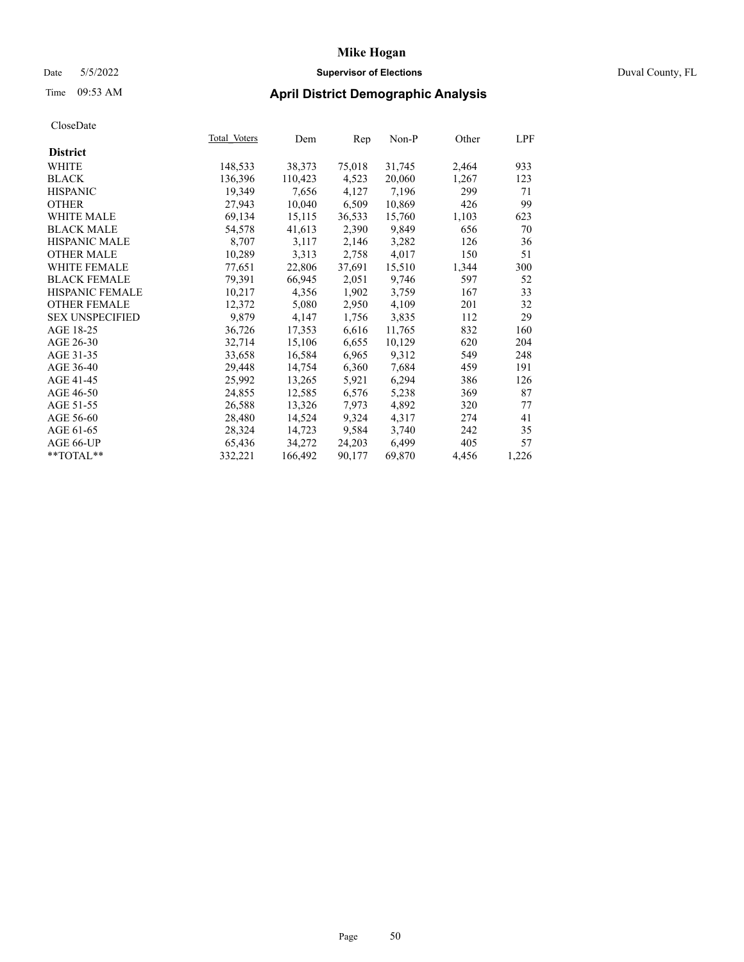# Date 5/5/2022 **Supervisor of Elections** Duval County, FL

| CloseDate              |              |         |        |        |       |            |
|------------------------|--------------|---------|--------|--------|-------|------------|
|                        | Total Voters | Dem     | Rep    | Non-P  | Other | <u>LPF</u> |
| <b>District</b>        |              |         |        |        |       |            |
| WHITE                  | 148,533      | 38,373  | 75,018 | 31,745 | 2,464 | 933        |
| <b>BLACK</b>           | 136,396      | 110,423 | 4,523  | 20,060 | 1,267 | 123        |
| <b>HISPANIC</b>        | 19,349       | 7,656   | 4,127  | 7,196  | 299   | 71         |
| <b>OTHER</b>           | 27,943       | 10,040  | 6,509  | 10,869 | 426   | 99         |
| WHITE MALE             | 69,134       | 15,115  | 36,533 | 15,760 | 1,103 | 623        |
| <b>BLACK MALE</b>      | 54,578       | 41,613  | 2,390  | 9,849  | 656   | 70         |
| <b>HISPANIC MALE</b>   | 8,707        | 3,117   | 2,146  | 3,282  | 126   | 36         |
| <b>OTHER MALE</b>      | 10,289       | 3,313   | 2,758  | 4,017  | 150   | 51         |
| <b>WHITE FEMALE</b>    | 77,651       | 22,806  | 37,691 | 15,510 | 1,344 | 300        |
| <b>BLACK FEMALE</b>    | 79,391       | 66,945  | 2,051  | 9,746  | 597   | 52         |
| <b>HISPANIC FEMALE</b> | 10,217       | 4,356   | 1,902  | 3,759  | 167   | 33         |
| <b>OTHER FEMALE</b>    | 12,372       | 5,080   | 2,950  | 4,109  | 201   | 32         |
| <b>SEX UNSPECIFIED</b> | 9,879        | 4,147   | 1,756  | 3,835  | 112   | 29         |
| AGE 18-25              | 36,726       | 17,353  | 6,616  | 11,765 | 832   | 160        |
| AGE 26-30              | 32,714       | 15,106  | 6,655  | 10,129 | 620   | 204        |
| AGE 31-35              | 33,658       | 16,584  | 6,965  | 9,312  | 549   | 248        |
| AGE 36-40              | 29,448       | 14,754  | 6,360  | 7,684  | 459   | 191        |
| AGE 41-45              | 25,992       | 13,265  | 5,921  | 6,294  | 386   | 126        |
| AGE 46-50              | 24,855       | 12,585  | 6,576  | 5,238  | 369   | 87         |
| AGE 51-55              | 26,588       | 13,326  | 7,973  | 4,892  | 320   | 77         |
| AGE 56-60              | 28,480       | 14,524  | 9,324  | 4,317  | 274   | 41         |
| AGE 61-65              | 28,324       | 14,723  | 9,584  | 3,740  | 242   | 35         |
| AGE 66-UP              | 65,436       | 34,272  | 24,203 | 6,499  | 405   | 57         |
| $*$ $TOTAL**$          | 332.221      | 166,492 | 90,177 | 69.870 | 4,456 | 1,226      |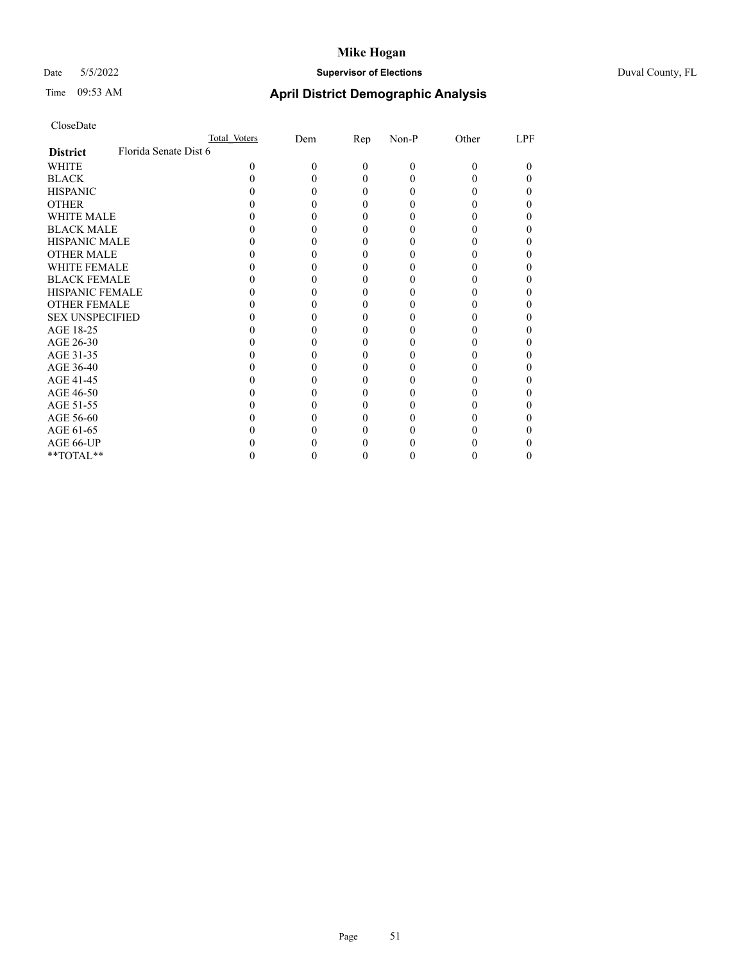# Date 5/5/2022 **Supervisor of Elections** Duval County, FL

# Time 09:53 AM **April District Demographic Analysis**

|                        | Total Voters          | Dem | Rep      | Non-P | Other | LPF |
|------------------------|-----------------------|-----|----------|-------|-------|-----|
| <b>District</b>        | Florida Senate Dist 6 |     |          |       |       |     |
| WHITE                  | 0                     | 0   | $\Omega$ | 0     | 0     | 0   |
| <b>BLACK</b>           |                       |     | $\theta$ |       |       | 0   |
| <b>HISPANIC</b>        |                       |     | 0        |       |       | 0   |
| <b>OTHER</b>           |                       |     |          |       |       |     |
| WHITE MALE             |                       |     |          |       |       |     |
| <b>BLACK MALE</b>      |                       |     |          |       |       |     |
| <b>HISPANIC MALE</b>   |                       |     |          |       |       |     |
| <b>OTHER MALE</b>      |                       |     |          |       |       |     |
| <b>WHITE FEMALE</b>    |                       |     |          |       |       |     |
| <b>BLACK FEMALE</b>    |                       |     |          |       |       | 0   |
| <b>HISPANIC FEMALE</b> |                       |     |          |       |       |     |
| <b>OTHER FEMALE</b>    |                       |     |          |       |       |     |
| <b>SEX UNSPECIFIED</b> |                       |     |          |       |       |     |
| AGE 18-25              |                       |     |          |       |       |     |
| AGE 26-30              |                       |     |          |       |       |     |
| AGE 31-35              |                       |     |          |       |       |     |
| AGE 36-40              |                       |     |          |       |       | 0   |
| AGE 41-45              |                       |     |          |       |       |     |
| AGE 46-50              |                       |     |          |       |       |     |
| AGE 51-55              |                       |     |          |       |       |     |
| AGE 56-60              |                       |     |          |       |       |     |
| AGE 61-65              |                       |     |          |       |       |     |
| AGE 66-UP              |                       |     |          |       |       |     |
| **TOTAL**              |                       |     |          |       |       | 0   |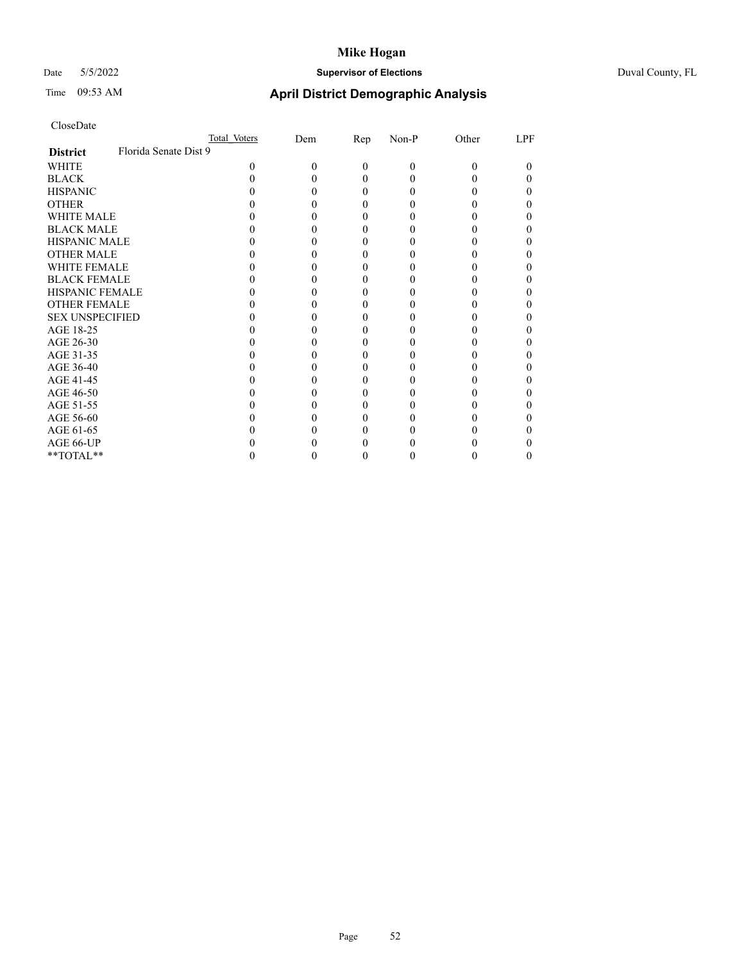# Date 5/5/2022 **Supervisor of Elections** Duval County, FL

# Time 09:53 AM **April District Demographic Analysis**

|                        | Total Voters          | Dem | Rep      | Non-P | Other | LPF |
|------------------------|-----------------------|-----|----------|-------|-------|-----|
| <b>District</b>        | Florida Senate Dist 9 |     |          |       |       |     |
| WHITE                  | $\Omega$              | 0   | $\Omega$ | 0     | 0     | 0   |
| <b>BLACK</b>           |                       |     | $\theta$ |       |       | 0   |
| <b>HISPANIC</b>        |                       |     | 0        |       |       | 0   |
| <b>OTHER</b>           |                       |     |          |       |       |     |
| WHITE MALE             |                       |     |          |       |       |     |
| <b>BLACK MALE</b>      |                       |     |          |       |       |     |
| <b>HISPANIC MALE</b>   |                       |     |          |       |       |     |
| <b>OTHER MALE</b>      |                       |     |          |       |       |     |
| <b>WHITE FEMALE</b>    |                       |     |          |       |       |     |
| <b>BLACK FEMALE</b>    |                       |     |          |       |       | 0   |
| <b>HISPANIC FEMALE</b> |                       |     |          |       |       |     |
| <b>OTHER FEMALE</b>    |                       |     |          |       |       |     |
| <b>SEX UNSPECIFIED</b> |                       |     |          |       |       |     |
| AGE 18-25              |                       |     |          |       |       |     |
| AGE 26-30              |                       |     |          |       |       |     |
| AGE 31-35              |                       |     |          |       |       |     |
| AGE 36-40              |                       |     |          |       |       | 0   |
| AGE 41-45              |                       |     |          |       |       |     |
| AGE 46-50              |                       |     |          |       |       |     |
| AGE 51-55              |                       |     |          |       |       |     |
| AGE 56-60              |                       |     |          |       |       |     |
| AGE 61-65              |                       |     |          |       |       |     |
| AGE 66-UP              |                       |     |          |       |       |     |
| **TOTAL**              |                       |     |          |       |       | 0   |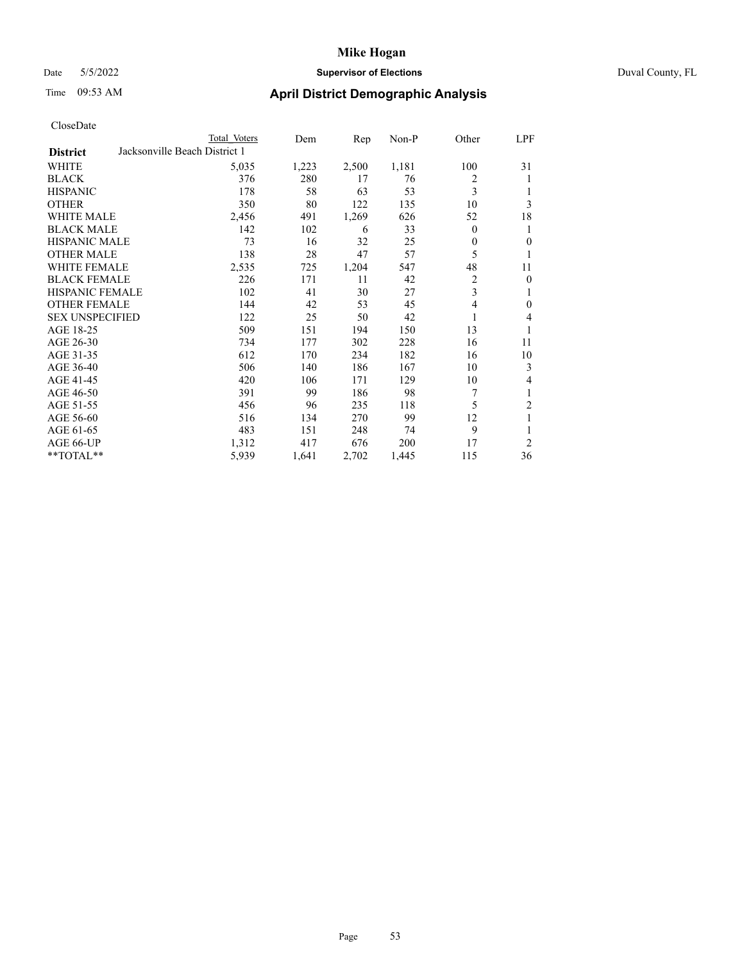### Date 5/5/2022 **Supervisor of Elections** Duval County, FL

|                        |                               | Total Voters | Dem   | Rep   | $Non-P$ | Other          | LPF            |
|------------------------|-------------------------------|--------------|-------|-------|---------|----------------|----------------|
| <b>District</b>        | Jacksonville Beach District 1 |              |       |       |         |                |                |
| WHITE                  |                               | 5,035        | 1,223 | 2,500 | 1,181   | 100            | 31             |
| <b>BLACK</b>           |                               | 376          | 280   | 17    | 76      | 2              | 1              |
| <b>HISPANIC</b>        |                               | 178          | 58    | 63    | 53      | 3              | 1              |
| <b>OTHER</b>           |                               | 350          | 80    | 122   | 135     | 10             | 3              |
| <b>WHITE MALE</b>      |                               | 2,456        | 491   | 1,269 | 626     | 52             | 18             |
| <b>BLACK MALE</b>      |                               | 142          | 102   | 6     | 33      | $\mathbf{0}$   | 1              |
| <b>HISPANIC MALE</b>   |                               | 73           | 16    | 32    | 25      | $\theta$       | $\theta$       |
| <b>OTHER MALE</b>      |                               | 138          | 28    | 47    | 57      | 5              | 1              |
| WHITE FEMALE           |                               | 2,535        | 725   | 1,204 | 547     | 48             | 11             |
| <b>BLACK FEMALE</b>    |                               | 226          | 171   | 11    | 42      | $\overline{2}$ | $\mathbf{0}$   |
| HISPANIC FEMALE        |                               | 102          | 41    | 30    | 27      | 3              | 1              |
| <b>OTHER FEMALE</b>    |                               | 144          | 42    | 53    | 45      | 4              | $\mathbf{0}$   |
| <b>SEX UNSPECIFIED</b> |                               | 122          | 25    | 50    | 42      | 1              | 4              |
| AGE 18-25              |                               | 509          | 151   | 194   | 150     | 13             | 1              |
| AGE 26-30              |                               | 734          | 177   | 302   | 228     | 16             | 11             |
| AGE 31-35              |                               | 612          | 170   | 234   | 182     | 16             | 10             |
| AGE 36-40              |                               | 506          | 140   | 186   | 167     | 10             | 3              |
| AGE 41-45              |                               | 420          | 106   | 171   | 129     | 10             | 4              |
| AGE 46-50              |                               | 391          | 99    | 186   | 98      | 7              | 1              |
| AGE 51-55              |                               | 456          | 96    | 235   | 118     | 5              | $\overline{c}$ |
| AGE 56-60              |                               | 516          | 134   | 270   | 99      | 12             | 1              |
| AGE 61-65              |                               | 483          | 151   | 248   | 74      | 9              |                |
| AGE 66-UP              |                               | 1,312        | 417   | 676   | 200     | 17             | $\overline{2}$ |
| **TOTAL**              |                               | 5,939        | 1,641 | 2,702 | 1,445   | 115            | 36             |
|                        |                               |              |       |       |         |                |                |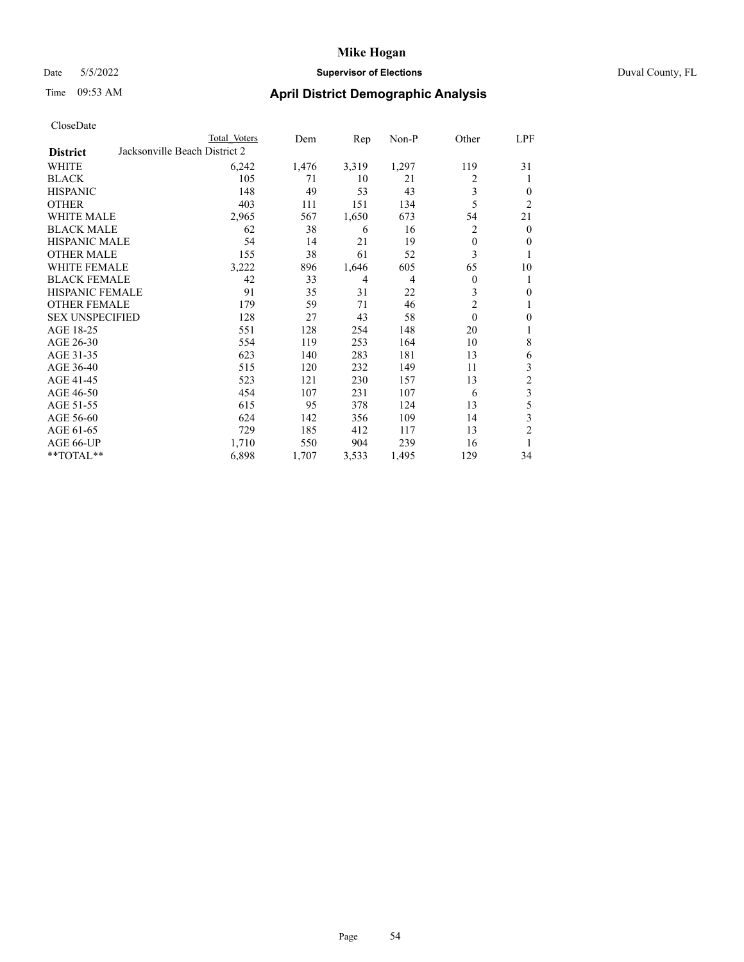### Date 5/5/2022 **Supervisor of Elections** Duval County, FL

|                        | Total Voters                  | Dem   | Rep            | Non-P          | Other          | LPF                     |
|------------------------|-------------------------------|-------|----------------|----------------|----------------|-------------------------|
| <b>District</b>        | Jacksonville Beach District 2 |       |                |                |                |                         |
| WHITE                  | 6,242                         | 1,476 | 3,319          | 1,297          | 119            | 31                      |
| BLACK                  | 105                           | 71    | 10             | 21             | 2              | 1                       |
| <b>HISPANIC</b>        | 148                           | 49    | 53             | 43             | 3              | $\overline{0}$          |
| OTHER                  | 403                           | 111   | 151            | 134            | 5              | 2                       |
| <b>WHITE MALE</b>      | 2,965                         | 567   | 1,650          | 673            | 54             | 21                      |
| <b>BLACK MALE</b>      | 62                            | 38    | 6              | 16             | 2              | $\theta$                |
| <b>HISPANIC MALE</b>   | 54                            | 14    | 21             | 19             | 0              | $\overline{0}$          |
| OTHER MALE             | 155                           | 38    | 61             | 52             | 3              | 1                       |
| <b>WHITE FEMALE</b>    | 3,222                         | 896   | 1,646          | 605            | 65             | 10                      |
| <b>BLACK FEMALE</b>    | 42                            | 33    | $\overline{4}$ | $\overline{4}$ | $\theta$       | 1                       |
| <b>HISPANIC FEMALE</b> | 91                            | 35    | 31             | 22             | 3              | $\theta$                |
| <b>OTHER FEMALE</b>    | 179                           | 59    | 71             | 46             | $\overline{2}$ | 1                       |
| <b>SEX UNSPECIFIED</b> | 128                           | 27    | 43             | 58             | $\theta$       | $\mathbf{0}$            |
| AGE 18-25              | 551                           | 128   | 254            | 148            | 20             | 1                       |
| AGE 26-30              | 554                           | 119   | 253            | 164            | 10             | 8                       |
| AGE 31-35              | 623                           | 140   | 283            | 181            | 13             | 6                       |
| AGE 36-40              | 515                           | 120   | 232            | 149            | 11             | 3                       |
| AGE 41-45              | 523                           | 121   | 230            | 157            | 13             | $\overline{\mathbf{c}}$ |
| AGE 46-50              | 454                           | 107   | 231            | 107            | 6              | $\overline{\mathbf{3}}$ |
| AGE 51-55              | 615                           | 95    | 378            | 124            | 13             | 5                       |
| AGE 56-60              | 624                           | 142   | 356            | 109            | 14             | 3                       |
| AGE 61-65              | 729                           | 185   | 412            | 117            | 13             | $\overline{c}$          |
| AGE 66-UP              | 1,710                         | 550   | 904            | 239            | 16             | 1                       |
| **TOTAL**              | 6,898                         | 1,707 | 3,533          | 1,495          | 129            | 34                      |